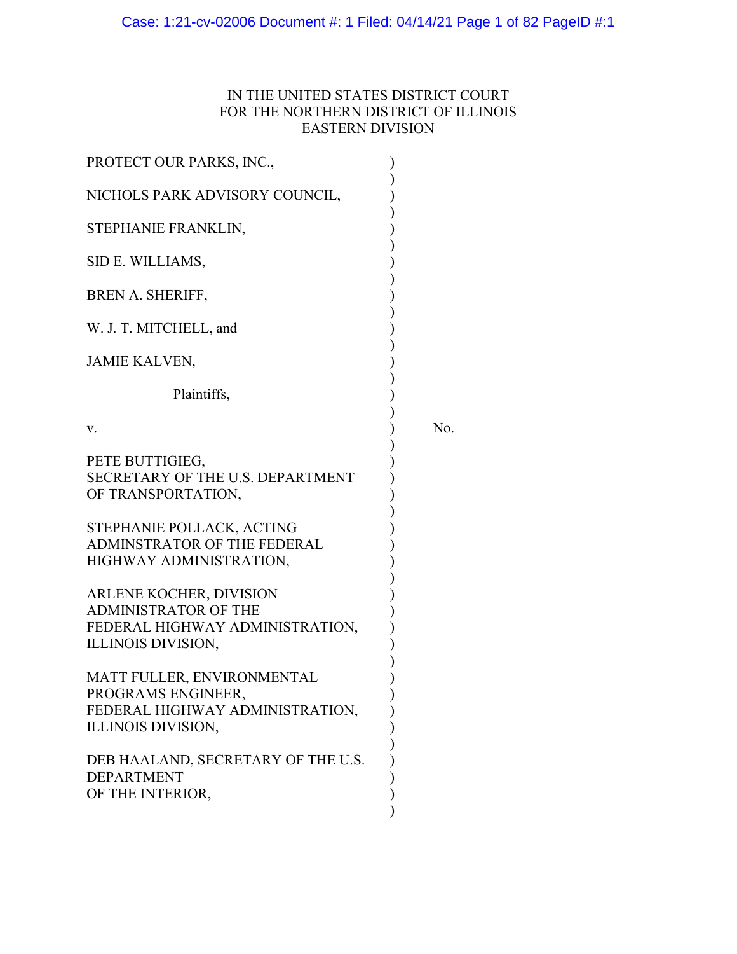# Case: 1:21-cv-02006 Document #: 1 Filed: 04/14/21 Page 1 of 82 PageID #:1

# IN THE UNITED STATES DISTRICT COURT FOR THE NORTHERN DISTRICT OF ILLINOIS EASTERN DIVISION

| PROTECT OUR PARKS, INC.,                                                                                        |     |
|-----------------------------------------------------------------------------------------------------------------|-----|
| NICHOLS PARK ADVISORY COUNCIL,                                                                                  |     |
| STEPHANIE FRANKLIN,                                                                                             |     |
| SID E. WILLIAMS,                                                                                                |     |
| <b>BREN A. SHERIFF,</b>                                                                                         |     |
| W. J. T. MITCHELL, and                                                                                          |     |
| <b>JAMIE KALVEN,</b>                                                                                            |     |
| Plaintiffs,                                                                                                     |     |
| v.                                                                                                              | No. |
| PETE BUTTIGIEG,<br>SECRETARY OF THE U.S. DEPARTMENT<br>OF TRANSPORTATION,                                       |     |
| STEPHANIE POLLACK, ACTING<br>ADMINSTRATOR OF THE FEDERAL<br>HIGHWAY ADMINISTRATION,                             |     |
| ARLENE KOCHER, DIVISION<br><b>ADMINISTRATOR OF THE</b><br>FEDERAL HIGHWAY ADMINISTRATION,<br>ILLINOIS DIVISION, |     |
| MATT FULLER, ENVIRONMENTAL<br>PROGRAMS ENGINEER,<br>FEDERAL HIGHWAY ADMINISTRATION,<br>ILLINOIS DIVISION,       |     |
| DEB HAALAND, SECRETARY OF THE U.S.<br><b>DEPARTMENT</b><br>OF THE INTERIOR,                                     |     |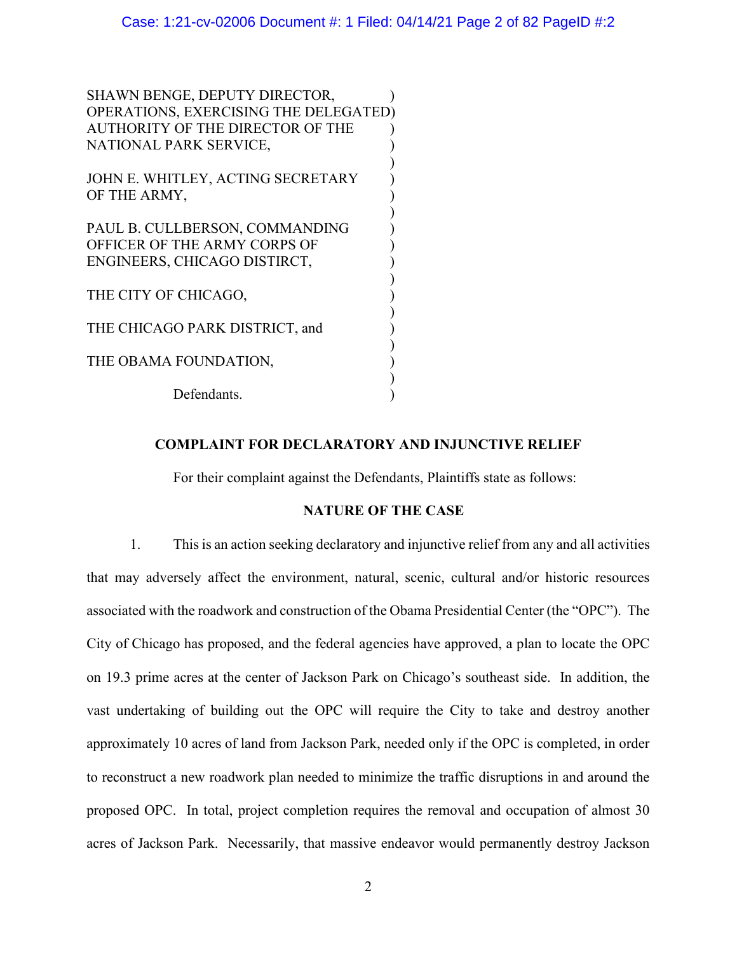)

)

)

)

)

SHAWN BENGE, DEPUTY DIRECTOR, OPERATIONS, EXERCISING THE DELEGATED) AUTHORITY OF THE DIRECTOR OF THE ) NATIONAL PARK SERVICE, )

JOHN E. WHITLEY, ACTING SECRETARY ) OF THE ARMY,

PAUL B. CULLBERSON, COMMANDING ) OFFICER OF THE ARMY CORPS OF  $|$ ENGINEERS, CHICAGO DISTIRCT, )

THE CITY OF CHICAGO,

THE CHICAGO PARK DISTRICT, and )

THE OBAMA FOUNDATION,

Defendants.

## **COMPLAINT FOR DECLARATORY AND INJUNCTIVE RELIEF**

For their complaint against the Defendants, Plaintiffs state as follows:

### **NATURE OF THE CASE**

1. This is an action seeking declaratory and injunctive relief from any and all activities that may adversely affect the environment, natural, scenic, cultural and/or historic resources associated with the roadwork and construction of the Obama Presidential Center (the "OPC"). The City of Chicago has proposed, and the federal agencies have approved, a plan to locate the OPC on 19.3 prime acres at the center of Jackson Park on Chicago's southeast side. In addition, the vast undertaking of building out the OPC will require the City to take and destroy another approximately 10 acres of land from Jackson Park, needed only if the OPC is completed, in order to reconstruct a new roadwork plan needed to minimize the traffic disruptions in and around the proposed OPC. In total, project completion requires the removal and occupation of almost 30 acres of Jackson Park. Necessarily, that massive endeavor would permanently destroy Jackson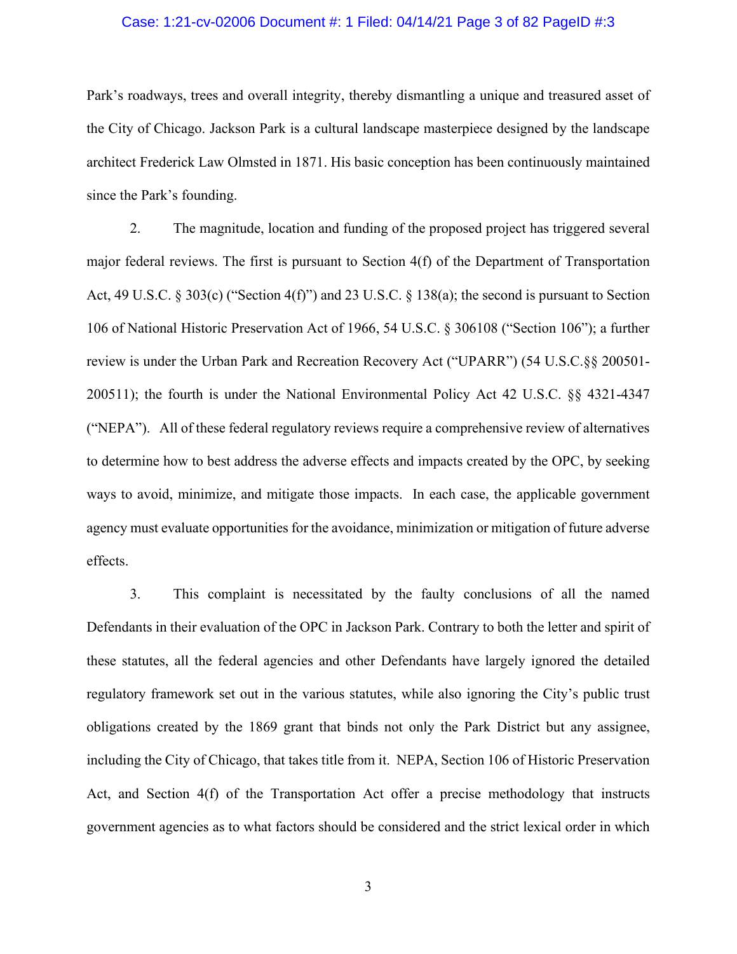#### Case: 1:21-cv-02006 Document #: 1 Filed: 04/14/21 Page 3 of 82 PageID #:3

Park's roadways, trees and overall integrity, thereby dismantling a unique and treasured asset of the City of Chicago. Jackson Park is a cultural landscape masterpiece designed by the landscape architect Frederick Law Olmsted in 1871. His basic conception has been continuously maintained since the Park's founding.

2. The magnitude, location and funding of the proposed project has triggered several major federal reviews. The first is pursuant to Section 4(f) of the Department of Transportation Act, 49 U.S.C. § 303(c) ("Section 4(f)") and 23 U.S.C. § 138(a); the second is pursuant to Section 106 of National Historic Preservation Act of 1966, 54 U.S.C. § 306108 ("Section 106"); a further review is under the Urban Park and Recreation Recovery Act ("UPARR") (54 U.S.C.§§ 200501- 200511); the fourth is under the National Environmental Policy Act 42 U.S.C. §§ 4321-4347 ("NEPA"). All of these federal regulatory reviews require a comprehensive review of alternatives to determine how to best address the adverse effects and impacts created by the OPC, by seeking ways to avoid, minimize, and mitigate those impacts. In each case, the applicable government agency must evaluate opportunities for the avoidance, minimization or mitigation of future adverse effects.

3. This complaint is necessitated by the faulty conclusions of all the named Defendants in their evaluation of the OPC in Jackson Park. Contrary to both the letter and spirit of these statutes, all the federal agencies and other Defendants have largely ignored the detailed regulatory framework set out in the various statutes, while also ignoring the City's public trust obligations created by the 1869 grant that binds not only the Park District but any assignee, including the City of Chicago, that takes title from it. NEPA, Section 106 of Historic Preservation Act, and Section 4(f) of the Transportation Act offer a precise methodology that instructs government agencies as to what factors should be considered and the strict lexical order in which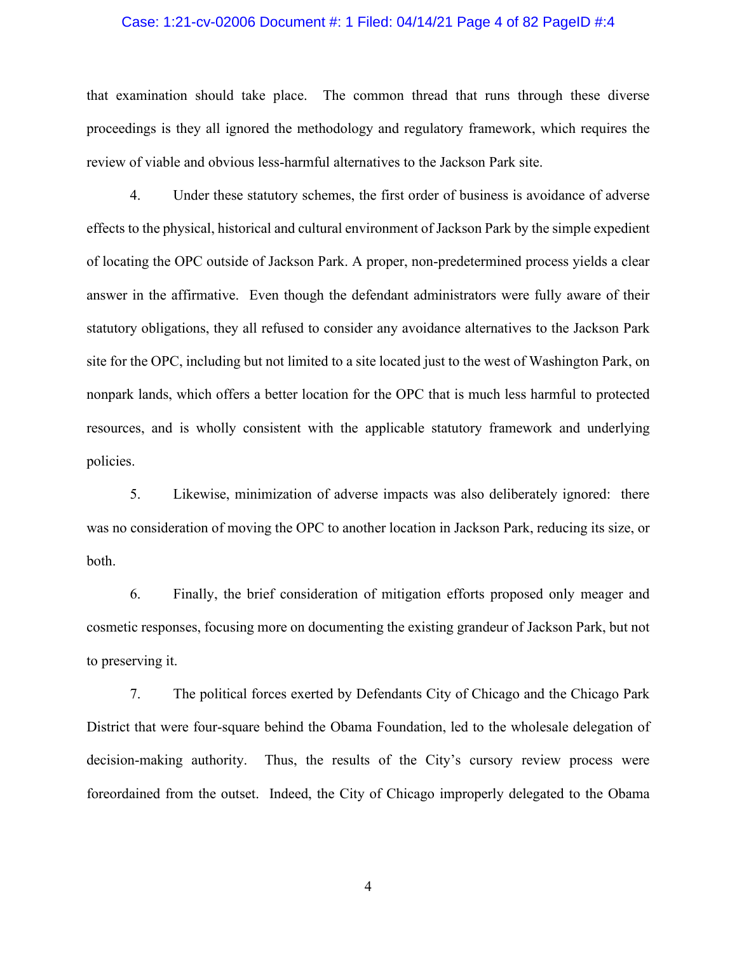#### Case: 1:21-cv-02006 Document #: 1 Filed: 04/14/21 Page 4 of 82 PageID #:4

that examination should take place. The common thread that runs through these diverse proceedings is they all ignored the methodology and regulatory framework, which requires the review of viable and obvious less-harmful alternatives to the Jackson Park site.

4. Under these statutory schemes, the first order of business is avoidance of adverse effects to the physical, historical and cultural environment of Jackson Park by the simple expedient of locating the OPC outside of Jackson Park. A proper, non-predetermined process yields a clear answer in the affirmative. Even though the defendant administrators were fully aware of their statutory obligations, they all refused to consider any avoidance alternatives to the Jackson Park site for the OPC, including but not limited to a site located just to the west of Washington Park, on nonpark lands, which offers a better location for the OPC that is much less harmful to protected resources, and is wholly consistent with the applicable statutory framework and underlying policies.

5. Likewise, minimization of adverse impacts was also deliberately ignored: there was no consideration of moving the OPC to another location in Jackson Park, reducing its size, or both.

6. Finally, the brief consideration of mitigation efforts proposed only meager and cosmetic responses, focusing more on documenting the existing grandeur of Jackson Park, but not to preserving it.

7. The political forces exerted by Defendants City of Chicago and the Chicago Park District that were four-square behind the Obama Foundation, led to the wholesale delegation of decision-making authority. Thus, the results of the City's cursory review process were foreordained from the outset. Indeed, the City of Chicago improperly delegated to the Obama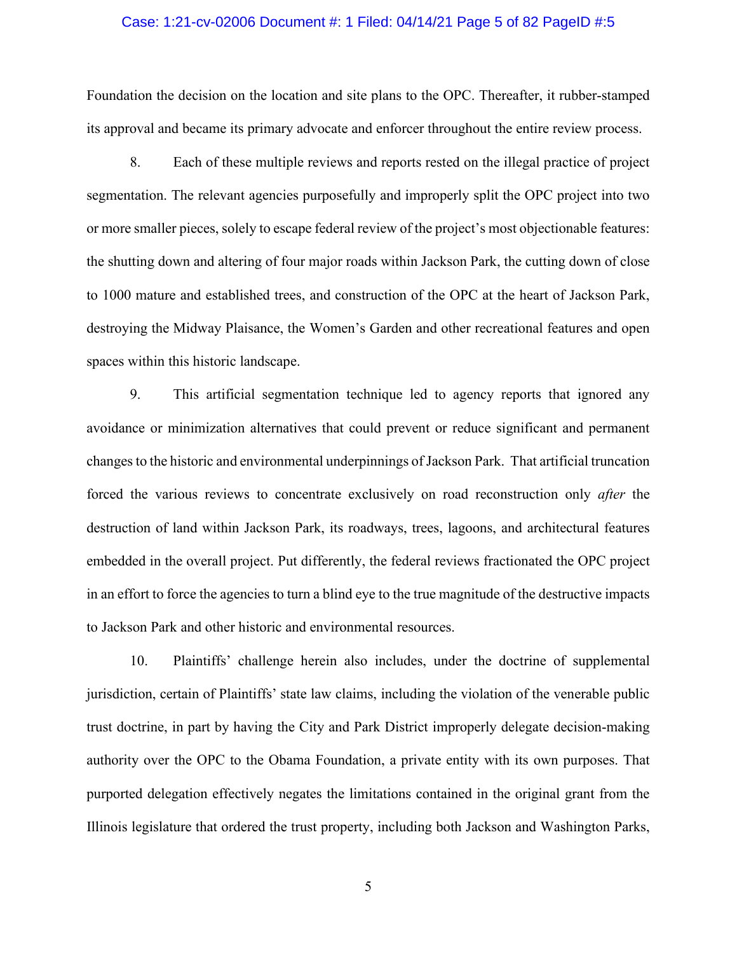#### Case: 1:21-cv-02006 Document #: 1 Filed: 04/14/21 Page 5 of 82 PageID #:5

Foundation the decision on the location and site plans to the OPC. Thereafter, it rubber-stamped its approval and became its primary advocate and enforcer throughout the entire review process.

8. Each of these multiple reviews and reports rested on the illegal practice of project segmentation. The relevant agencies purposefully and improperly split the OPC project into two or more smaller pieces, solely to escape federal review of the project's most objectionable features: the shutting down and altering of four major roads within Jackson Park, the cutting down of close to 1000 mature and established trees, and construction of the OPC at the heart of Jackson Park, destroying the Midway Plaisance, the Women's Garden and other recreational features and open spaces within this historic landscape.

9. This artificial segmentation technique led to agency reports that ignored any avoidance or minimization alternatives that could prevent or reduce significant and permanent changes to the historic and environmental underpinnings of Jackson Park. That artificial truncation forced the various reviews to concentrate exclusively on road reconstruction only *after* the destruction of land within Jackson Park, its roadways, trees, lagoons, and architectural features embedded in the overall project. Put differently, the federal reviews fractionated the OPC project in an effort to force the agencies to turn a blind eye to the true magnitude of the destructive impacts to Jackson Park and other historic and environmental resources.

10. Plaintiffs' challenge herein also includes, under the doctrine of supplemental jurisdiction, certain of Plaintiffs' state law claims, including the violation of the venerable public trust doctrine, in part by having the City and Park District improperly delegate decision-making authority over the OPC to the Obama Foundation, a private entity with its own purposes. That purported delegation effectively negates the limitations contained in the original grant from the Illinois legislature that ordered the trust property, including both Jackson and Washington Parks,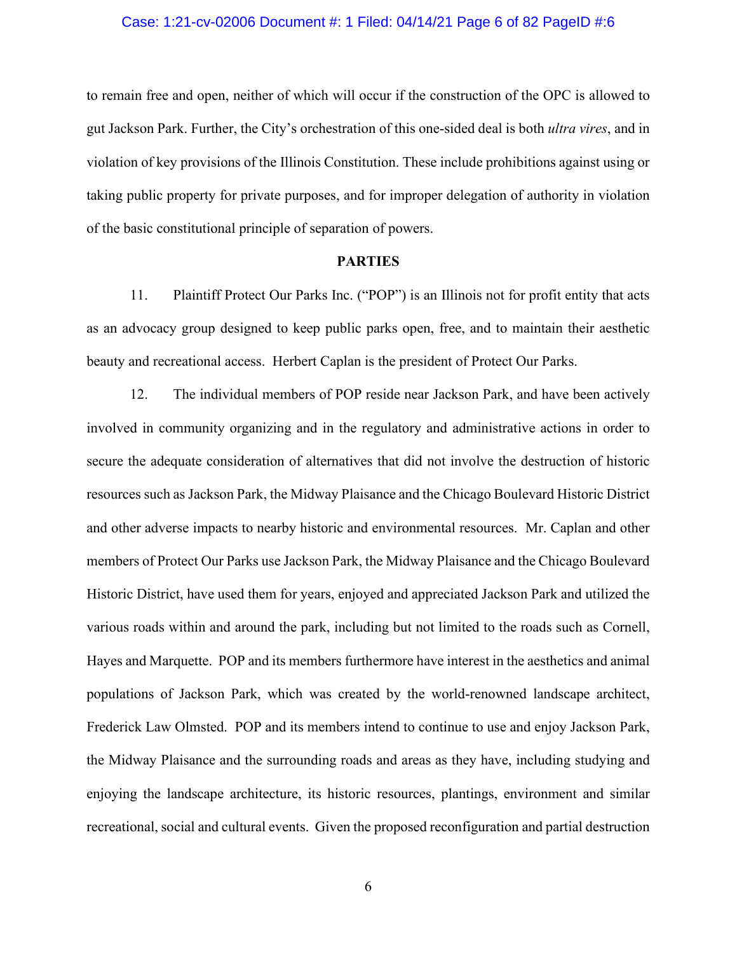#### Case: 1:21-cv-02006 Document #: 1 Filed: 04/14/21 Page 6 of 82 PageID #:6

to remain free and open, neither of which will occur if the construction of the OPC is allowed to gut Jackson Park. Further, the City's orchestration of this one-sided deal is both *ultra vires*, and in violation of key provisions of the Illinois Constitution. These include prohibitions against using or taking public property for private purposes, and for improper delegation of authority in violation of the basic constitutional principle of separation of powers.

#### **PARTIES**

11. Plaintiff Protect Our Parks Inc. ("POP") is an Illinois not for profit entity that acts as an advocacy group designed to keep public parks open, free, and to maintain their aesthetic beauty and recreational access. Herbert Caplan is the president of Protect Our Parks.

12. The individual members of POP reside near Jackson Park, and have been actively involved in community organizing and in the regulatory and administrative actions in order to secure the adequate consideration of alternatives that did not involve the destruction of historic resources such as Jackson Park, the Midway Plaisance and the Chicago Boulevard Historic District and other adverse impacts to nearby historic and environmental resources. Mr. Caplan and other members of Protect Our Parks use Jackson Park, the Midway Plaisance and the Chicago Boulevard Historic District, have used them for years, enjoyed and appreciated Jackson Park and utilized the various roads within and around the park, including but not limited to the roads such as Cornell, Hayes and Marquette. POP and its members furthermore have interest in the aesthetics and animal populations of Jackson Park, which was created by the world-renowned landscape architect, Frederick Law Olmsted. POP and its members intend to continue to use and enjoy Jackson Park, the Midway Plaisance and the surrounding roads and areas as they have, including studying and enjoying the landscape architecture, its historic resources, plantings, environment and similar recreational, social and cultural events. Given the proposed reconfiguration and partial destruction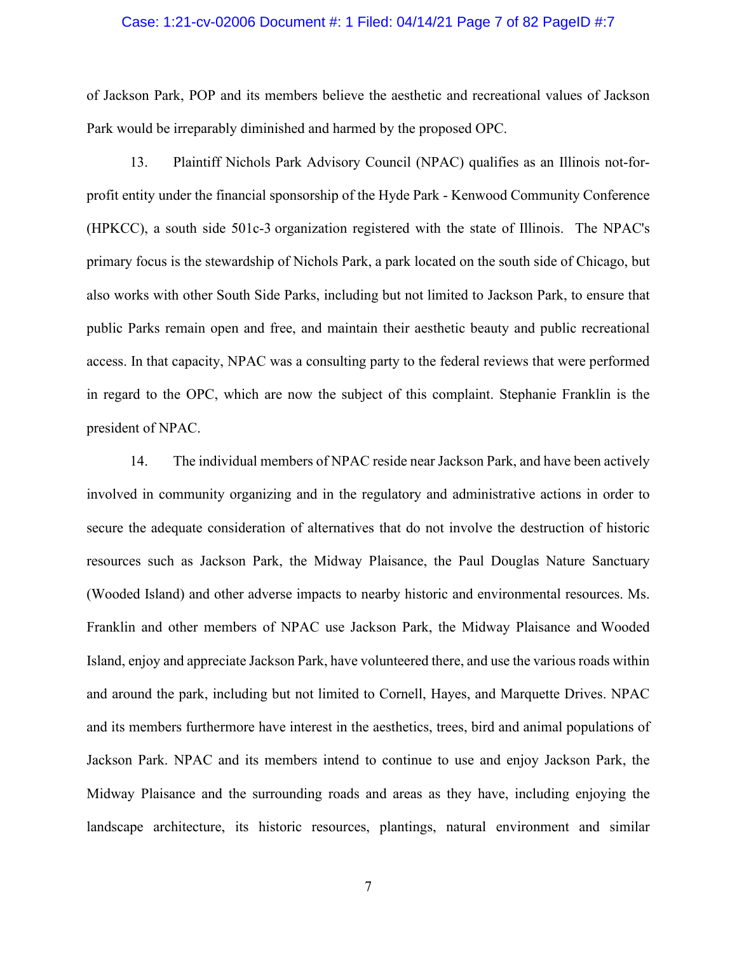### Case: 1:21-cv-02006 Document #: 1 Filed: 04/14/21 Page 7 of 82 PageID #:7

of Jackson Park, POP and its members believe the aesthetic and recreational values of Jackson Park would be irreparably diminished and harmed by the proposed OPC.

13. Plaintiff Nichols Park Advisory Council (NPAC) qualifies as an Illinois not-forprofit entity under the financial sponsorship of the Hyde Park - Kenwood Community Conference (HPKCC), a south side 501c-3 organization registered with the state of Illinois. The NPAC's primary focus is the stewardship of Nichols Park, a park located on the south side of Chicago, but also works with other South Side Parks, including but not limited to Jackson Park, to ensure that public Parks remain open and free, and maintain their aesthetic beauty and public recreational access. In that capacity, NPAC was a consulting party to the federal reviews that were performed in regard to the OPC, which are now the subject of this complaint. Stephanie Franklin is the president of NPAC.

14. The individual members of NPAC reside near Jackson Park, and have been actively involved in community organizing and in the regulatory and administrative actions in order to secure the adequate consideration of alternatives that do not involve the destruction of historic resources such as Jackson Park, the Midway Plaisance, the Paul Douglas Nature Sanctuary (Wooded Island) and other adverse impacts to nearby historic and environmental resources. Ms. Franklin and other members of NPAC use Jackson Park, the Midway Plaisance and Wooded Island, enjoy and appreciate Jackson Park, have volunteered there, and use the various roads within and around the park, including but not limited to Cornell, Hayes, and Marquette Drives. NPAC and its members furthermore have interest in the aesthetics, trees, bird and animal populations of Jackson Park. NPAC and its members intend to continue to use and enjoy Jackson Park, the Midway Plaisance and the surrounding roads and areas as they have, including enjoying the landscape architecture, its historic resources, plantings, natural environment and similar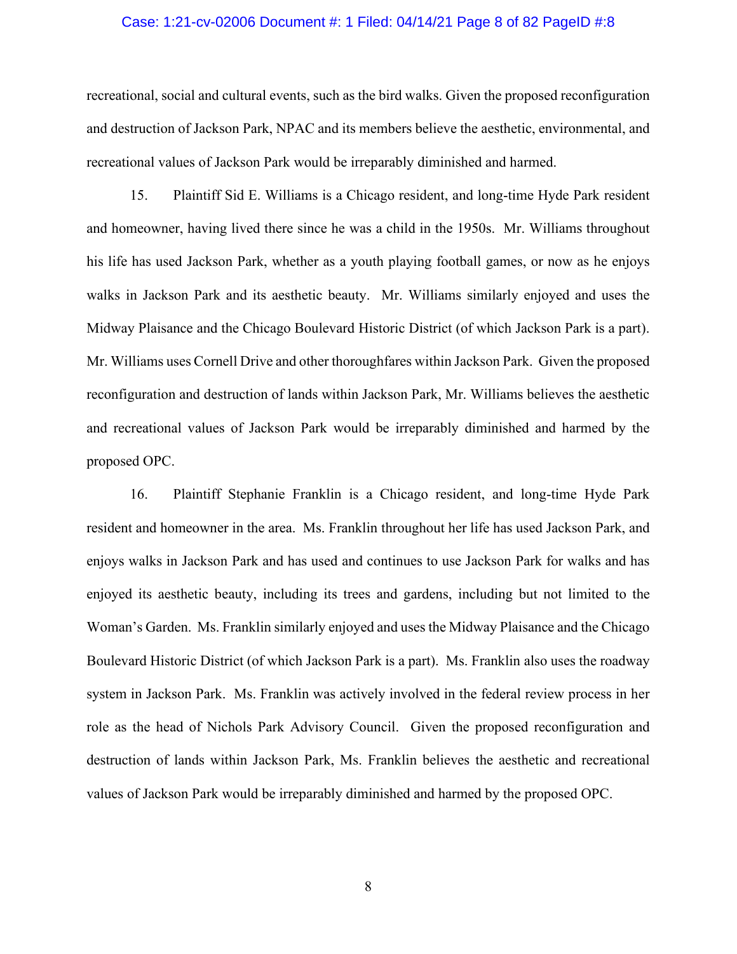#### Case: 1:21-cv-02006 Document #: 1 Filed: 04/14/21 Page 8 of 82 PageID #:8

recreational, social and cultural events, such as the bird walks. Given the proposed reconfiguration and destruction of Jackson Park, NPAC and its members believe the aesthetic, environmental, and recreational values of Jackson Park would be irreparably diminished and harmed.

15. Plaintiff Sid E. Williams is a Chicago resident, and long-time Hyde Park resident and homeowner, having lived there since he was a child in the 1950s. Mr. Williams throughout his life has used Jackson Park, whether as a youth playing football games, or now as he enjoys walks in Jackson Park and its aesthetic beauty. Mr. Williams similarly enjoyed and uses the Midway Plaisance and the Chicago Boulevard Historic District (of which Jackson Park is a part). Mr. Williams uses Cornell Drive and other thoroughfares within Jackson Park. Given the proposed reconfiguration and destruction of lands within Jackson Park, Mr. Williams believes the aesthetic and recreational values of Jackson Park would be irreparably diminished and harmed by the proposed OPC.

16. Plaintiff Stephanie Franklin is a Chicago resident, and long-time Hyde Park resident and homeowner in the area. Ms. Franklin throughout her life has used Jackson Park, and enjoys walks in Jackson Park and has used and continues to use Jackson Park for walks and has enjoyed its aesthetic beauty, including its trees and gardens, including but not limited to the Woman's Garden. Ms. Franklin similarly enjoyed and uses the Midway Plaisance and the Chicago Boulevard Historic District (of which Jackson Park is a part). Ms. Franklin also uses the roadway system in Jackson Park. Ms. Franklin was actively involved in the federal review process in her role as the head of Nichols Park Advisory Council. Given the proposed reconfiguration and destruction of lands within Jackson Park, Ms. Franklin believes the aesthetic and recreational values of Jackson Park would be irreparably diminished and harmed by the proposed OPC.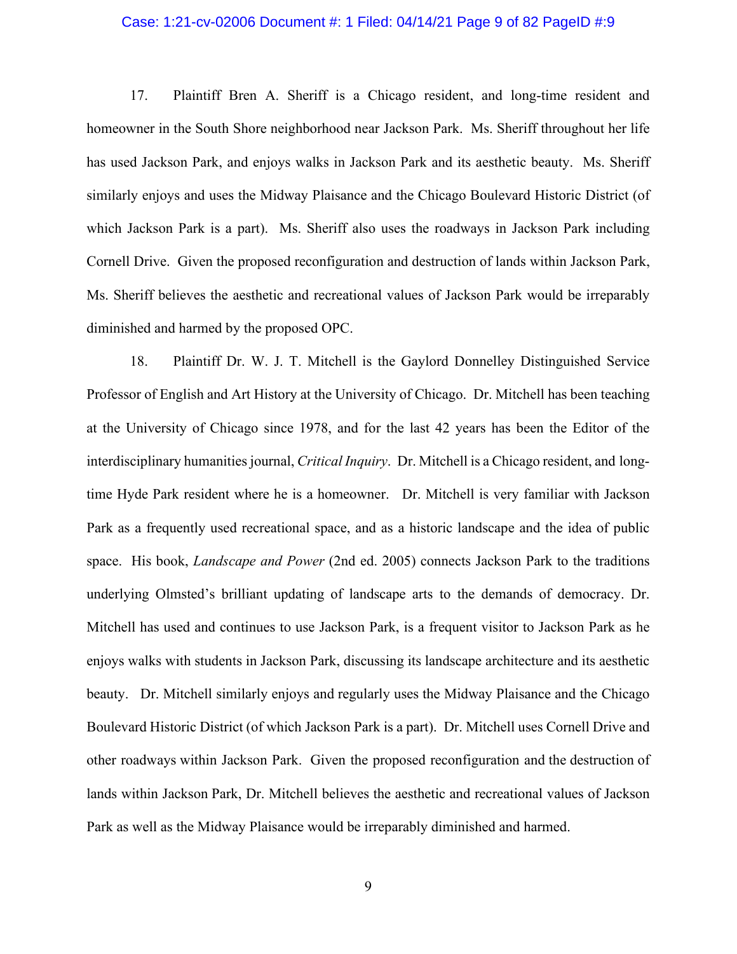#### Case: 1:21-cv-02006 Document #: 1 Filed: 04/14/21 Page 9 of 82 PageID #:9

17. Plaintiff Bren A. Sheriff is a Chicago resident, and long-time resident and homeowner in the South Shore neighborhood near Jackson Park. Ms. Sheriff throughout her life has used Jackson Park, and enjoys walks in Jackson Park and its aesthetic beauty. Ms. Sheriff similarly enjoys and uses the Midway Plaisance and the Chicago Boulevard Historic District (of which Jackson Park is a part). Ms. Sheriff also uses the roadways in Jackson Park including Cornell Drive. Given the proposed reconfiguration and destruction of lands within Jackson Park, Ms. Sheriff believes the aesthetic and recreational values of Jackson Park would be irreparably diminished and harmed by the proposed OPC.

18. Plaintiff Dr. W. J. T. Mitchell is the Gaylord Donnelley Distinguished Service Professor of English and Art History at the University of Chicago. Dr. Mitchell has been teaching at the University of Chicago since 1978, and for the last 42 years has been the Editor of the interdisciplinary humanities journal, *Critical Inquiry*. Dr. Mitchell is a Chicago resident, and longtime Hyde Park resident where he is a homeowner. Dr. Mitchell is very familiar with Jackson Park as a frequently used recreational space, and as a historic landscape and the idea of public space. His book, *Landscape and Power* (2nd ed. 2005) connects Jackson Park to the traditions underlying Olmsted's brilliant updating of landscape arts to the demands of democracy. Dr. Mitchell has used and continues to use Jackson Park, is a frequent visitor to Jackson Park as he enjoys walks with students in Jackson Park, discussing its landscape architecture and its aesthetic beauty. Dr. Mitchell similarly enjoys and regularly uses the Midway Plaisance and the Chicago Boulevard Historic District (of which Jackson Park is a part). Dr. Mitchell uses Cornell Drive and other roadways within Jackson Park. Given the proposed reconfiguration and the destruction of lands within Jackson Park, Dr. Mitchell believes the aesthetic and recreational values of Jackson Park as well as the Midway Plaisance would be irreparably diminished and harmed.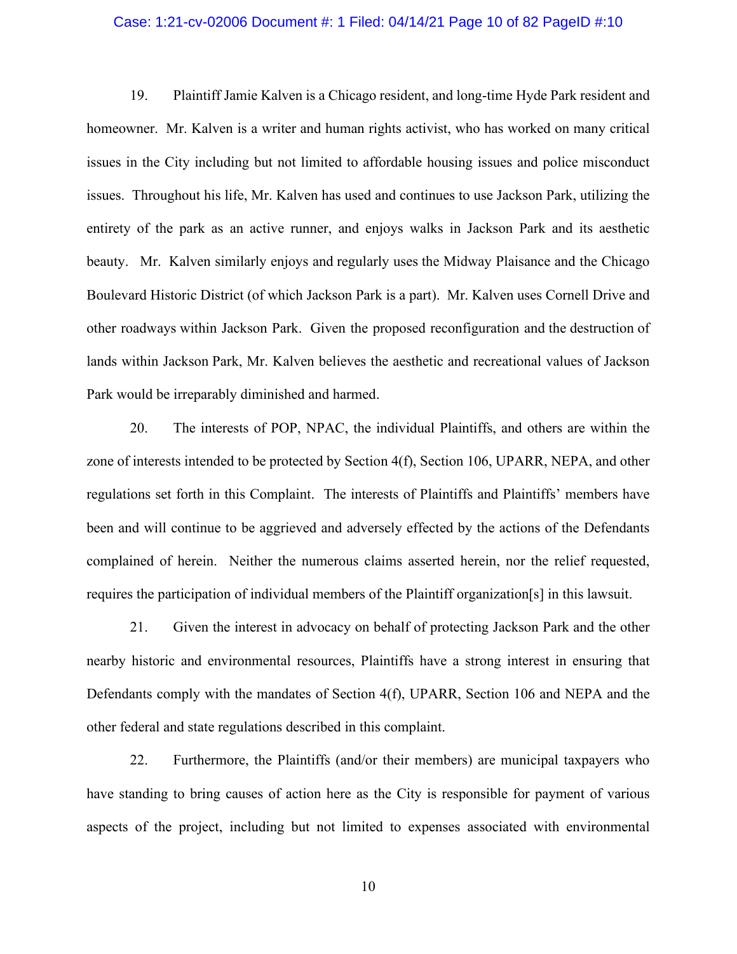### Case: 1:21-cv-02006 Document #: 1 Filed: 04/14/21 Page 10 of 82 PageID #:10

19. Plaintiff Jamie Kalven is a Chicago resident, and long-time Hyde Park resident and homeowner. Mr. Kalven is a writer and human rights activist, who has worked on many critical issues in the City including but not limited to affordable housing issues and police misconduct issues. Throughout his life, Mr. Kalven has used and continues to use Jackson Park, utilizing the entirety of the park as an active runner, and enjoys walks in Jackson Park and its aesthetic beauty. Mr. Kalven similarly enjoys and regularly uses the Midway Plaisance and the Chicago Boulevard Historic District (of which Jackson Park is a part). Mr. Kalven uses Cornell Drive and other roadways within Jackson Park. Given the proposed reconfiguration and the destruction of lands within Jackson Park, Mr. Kalven believes the aesthetic and recreational values of Jackson Park would be irreparably diminished and harmed.

20. The interests of POP, NPAC, the individual Plaintiffs, and others are within the zone of interests intended to be protected by Section 4(f), Section 106, UPARR, NEPA, and other regulations set forth in this Complaint. The interests of Plaintiffs and Plaintiffs' members have been and will continue to be aggrieved and adversely effected by the actions of the Defendants complained of herein. Neither the numerous claims asserted herein, nor the relief requested, requires the participation of individual members of the Plaintiff organization[s] in this lawsuit.

21. Given the interest in advocacy on behalf of protecting Jackson Park and the other nearby historic and environmental resources, Plaintiffs have a strong interest in ensuring that Defendants comply with the mandates of Section 4(f), UPARR, Section 106 and NEPA and the other federal and state regulations described in this complaint.

22. Furthermore, the Plaintiffs (and/or their members) are municipal taxpayers who have standing to bring causes of action here as the City is responsible for payment of various aspects of the project, including but not limited to expenses associated with environmental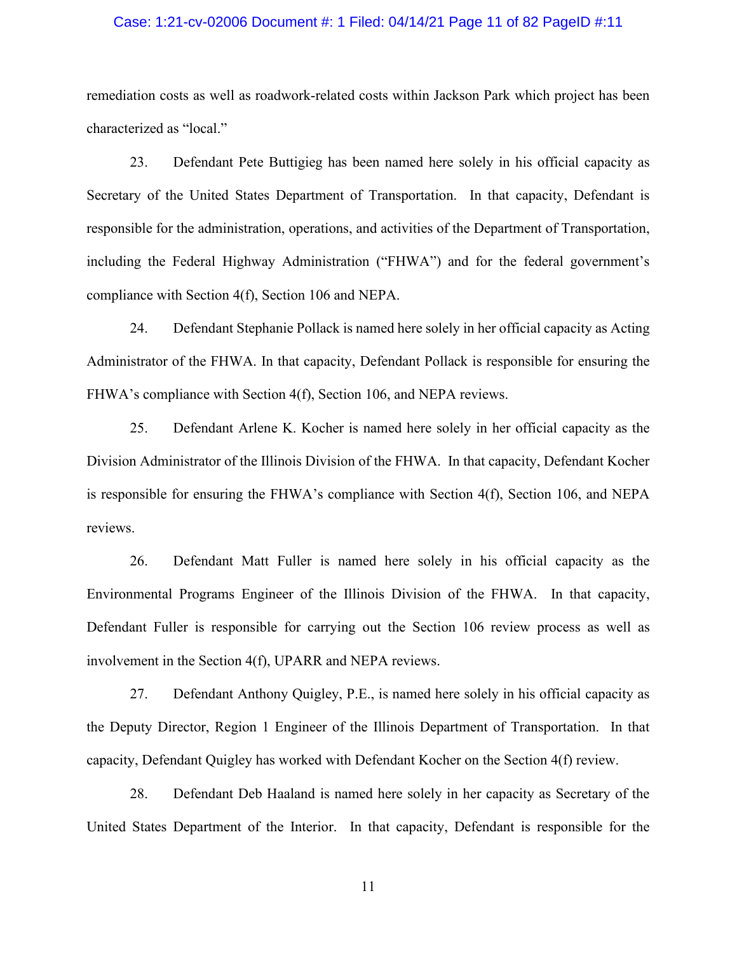### Case: 1:21-cv-02006 Document #: 1 Filed: 04/14/21 Page 11 of 82 PageID #:11

remediation costs as well as roadwork-related costs within Jackson Park which project has been characterized as "local."

23. Defendant Pete Buttigieg has been named here solely in his official capacity as Secretary of the United States Department of Transportation. In that capacity, Defendant is responsible for the administration, operations, and activities of the Department of Transportation, including the Federal Highway Administration ("FHWA") and for the federal government's compliance with Section 4(f), Section 106 and NEPA.

24. Defendant Stephanie Pollack is named here solely in her official capacity as Acting Administrator of the FHWA. In that capacity, Defendant Pollack is responsible for ensuring the FHWA's compliance with Section 4(f), Section 106, and NEPA reviews.

25. Defendant Arlene K. Kocher is named here solely in her official capacity as the Division Administrator of the Illinois Division of the FHWA. In that capacity, Defendant Kocher is responsible for ensuring the FHWA's compliance with Section 4(f), Section 106, and NEPA reviews.

26. Defendant Matt Fuller is named here solely in his official capacity as the Environmental Programs Engineer of the Illinois Division of the FHWA. In that capacity, Defendant Fuller is responsible for carrying out the Section 106 review process as well as involvement in the Section 4(f), UPARR and NEPA reviews.

27. Defendant Anthony Quigley, P.E., is named here solely in his official capacity as the Deputy Director, Region 1 Engineer of the Illinois Department of Transportation. In that capacity, Defendant Quigley has worked with Defendant Kocher on the Section 4(f) review.

28. Defendant Deb Haaland is named here solely in her capacity as Secretary of the United States Department of the Interior. In that capacity, Defendant is responsible for the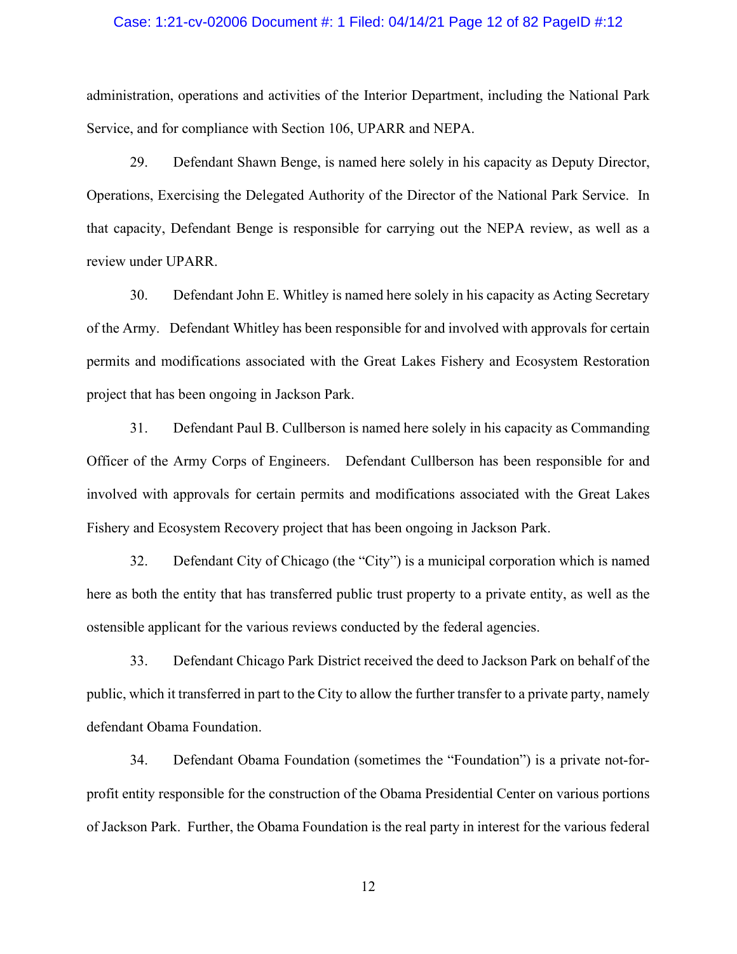#### Case: 1:21-cv-02006 Document #: 1 Filed: 04/14/21 Page 12 of 82 PageID #:12

administration, operations and activities of the Interior Department, including the National Park Service, and for compliance with Section 106, UPARR and NEPA.

29. Defendant Shawn Benge, is named here solely in his capacity as Deputy Director, Operations, Exercising the Delegated Authority of the Director of the National Park Service. In that capacity, Defendant Benge is responsible for carrying out the NEPA review, as well as a review under UPARR.

30. Defendant John E. Whitley is named here solely in his capacity as Acting Secretary of the Army. Defendant Whitley has been responsible for and involved with approvals for certain permits and modifications associated with the Great Lakes Fishery and Ecosystem Restoration project that has been ongoing in Jackson Park.

31. Defendant Paul B. Cullberson is named here solely in his capacity as Commanding Officer of the Army Corps of Engineers. Defendant Cullberson has been responsible for and involved with approvals for certain permits and modifications associated with the Great Lakes Fishery and Ecosystem Recovery project that has been ongoing in Jackson Park.

32. Defendant City of Chicago (the "City") is a municipal corporation which is named here as both the entity that has transferred public trust property to a private entity, as well as the ostensible applicant for the various reviews conducted by the federal agencies.

33. Defendant Chicago Park District received the deed to Jackson Park on behalf of the public, which it transferred in part to the City to allow the further transfer to a private party, namely defendant Obama Foundation.

34. Defendant Obama Foundation (sometimes the "Foundation") is a private not-forprofit entity responsible for the construction of the Obama Presidential Center on various portions of Jackson Park. Further, the Obama Foundation is the real party in interest for the various federal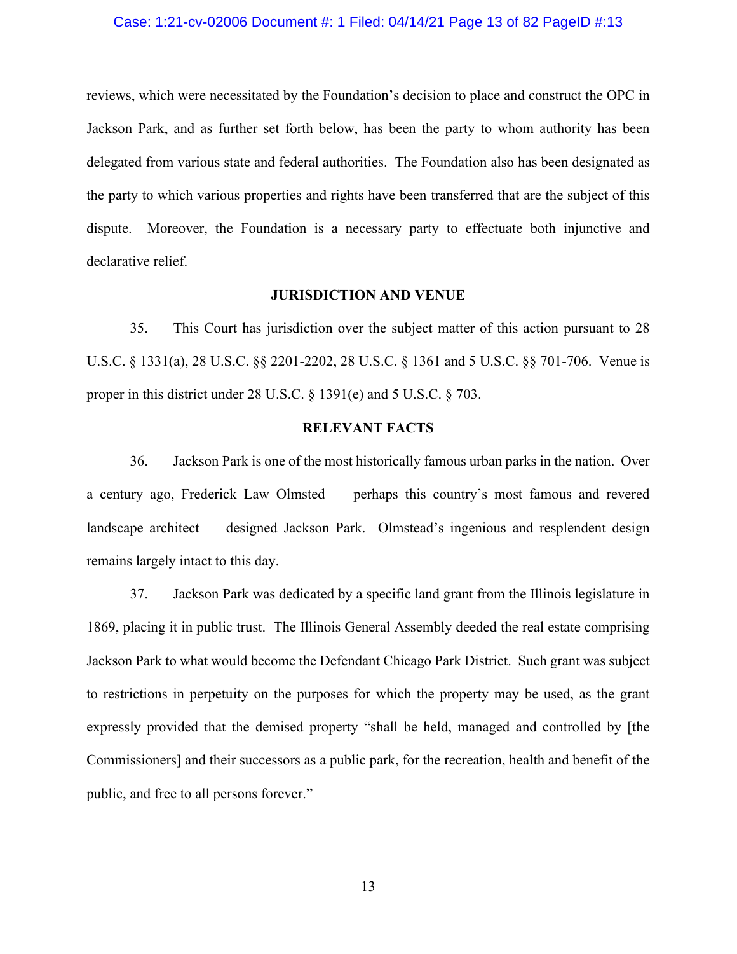#### Case: 1:21-cv-02006 Document #: 1 Filed: 04/14/21 Page 13 of 82 PageID #:13

reviews, which were necessitated by the Foundation's decision to place and construct the OPC in Jackson Park, and as further set forth below, has been the party to whom authority has been delegated from various state and federal authorities. The Foundation also has been designated as the party to which various properties and rights have been transferred that are the subject of this dispute. Moreover, the Foundation is a necessary party to effectuate both injunctive and declarative relief.

#### **JURISDICTION AND VENUE**

35. This Court has jurisdiction over the subject matter of this action pursuant to 28 U.S.C. § 1331(a), 28 U.S.C. §§ 2201-2202, 28 U.S.C. § 1361 and 5 U.S.C. §§ 701-706. Venue is proper in this district under 28 U.S.C. § 1391(e) and 5 U.S.C. § 703.

### **RELEVANT FACTS**

36. Jackson Park is one of the most historically famous urban parks in the nation. Over a century ago, Frederick Law Olmsted — perhaps this country's most famous and revered landscape architect — designed Jackson Park. Olmstead's ingenious and resplendent design remains largely intact to this day.

37. Jackson Park was dedicated by a specific land grant from the Illinois legislature in 1869, placing it in public trust. The Illinois General Assembly deeded the real estate comprising Jackson Park to what would become the Defendant Chicago Park District. Such grant was subject to restrictions in perpetuity on the purposes for which the property may be used, as the grant expressly provided that the demised property "shall be held, managed and controlled by [the Commissioners] and their successors as a public park, for the recreation, health and benefit of the public, and free to all persons forever."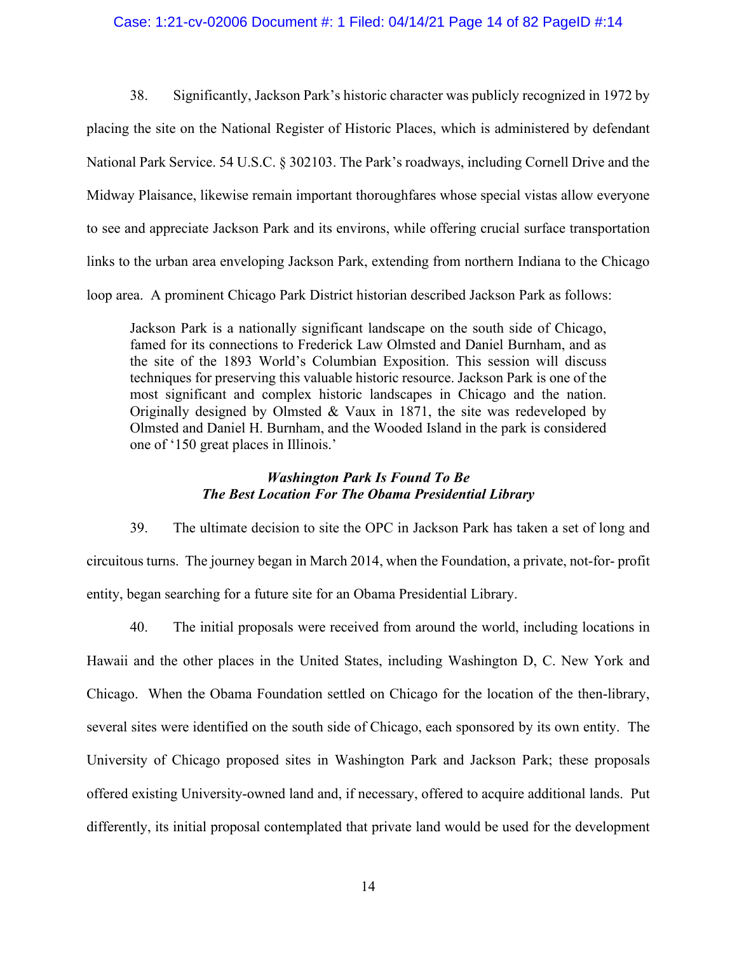### Case: 1:21-cv-02006 Document #: 1 Filed: 04/14/21 Page 14 of 82 PageID #:14

38. Significantly, Jackson Park's historic character was publicly recognized in 1972 by placing the site on the National Register of Historic Places, which is administered by defendant National Park Service. 54 U.S.C. § 302103. The Park's roadways, including Cornell Drive and the Midway Plaisance, likewise remain important thoroughfares whose special vistas allow everyone to see and appreciate Jackson Park and its environs, while offering crucial surface transportation links to the urban area enveloping Jackson Park, extending from northern Indiana to the Chicago loop area. A prominent Chicago Park District historian described Jackson Park as follows:

Jackson Park is a nationally significant landscape on the south side of Chicago, famed for its connections to Frederick Law Olmsted and Daniel Burnham, and as the site of the 1893 World's Columbian Exposition. This session will discuss techniques for preserving this valuable historic resource. Jackson Park is one of the most significant and complex historic landscapes in Chicago and the nation. Originally designed by Olmsted & Vaux in 1871, the site was redeveloped by Olmsted and Daniel H. Burnham, and the Wooded Island in the park is considered one of '150 great places in Illinois.'

## *Washington Park Is Found To Be The Best Location For The Obama Presidential Library*

39. The ultimate decision to site the OPC in Jackson Park has taken a set of long and circuitous turns. The journey began in March 2014, when the Foundation, a private, not-for- profit entity, began searching for a future site for an Obama Presidential Library.

40. The initial proposals were received from around the world, including locations in Hawaii and the other places in the United States, including Washington D, C. New York and Chicago. When the Obama Foundation settled on Chicago for the location of the then-library, several sites were identified on the south side of Chicago, each sponsored by its own entity. The University of Chicago proposed sites in Washington Park and Jackson Park; these proposals offered existing University-owned land and, if necessary, offered to acquire additional lands. Put differently, its initial proposal contemplated that private land would be used for the development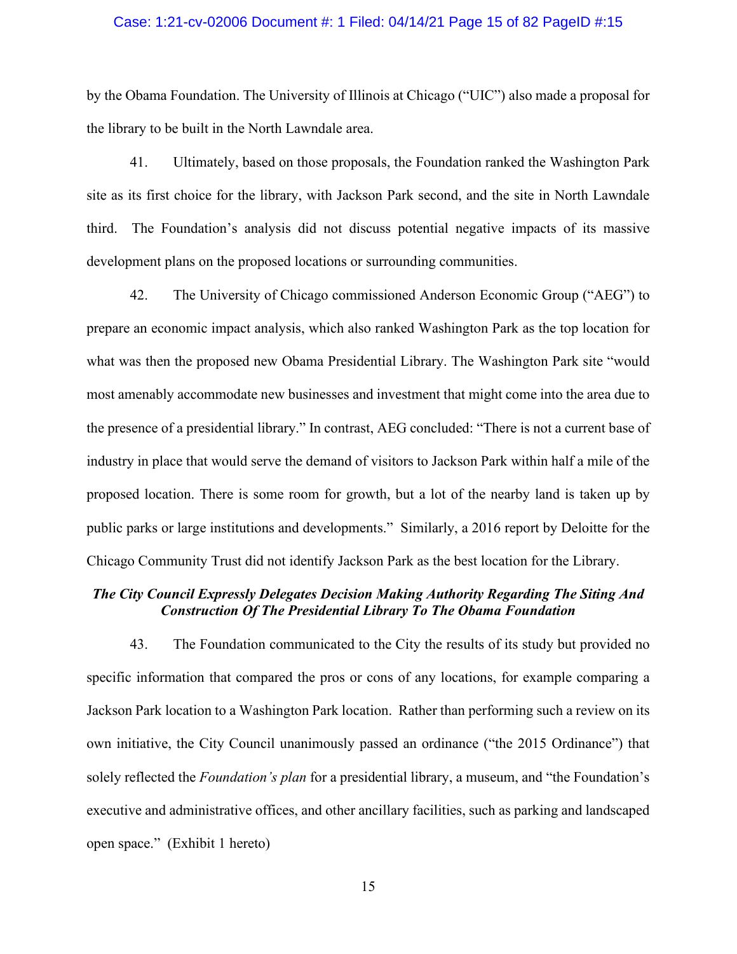#### Case: 1:21-cv-02006 Document #: 1 Filed: 04/14/21 Page 15 of 82 PageID #:15

by the Obama Foundation. The University of Illinois at Chicago ("UIC") also made a proposal for the library to be built in the North Lawndale area.

41. Ultimately, based on those proposals, the Foundation ranked the Washington Park site as its first choice for the library, with Jackson Park second, and the site in North Lawndale third. The Foundation's analysis did not discuss potential negative impacts of its massive development plans on the proposed locations or surrounding communities.

42. The University of Chicago commissioned Anderson Economic Group ("AEG") to prepare an economic impact analysis, which also ranked Washington Park as the top location for what was then the proposed new Obama Presidential Library. The Washington Park site "would most amenably accommodate new businesses and investment that might come into the area due to the presence of a presidential library." In contrast, AEG concluded: "There is not a current base of industry in place that would serve the demand of visitors to Jackson Park within half a mile of the proposed location. There is some room for growth, but a lot of the nearby land is taken up by public parks or large institutions and developments." Similarly, a 2016 report by Deloitte for the Chicago Community Trust did not identify Jackson Park as the best location for the Library.

### *The City Council Expressly Delegates Decision Making Authority Regarding The Siting And Construction Of The Presidential Library To The Obama Foundation*

43. The Foundation communicated to the City the results of its study but provided no specific information that compared the pros or cons of any locations, for example comparing a Jackson Park location to a Washington Park location. Rather than performing such a review on its own initiative, the City Council unanimously passed an ordinance ("the 2015 Ordinance") that solely reflected the *Foundation's plan* for a presidential library, a museum, and "the Foundation's executive and administrative offices, and other ancillary facilities, such as parking and landscaped open space." (Exhibit 1 hereto)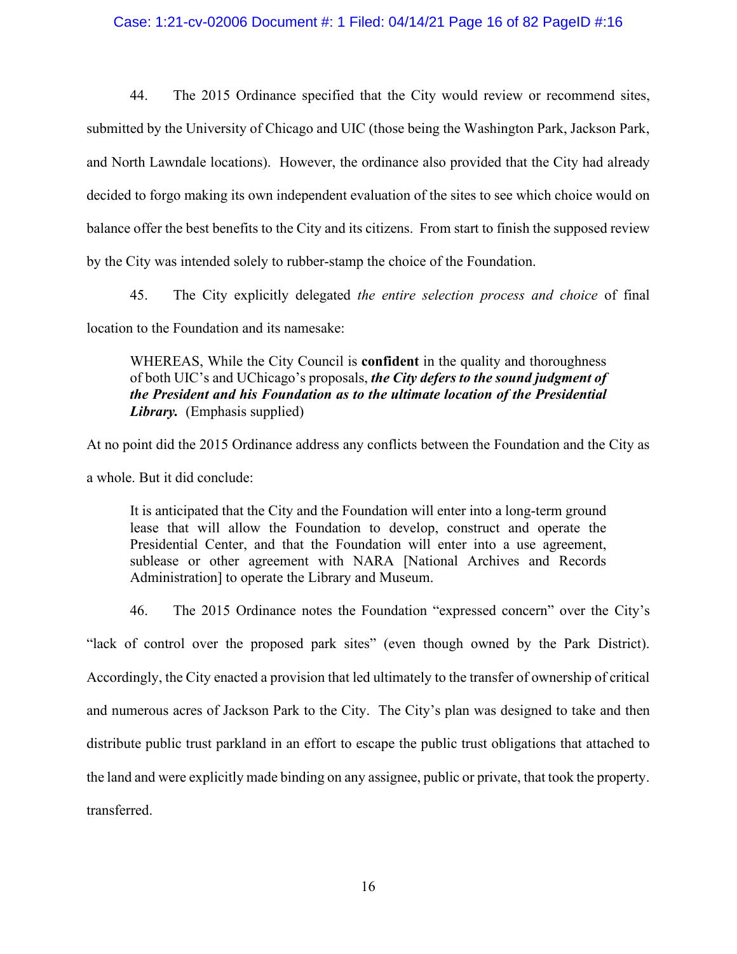### Case: 1:21-cv-02006 Document #: 1 Filed: 04/14/21 Page 16 of 82 PageID #:16

44. The 2015 Ordinance specified that the City would review or recommend sites, submitted by the University of Chicago and UIC (those being the Washington Park, Jackson Park, and North Lawndale locations). However, the ordinance also provided that the City had already decided to forgo making its own independent evaluation of the sites to see which choice would on balance offer the best benefits to the City and its citizens. From start to finish the supposed review by the City was intended solely to rubber-stamp the choice of the Foundation.

45. The City explicitly delegated *the entire selection process and choice* of final location to the Foundation and its namesake:

WHEREAS, While the City Council is **confident** in the quality and thoroughness of both UIC's and UChicago's proposals, *the City defers to the sound judgment of the President and his Foundation as to the ultimate location of the Presidential Library.* (Emphasis supplied)

At no point did the 2015 Ordinance address any conflicts between the Foundation and the City as a whole. But it did conclude:

It is anticipated that the City and the Foundation will enter into a long-term ground lease that will allow the Foundation to develop, construct and operate the Presidential Center, and that the Foundation will enter into a use agreement, sublease or other agreement with NARA [National Archives and Records Administration] to operate the Library and Museum.

46. The 2015 Ordinance notes the Foundation "expressed concern" over the City's "lack of control over the proposed park sites" (even though owned by the Park District). Accordingly, the City enacted a provision that led ultimately to the transfer of ownership of critical and numerous acres of Jackson Park to the City. The City's plan was designed to take and then distribute public trust parkland in an effort to escape the public trust obligations that attached to the land and were explicitly made binding on any assignee, public or private, that took the property. transferred.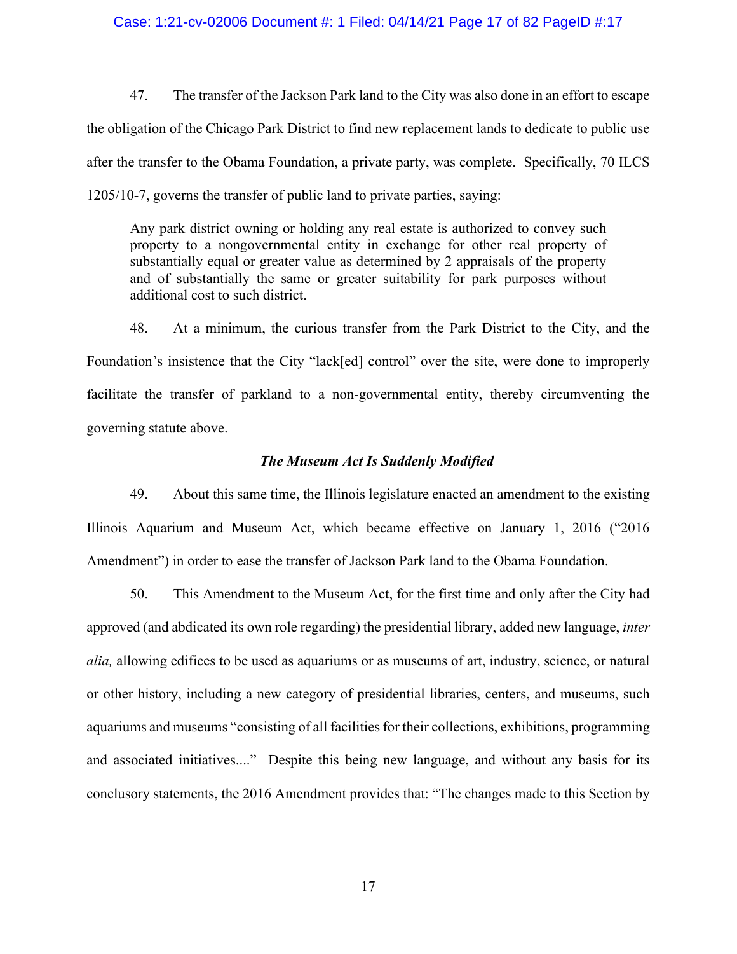#### Case: 1:21-cv-02006 Document #: 1 Filed: 04/14/21 Page 17 of 82 PageID #:17

47. The transfer of the Jackson Park land to the City was also done in an effort to escape the obligation of the Chicago Park District to find new replacement lands to dedicate to public use after the transfer to the Obama Foundation, a private party, was complete. Specifically, 70 ILCS 1205/10-7, governs the transfer of public land to private parties, saying:

Any park district owning or holding any real estate is authorized to convey such property to a nongovernmental entity in exchange for other real property of substantially equal or greater value as determined by 2 appraisals of the property and of substantially the same or greater suitability for park purposes without additional cost to such district.

48. At a minimum, the curious transfer from the Park District to the City, and the Foundation's insistence that the City "lack[ed] control" over the site, were done to improperly facilitate the transfer of parkland to a non-governmental entity, thereby circumventing the governing statute above.

### *The Museum Act Is Suddenly Modified*

49. About this same time, the Illinois legislature enacted an amendment to the existing Illinois Aquarium and Museum Act, which became effective on January 1, 2016 ("2016 Amendment") in order to ease the transfer of Jackson Park land to the Obama Foundation.

50. This Amendment to the Museum Act, for the first time and only after the City had approved (and abdicated its own role regarding) the presidential library, added new language, *inter alia,* allowing edifices to be used as aquariums or as museums of art, industry, science, or natural or other history, including a new category of presidential libraries, centers, and museums, such aquariums and museums "consisting of all facilities for their collections, exhibitions, programming and associated initiatives...." Despite this being new language, and without any basis for its conclusory statements, the 2016 Amendment provides that: "The changes made to this Section by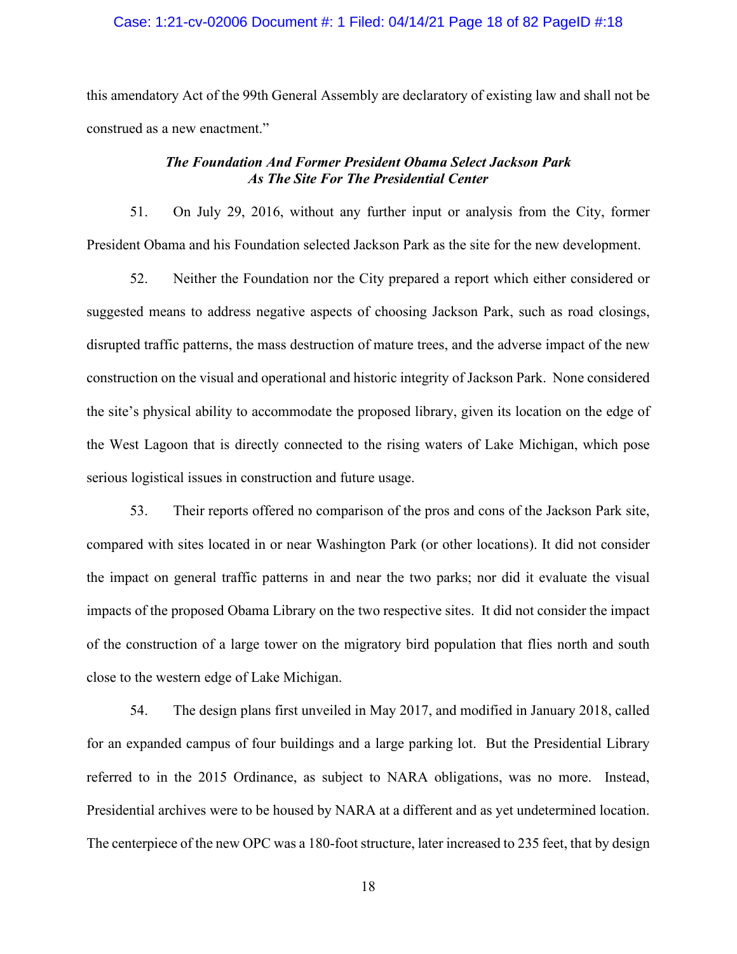### Case: 1:21-cv-02006 Document #: 1 Filed: 04/14/21 Page 18 of 82 PageID #:18

this amendatory Act of the 99th General Assembly are declaratory of existing law and shall not be construed as a new enactment."

## *The Foundation And Former President Obama Select Jackson Park As The Site For The Presidential Center*

51. On July 29, 2016, without any further input or analysis from the City, former President Obama and his Foundation selected Jackson Park as the site for the new development.

52. Neither the Foundation nor the City prepared a report which either considered or suggested means to address negative aspects of choosing Jackson Park, such as road closings, disrupted traffic patterns, the mass destruction of mature trees, and the adverse impact of the new construction on the visual and operational and historic integrity of Jackson Park. None considered the site's physical ability to accommodate the proposed library, given its location on the edge of the West Lagoon that is directly connected to the rising waters of Lake Michigan, which pose serious logistical issues in construction and future usage.

53. Their reports offered no comparison of the pros and cons of the Jackson Park site, compared with sites located in or near Washington Park (or other locations). It did not consider the impact on general traffic patterns in and near the two parks; nor did it evaluate the visual impacts of the proposed Obama Library on the two respective sites. It did not consider the impact of the construction of a large tower on the migratory bird population that flies north and south close to the western edge of Lake Michigan.

54. The design plans first unveiled in May 2017, and modified in January 2018, called for an expanded campus of four buildings and a large parking lot. But the Presidential Library referred to in the 2015 Ordinance, as subject to NARA obligations, was no more. Instead, Presidential archives were to be housed by NARA at a different and as yet undetermined location. The centerpiece of the new OPC was a 180-foot structure, later increased to 235 feet, that by design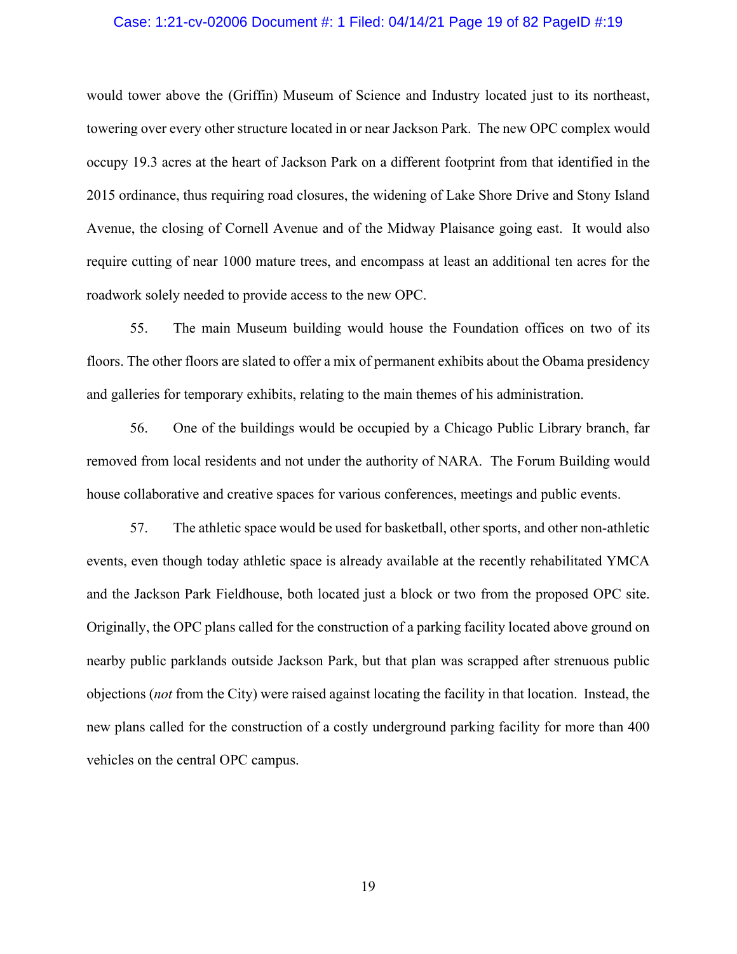#### Case: 1:21-cv-02006 Document #: 1 Filed: 04/14/21 Page 19 of 82 PageID #:19

would tower above the (Griffin) Museum of Science and Industry located just to its northeast, towering over every other structure located in or near Jackson Park. The new OPC complex would occupy 19.3 acres at the heart of Jackson Park on a different footprint from that identified in the 2015 ordinance, thus requiring road closures, the widening of Lake Shore Drive and Stony Island Avenue, the closing of Cornell Avenue and of the Midway Plaisance going east. It would also require cutting of near 1000 mature trees, and encompass at least an additional ten acres for the roadwork solely needed to provide access to the new OPC.

55. The main Museum building would house the Foundation offices on two of its floors. The other floors are slated to offer a mix of permanent exhibits about the Obama presidency and galleries for temporary exhibits, relating to the main themes of his administration.

56. One of the buildings would be occupied by a Chicago Public Library branch, far removed from local residents and not under the authority of NARA. The Forum Building would house collaborative and creative spaces for various conferences, meetings and public events.

57. The athletic space would be used for basketball, other sports, and other non-athletic events, even though today athletic space is already available at the recently rehabilitated YMCA and the Jackson Park Fieldhouse, both located just a block or two from the proposed OPC site. Originally, the OPC plans called for the construction of a parking facility located above ground on nearby public parklands outside Jackson Park, but that plan was scrapped after strenuous public objections (*not* from the City) were raised against locating the facility in that location. Instead, the new plans called for the construction of a costly underground parking facility for more than 400 vehicles on the central OPC campus.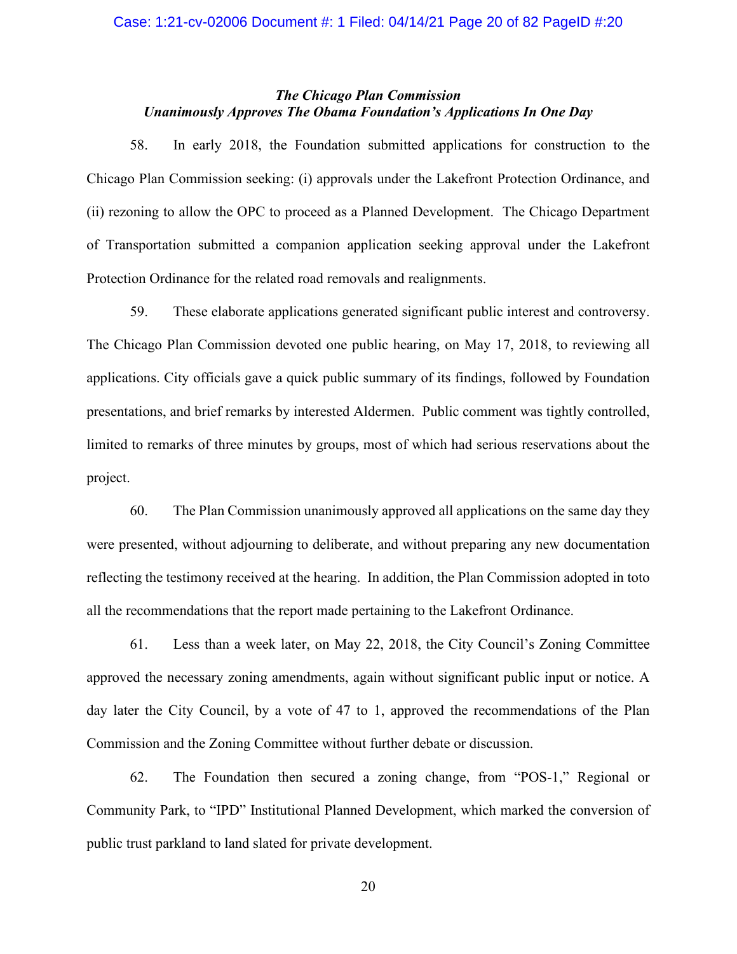### Case: 1:21-cv-02006 Document #: 1 Filed: 04/14/21 Page 20 of 82 PageID #:20

## *The Chicago Plan Commission Unanimously Approves The Obama Foundation's Applications In One Day*

58. In early 2018, the Foundation submitted applications for construction to the Chicago Plan Commission seeking: (i) approvals under the Lakefront Protection Ordinance, and (ii) rezoning to allow the OPC to proceed as a Planned Development. The Chicago Department of Transportation submitted a companion application seeking approval under the Lakefront Protection Ordinance for the related road removals and realignments.

59. These elaborate applications generated significant public interest and controversy. The Chicago Plan Commission devoted one public hearing, on May 17, 2018, to reviewing all applications. City officials gave a quick public summary of its findings, followed by Foundation presentations, and brief remarks by interested Aldermen. Public comment was tightly controlled, limited to remarks of three minutes by groups, most of which had serious reservations about the project.

60. The Plan Commission unanimously approved all applications on the same day they were presented, without adjourning to deliberate, and without preparing any new documentation reflecting the testimony received at the hearing. In addition, the Plan Commission adopted in toto all the recommendations that the report made pertaining to the Lakefront Ordinance.

61. Less than a week later, on May 22, 2018, the City Council's Zoning Committee approved the necessary zoning amendments, again without significant public input or notice. A day later the City Council, by a vote of 47 to 1, approved the recommendations of the Plan Commission and the Zoning Committee without further debate or discussion.

62. The Foundation then secured a zoning change, from "POS-1," Regional or Community Park, to "IPD" Institutional Planned Development, which marked the conversion of public trust parkland to land slated for private development.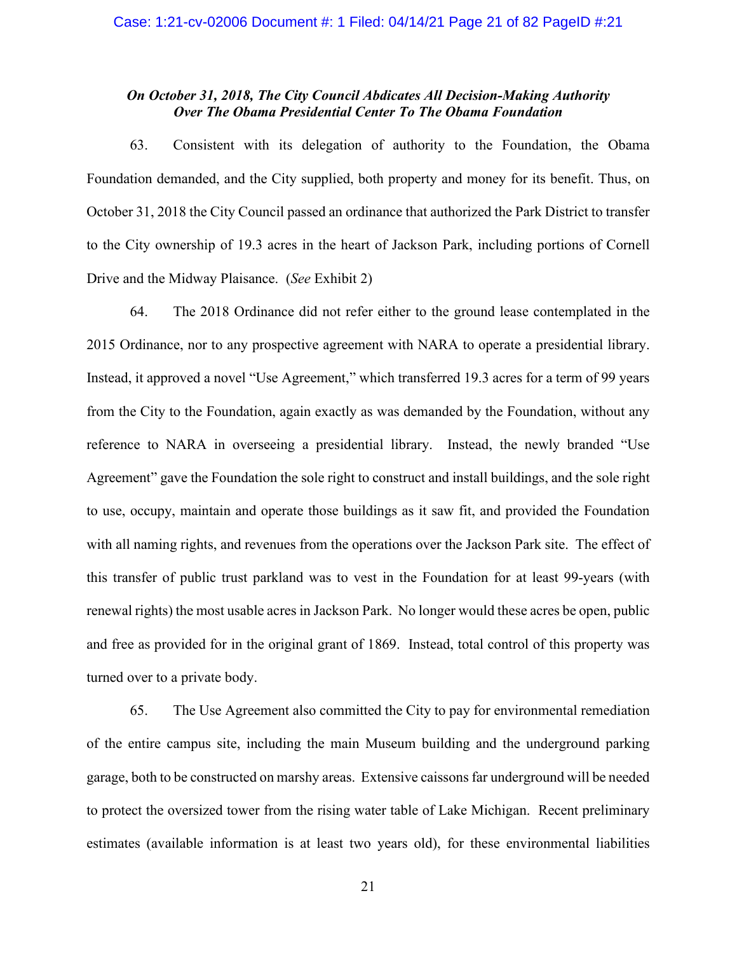## *On October 31, 2018, The City Council Abdicates All Decision-Making Authority Over The Obama Presidential Center To The Obama Foundation*

63. Consistent with its delegation of authority to the Foundation, the Obama Foundation demanded, and the City supplied, both property and money for its benefit. Thus, on October 31, 2018 the City Council passed an ordinance that authorized the Park District to transfer to the City ownership of 19.3 acres in the heart of Jackson Park, including portions of Cornell Drive and the Midway Plaisance. (*See* Exhibit 2)

64. The 2018 Ordinance did not refer either to the ground lease contemplated in the 2015 Ordinance, nor to any prospective agreement with NARA to operate a presidential library. Instead, it approved a novel "Use Agreement," which transferred 19.3 acres for a term of 99 years from the City to the Foundation, again exactly as was demanded by the Foundation, without any reference to NARA in overseeing a presidential library. Instead, the newly branded "Use Agreement" gave the Foundation the sole right to construct and install buildings, and the sole right to use, occupy, maintain and operate those buildings as it saw fit, and provided the Foundation with all naming rights, and revenues from the operations over the Jackson Park site. The effect of this transfer of public trust parkland was to vest in the Foundation for at least 99-years (with renewal rights) the most usable acres in Jackson Park. No longer would these acres be open, public and free as provided for in the original grant of 1869. Instead, total control of this property was turned over to a private body.

65. The Use Agreement also committed the City to pay for environmental remediation of the entire campus site, including the main Museum building and the underground parking garage, both to be constructed on marshy areas. Extensive caissons far underground will be needed to protect the oversized tower from the rising water table of Lake Michigan. Recent preliminary estimates (available information is at least two years old), for these environmental liabilities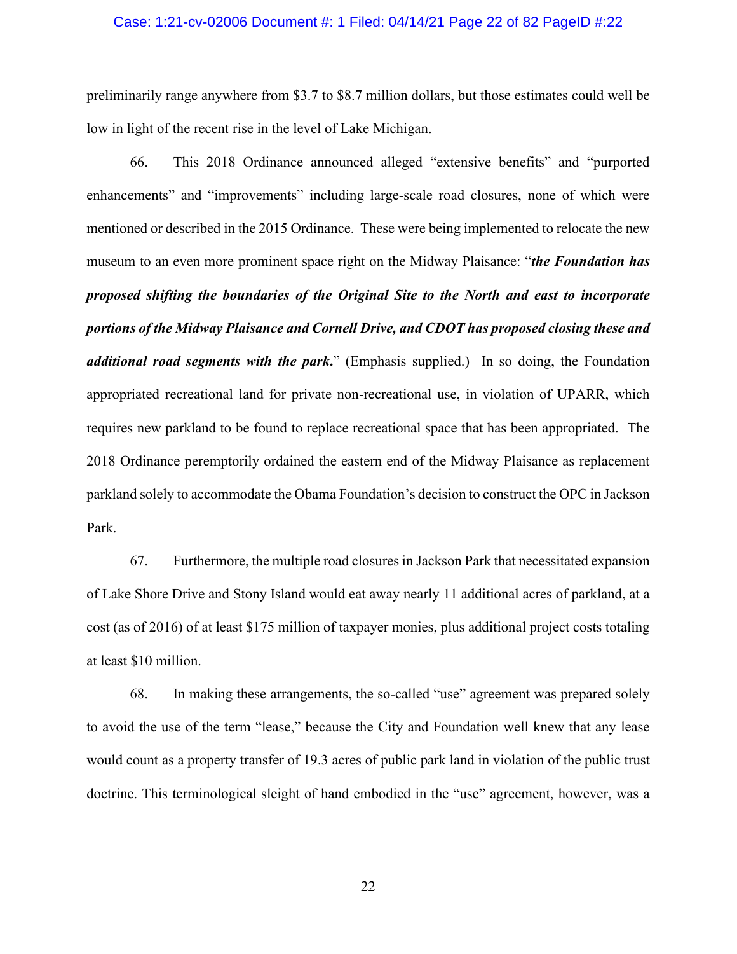#### Case: 1:21-cv-02006 Document #: 1 Filed: 04/14/21 Page 22 of 82 PageID #:22

preliminarily range anywhere from \$3.7 to \$8.7 million dollars, but those estimates could well be low in light of the recent rise in the level of Lake Michigan.

66. This 2018 Ordinance announced alleged "extensive benefits" and "purported enhancements" and "improvements" including large-scale road closures, none of which were mentioned or described in the 2015 Ordinance. These were being implemented to relocate the new museum to an even more prominent space right on the Midway Plaisance: "*the Foundation has proposed shifting the boundaries of the Original Site to the North and east to incorporate portions of the Midway Plaisance and Cornell Drive, and CDOT has proposed closing these and additional road segments with the park***.**" (Emphasis supplied.) In so doing, the Foundation appropriated recreational land for private non-recreational use, in violation of UPARR, which requires new parkland to be found to replace recreational space that has been appropriated. The 2018 Ordinance peremptorily ordained the eastern end of the Midway Plaisance as replacement parkland solely to accommodate the Obama Foundation's decision to construct the OPC in Jackson Park.

67. Furthermore, the multiple road closures in Jackson Park that necessitated expansion of Lake Shore Drive and Stony Island would eat away nearly 11 additional acres of parkland, at a cost (as of 2016) of at least \$175 million of taxpayer monies, plus additional project costs totaling at least \$10 million.

68. In making these arrangements, the so-called "use" agreement was prepared solely to avoid the use of the term "lease," because the City and Foundation well knew that any lease would count as a property transfer of 19.3 acres of public park land in violation of the public trust doctrine. This terminological sleight of hand embodied in the "use" agreement, however, was a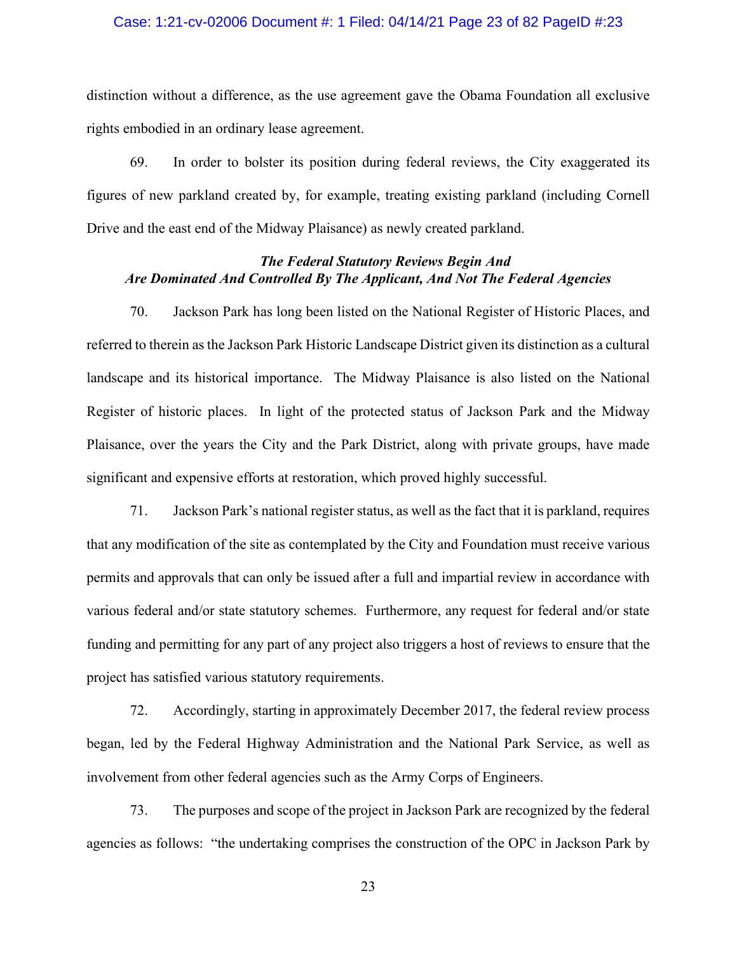#### Case: 1:21-cv-02006 Document #: 1 Filed: 04/14/21 Page 23 of 82 PageID #:23

distinction without a difference, as the use agreement gave the Obama Foundation all exclusive rights embodied in an ordinary lease agreement.

69. In order to bolster its position during federal reviews, the City exaggerated its figures of new parkland created by, for example, treating existing parkland (including Cornell Drive and the east end of the Midway Plaisance) as newly created parkland.

## *The Federal Statutory Reviews Begin And Are Dominated And Controlled By The Applicant, And Not The Federal Agencies*

70. Jackson Park has long been listed on the National Register of Historic Places, and referred to therein as the Jackson Park Historic Landscape District given its distinction as a cultural landscape and its historical importance. The Midway Plaisance is also listed on the National Register of historic places. In light of the protected status of Jackson Park and the Midway Plaisance, over the years the City and the Park District, along with private groups, have made significant and expensive efforts at restoration, which proved highly successful.

71. Jackson Park's national register status, as well as the fact that it is parkland, requires that any modification of the site as contemplated by the City and Foundation must receive various permits and approvals that can only be issued after a full and impartial review in accordance with various federal and/or state statutory schemes. Furthermore, any request for federal and/or state funding and permitting for any part of any project also triggers a host of reviews to ensure that the project has satisfied various statutory requirements.

72. Accordingly, starting in approximately December 2017, the federal review process began, led by the Federal Highway Administration and the National Park Service, as well as involvement from other federal agencies such as the Army Corps of Engineers.

73. The purposes and scope of the project in Jackson Park are recognized by the federal agencies as follows: "the undertaking comprises the construction of the OPC in Jackson Park by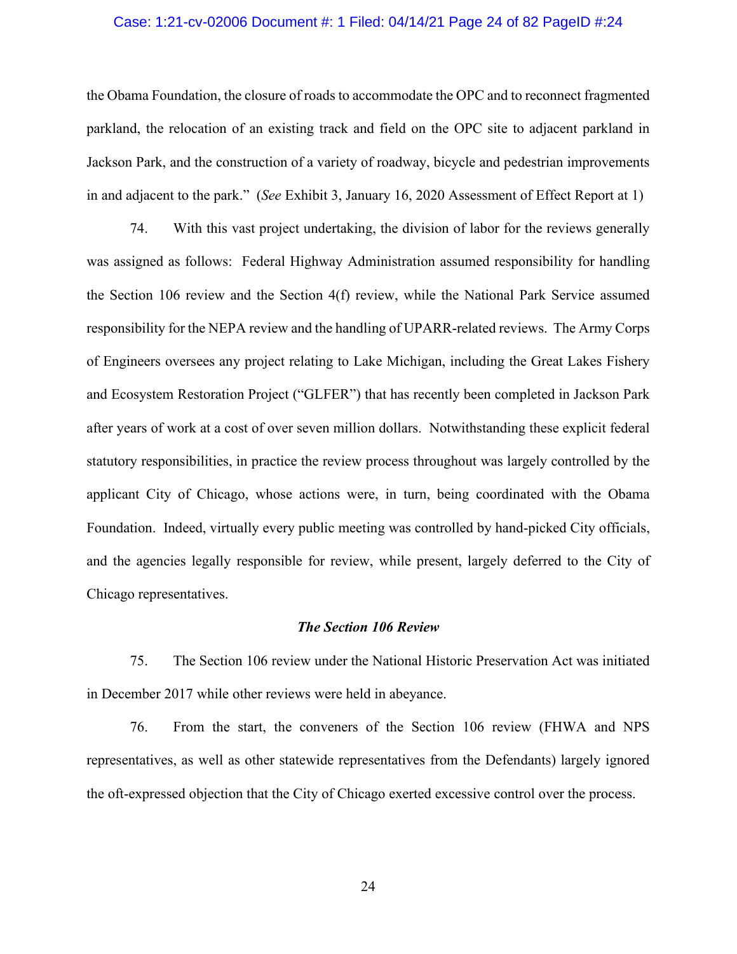### Case: 1:21-cv-02006 Document #: 1 Filed: 04/14/21 Page 24 of 82 PageID #:24

the Obama Foundation, the closure of roads to accommodate the OPC and to reconnect fragmented parkland, the relocation of an existing track and field on the OPC site to adjacent parkland in Jackson Park, and the construction of a variety of roadway, bicycle and pedestrian improvements in and adjacent to the park." (*See* Exhibit 3, January 16, 2020 Assessment of Effect Report at 1)

74. With this vast project undertaking, the division of labor for the reviews generally was assigned as follows: Federal Highway Administration assumed responsibility for handling the Section 106 review and the Section 4(f) review, while the National Park Service assumed responsibility for the NEPA review and the handling of UPARR-related reviews. The Army Corps of Engineers oversees any project relating to Lake Michigan, including the Great Lakes Fishery and Ecosystem Restoration Project ("GLFER") that has recently been completed in Jackson Park after years of work at a cost of over seven million dollars. Notwithstanding these explicit federal statutory responsibilities, in practice the review process throughout was largely controlled by the applicant City of Chicago, whose actions were, in turn, being coordinated with the Obama Foundation. Indeed, virtually every public meeting was controlled by hand-picked City officials, and the agencies legally responsible for review, while present, largely deferred to the City of Chicago representatives.

#### *The Section 106 Review*

75. The Section 106 review under the National Historic Preservation Act was initiated in December 2017 while other reviews were held in abeyance.

76. From the start, the conveners of the Section 106 review (FHWA and NPS representatives, as well as other statewide representatives from the Defendants) largely ignored the oft-expressed objection that the City of Chicago exerted excessive control over the process.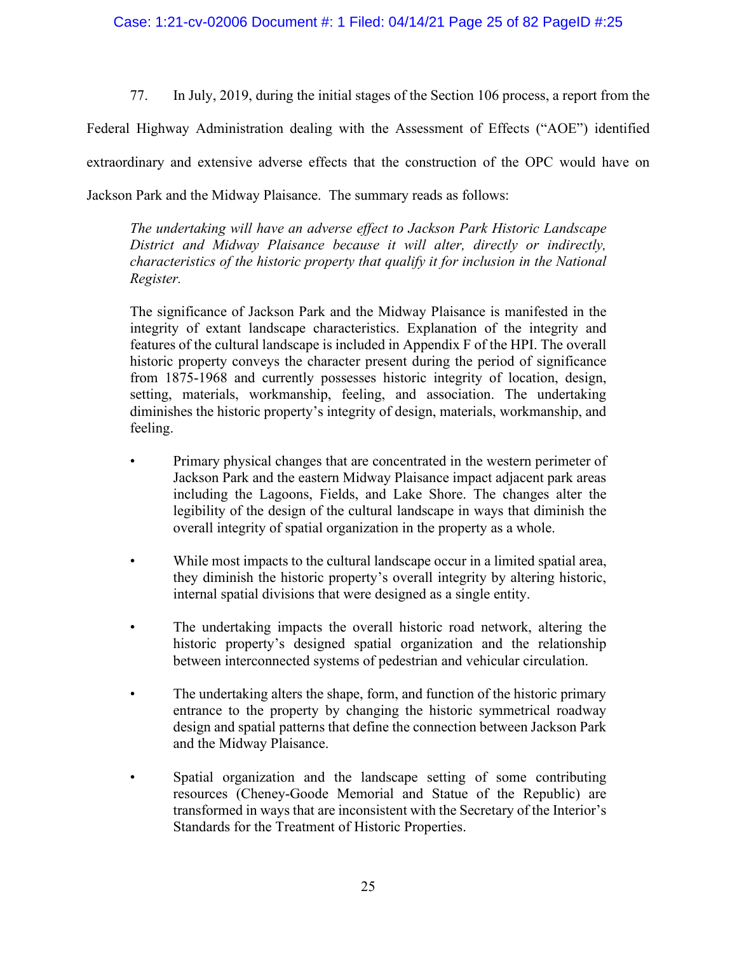77. In July, 2019, during the initial stages of the Section 106 process, a report from the

Federal Highway Administration dealing with the Assessment of Effects ("AOE") identified extraordinary and extensive adverse effects that the construction of the OPC would have on Jackson Park and the Midway Plaisance. The summary reads as follows:

*The undertaking will have an adverse effect to Jackson Park Historic Landscape District and Midway Plaisance because it will alter, directly or indirectly, characteristics of the historic property that qualify it for inclusion in the National Register.*

The significance of Jackson Park and the Midway Plaisance is manifested in the integrity of extant landscape characteristics. Explanation of the integrity and features of the cultural landscape is included in Appendix F of the HPI. The overall historic property conveys the character present during the period of significance from 1875-1968 and currently possesses historic integrity of location, design, setting, materials, workmanship, feeling, and association. The undertaking diminishes the historic property's integrity of design, materials, workmanship, and feeling.

- Primary physical changes that are concentrated in the western perimeter of Jackson Park and the eastern Midway Plaisance impact adjacent park areas including the Lagoons, Fields, and Lake Shore. The changes alter the legibility of the design of the cultural landscape in ways that diminish the overall integrity of spatial organization in the property as a whole.
- While most impacts to the cultural landscape occur in a limited spatial area, they diminish the historic property's overall integrity by altering historic, internal spatial divisions that were designed as a single entity.
- The undertaking impacts the overall historic road network, altering the historic property's designed spatial organization and the relationship between interconnected systems of pedestrian and vehicular circulation.
- The undertaking alters the shape, form, and function of the historic primary entrance to the property by changing the historic symmetrical roadway design and spatial patterns that define the connection between Jackson Park and the Midway Plaisance.
- Spatial organization and the landscape setting of some contributing resources (Cheney-Goode Memorial and Statue of the Republic) are transformed in ways that are inconsistent with the Secretary of the Interior's Standards for the Treatment of Historic Properties.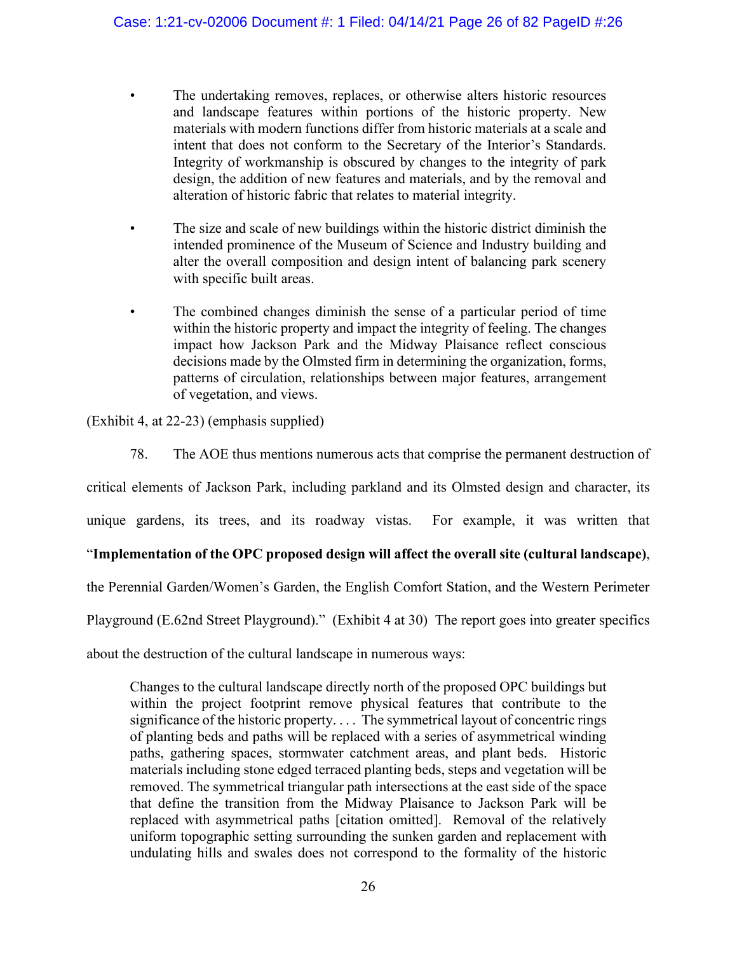- The undertaking removes, replaces, or otherwise alters historic resources and landscape features within portions of the historic property. New materials with modern functions differ from historic materials at a scale and intent that does not conform to the Secretary of the Interior's Standards. Integrity of workmanship is obscured by changes to the integrity of park design, the addition of new features and materials, and by the removal and alteration of historic fabric that relates to material integrity.
- The size and scale of new buildings within the historic district diminish the intended prominence of the Museum of Science and Industry building and alter the overall composition and design intent of balancing park scenery with specific built areas.
- The combined changes diminish the sense of a particular period of time within the historic property and impact the integrity of feeling. The changes impact how Jackson Park and the Midway Plaisance reflect conscious decisions made by the Olmsted firm in determining the organization, forms, patterns of circulation, relationships between major features, arrangement of vegetation, and views.

(Exhibit 4, at 22-23) (emphasis supplied)

78. The AOE thus mentions numerous acts that comprise the permanent destruction of

critical elements of Jackson Park, including parkland and its Olmsted design and character, its

unique gardens, its trees, and its roadway vistas. For example, it was written that

## "**Implementation of the OPC proposed design will affect the overall site (cultural landscape)**,

the Perennial Garden/Women's Garden, the English Comfort Station, and the Western Perimeter

Playground (E.62nd Street Playground)." (Exhibit 4 at 30) The report goes into greater specifics

about the destruction of the cultural landscape in numerous ways:

Changes to the cultural landscape directly north of the proposed OPC buildings but within the project footprint remove physical features that contribute to the significance of the historic property.... The symmetrical layout of concentric rings of planting beds and paths will be replaced with a series of asymmetrical winding paths, gathering spaces, stormwater catchment areas, and plant beds. Historic materials including stone edged terraced planting beds, steps and vegetation will be removed. The symmetrical triangular path intersections at the east side of the space that define the transition from the Midway Plaisance to Jackson Park will be replaced with asymmetrical paths [citation omitted]. Removal of the relatively uniform topographic setting surrounding the sunken garden and replacement with undulating hills and swales does not correspond to the formality of the historic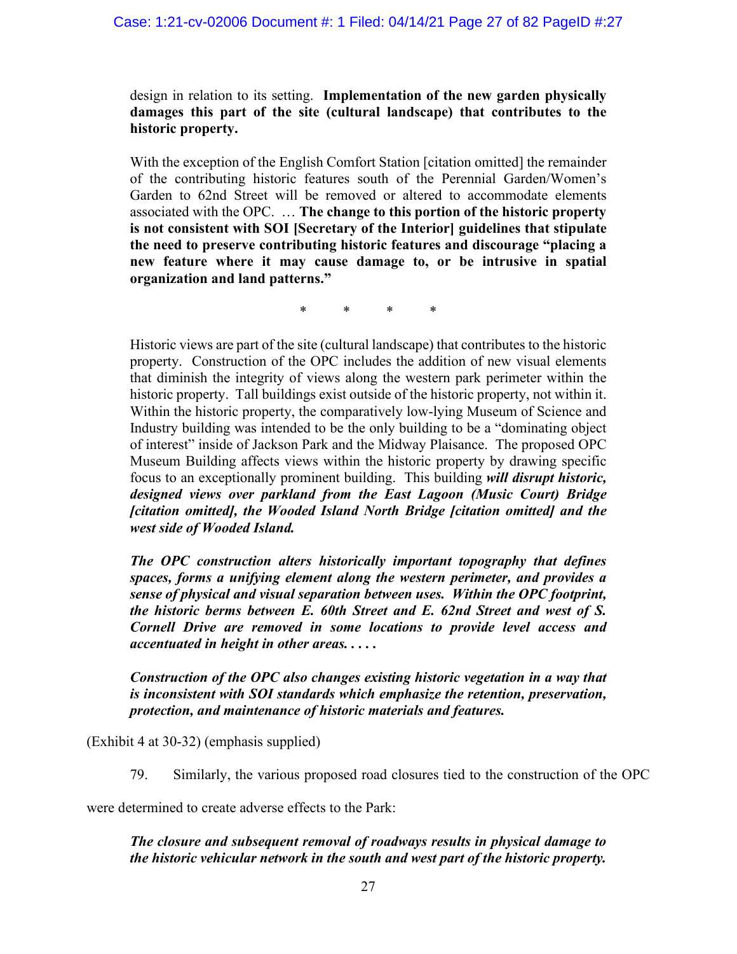### Case: 1:21-cv-02006 Document #: 1 Filed: 04/14/21 Page 27 of 82 PageID #:27

design in relation to its setting. **Implementation of the new garden physically damages this part of the site (cultural landscape) that contributes to the historic property.**

With the exception of the English Comfort Station [citation omitted] the remainder of the contributing historic features south of the Perennial Garden/Women's Garden to 62nd Street will be removed or altered to accommodate elements associated with the OPC. … **The change to this portion of the historic property is not consistent with SOI [Secretary of the Interior] guidelines that stipulate the need to preserve contributing historic features and discourage "placing a new feature where it may cause damage to, or be intrusive in spatial organization and land patterns."**

\* \* \* \*

Historic views are part of the site (cultural landscape) that contributes to the historic property. Construction of the OPC includes the addition of new visual elements that diminish the integrity of views along the western park perimeter within the historic property. Tall buildings exist outside of the historic property, not within it. Within the historic property, the comparatively low-lying Museum of Science and Industry building was intended to be the only building to be a "dominating object of interest" inside of Jackson Park and the Midway Plaisance. The proposed OPC Museum Building affects views within the historic property by drawing specific focus to an exceptionally prominent building. This building *will disrupt historic, designed views over parkland from the East Lagoon (Music Court) Bridge [citation omitted], the Wooded Island North Bridge [citation omitted] and the west side of Wooded Island.* 

*The OPC construction alters historically important topography that defines spaces, forms a unifying element along the western perimeter, and provides a sense of physical and visual separation between uses. Within the OPC footprint, the historic berms between E. 60th Street and E. 62nd Street and west of S. Cornell Drive are removed in some locations to provide level access and accentuated in height in other areas. . . . .*

## *Construction of the OPC also changes existing historic vegetation in a way that is inconsistent with SOI standards which emphasize the retention, preservation, protection, and maintenance of historic materials and features.*

(Exhibit 4 at 30-32) (emphasis supplied)

79. Similarly, the various proposed road closures tied to the construction of the OPC

were determined to create adverse effects to the Park:

## *The closure and subsequent removal of roadways results in physical damage to the historic vehicular network in the south and west part of the historic property.*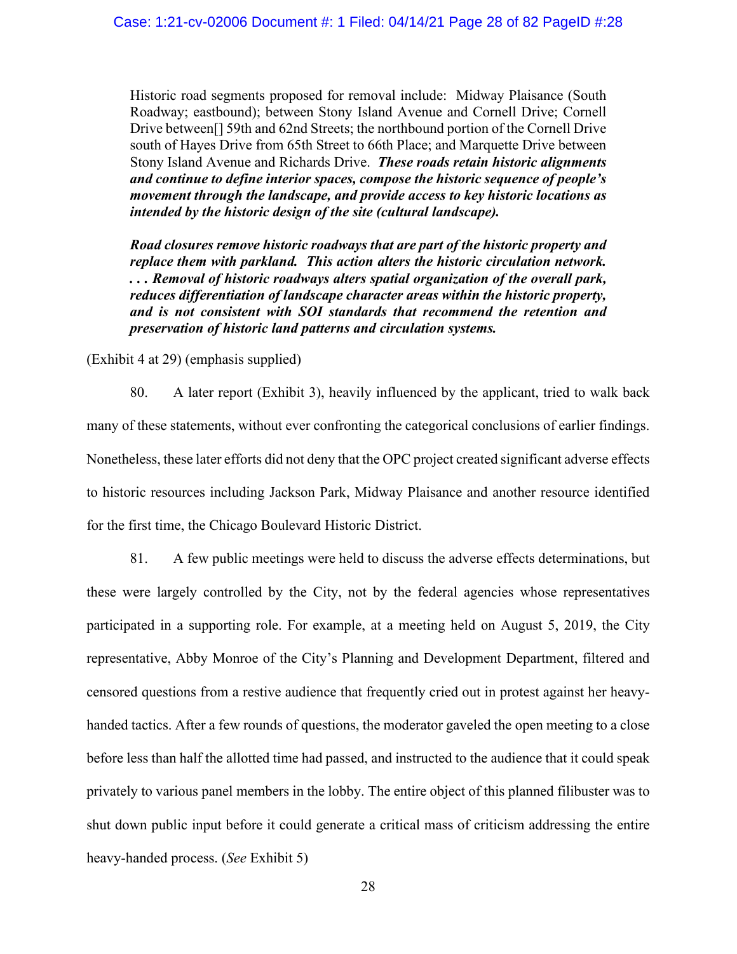Historic road segments proposed for removal include: Midway Plaisance (South Roadway; eastbound); between Stony Island Avenue and Cornell Drive; Cornell Drive between[] 59th and 62nd Streets; the northbound portion of the Cornell Drive south of Hayes Drive from 65th Street to 66th Place; and Marquette Drive between Stony Island Avenue and Richards Drive. *These roads retain historic alignments and continue to define interior spaces, compose the historic sequence of people's movement through the landscape, and provide access to key historic locations as intended by the historic design of the site (cultural landscape).* 

*Road closures remove historic roadways that are part of the historic property and replace them with parkland. This action alters the historic circulation network. . . . Removal of historic roadways alters spatial organization of the overall park, reduces differentiation of landscape character areas within the historic property, and is not consistent with SOI standards that recommend the retention and preservation of historic land patterns and circulation systems.* 

(Exhibit 4 at 29) (emphasis supplied)

80. A later report (Exhibit 3), heavily influenced by the applicant, tried to walk back many of these statements, without ever confronting the categorical conclusions of earlier findings. Nonetheless, these later efforts did not deny that the OPC project created significant adverse effects to historic resources including Jackson Park, Midway Plaisance and another resource identified for the first time, the Chicago Boulevard Historic District.

81. A few public meetings were held to discuss the adverse effects determinations, but these were largely controlled by the City, not by the federal agencies whose representatives participated in a supporting role. For example, at a meeting held on August 5, 2019, the City representative, Abby Monroe of the City's Planning and Development Department, filtered and censored questions from a restive audience that frequently cried out in protest against her heavyhanded tactics. After a few rounds of questions, the moderator gaveled the open meeting to a close before less than half the allotted time had passed, and instructed to the audience that it could speak privately to various panel members in the lobby. The entire object of this planned filibuster was to shut down public input before it could generate a critical mass of criticism addressing the entire heavy-handed process. (*See* Exhibit 5)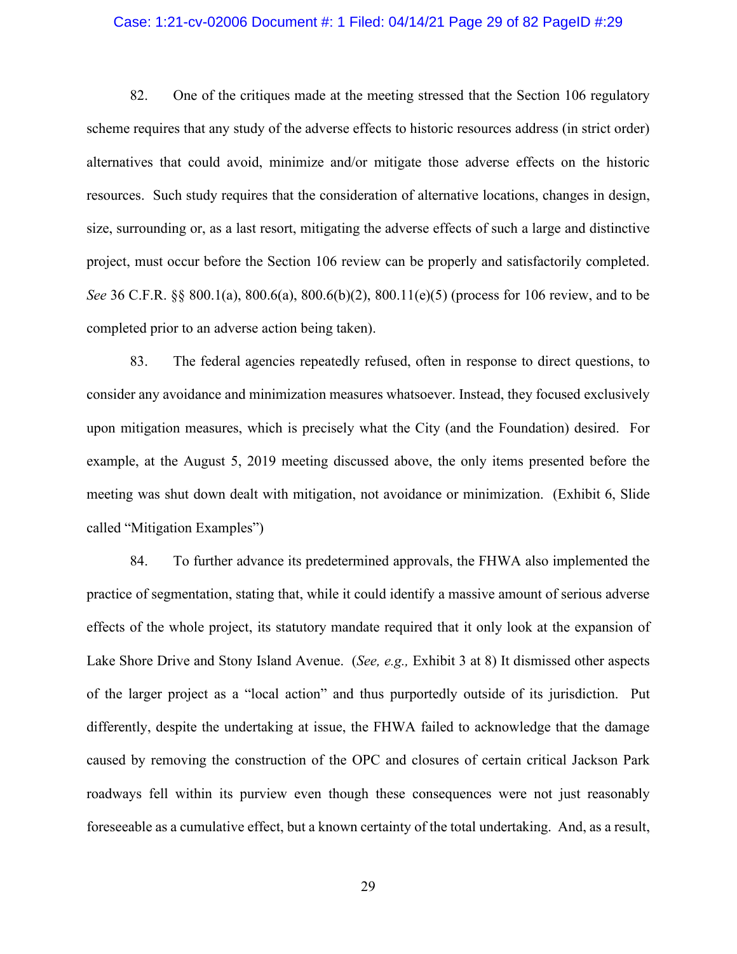#### Case: 1:21-cv-02006 Document #: 1 Filed: 04/14/21 Page 29 of 82 PageID #:29

82. One of the critiques made at the meeting stressed that the Section 106 regulatory scheme requires that any study of the adverse effects to historic resources address (in strict order) alternatives that could avoid, minimize and/or mitigate those adverse effects on the historic resources. Such study requires that the consideration of alternative locations, changes in design, size, surrounding or, as a last resort, mitigating the adverse effects of such a large and distinctive project, must occur before the Section 106 review can be properly and satisfactorily completed. *See* 36 C.F.R. §§ 800.1(a), 800.6(a), 800.6(b)(2), 800.11(e)(5) (process for 106 review, and to be completed prior to an adverse action being taken).

83. The federal agencies repeatedly refused, often in response to direct questions, to consider any avoidance and minimization measures whatsoever. Instead, they focused exclusively upon mitigation measures, which is precisely what the City (and the Foundation) desired. For example, at the August 5, 2019 meeting discussed above, the only items presented before the meeting was shut down dealt with mitigation, not avoidance or minimization. (Exhibit 6, Slide called "Mitigation Examples")

84. To further advance its predetermined approvals, the FHWA also implemented the practice of segmentation, stating that, while it could identify a massive amount of serious adverse effects of the whole project, its statutory mandate required that it only look at the expansion of Lake Shore Drive and Stony Island Avenue. (*See, e.g.,* Exhibit 3 at 8) It dismissed other aspects of the larger project as a "local action" and thus purportedly outside of its jurisdiction. Put differently, despite the undertaking at issue, the FHWA failed to acknowledge that the damage caused by removing the construction of the OPC and closures of certain critical Jackson Park roadways fell within its purview even though these consequences were not just reasonably foreseeable as a cumulative effect, but a known certainty of the total undertaking. And, as a result,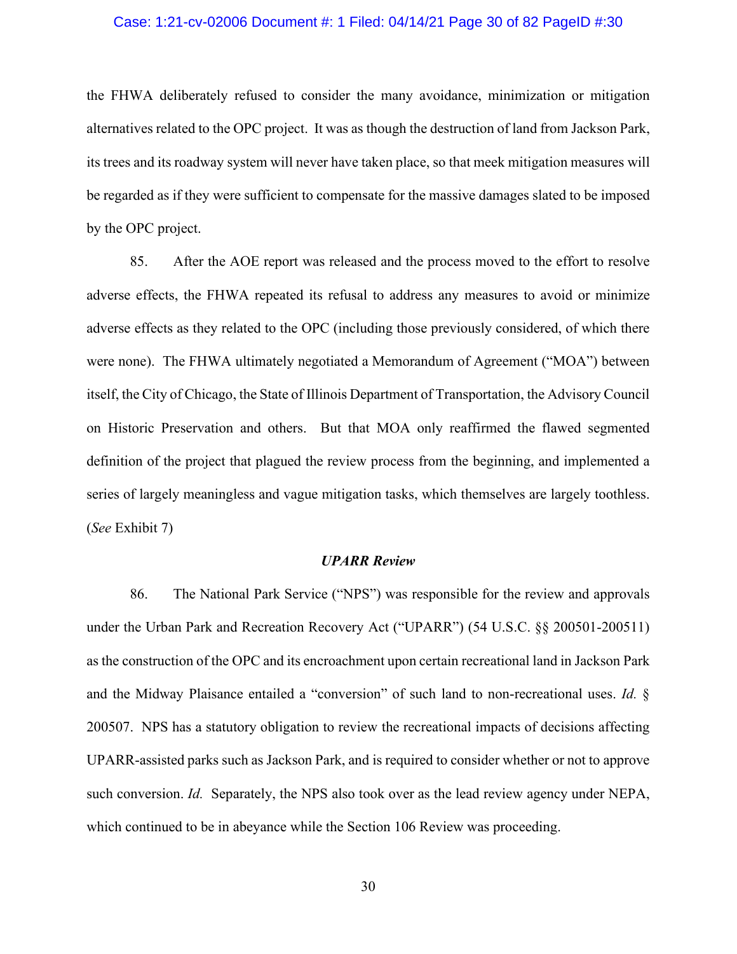#### Case: 1:21-cv-02006 Document #: 1 Filed: 04/14/21 Page 30 of 82 PageID #:30

the FHWA deliberately refused to consider the many avoidance, minimization or mitigation alternatives related to the OPC project. It was as though the destruction of land from Jackson Park, its trees and its roadway system will never have taken place, so that meek mitigation measures will be regarded as if they were sufficient to compensate for the massive damages slated to be imposed by the OPC project.

85. After the AOE report was released and the process moved to the effort to resolve adverse effects, the FHWA repeated its refusal to address any measures to avoid or minimize adverse effects as they related to the OPC (including those previously considered, of which there were none). The FHWA ultimately negotiated a Memorandum of Agreement ("MOA") between itself, the City of Chicago, the State of Illinois Department of Transportation, the Advisory Council on Historic Preservation and others. But that MOA only reaffirmed the flawed segmented definition of the project that plagued the review process from the beginning, and implemented a series of largely meaningless and vague mitigation tasks, which themselves are largely toothless. (*See* Exhibit 7)

#### *UPARR Review*

86. The National Park Service ("NPS") was responsible for the review and approvals under the Urban Park and Recreation Recovery Act ("UPARR") (54 U.S.C. §§ 200501-200511) as the construction of the OPC and its encroachment upon certain recreational land in Jackson Park and the Midway Plaisance entailed a "conversion" of such land to non-recreational uses. *Id.* § 200507. NPS has a statutory obligation to review the recreational impacts of decisions affecting UPARR-assisted parks such as Jackson Park, and is required to consider whether or not to approve such conversion. *Id.* Separately, the NPS also took over as the lead review agency under NEPA, which continued to be in abeyance while the Section 106 Review was proceeding.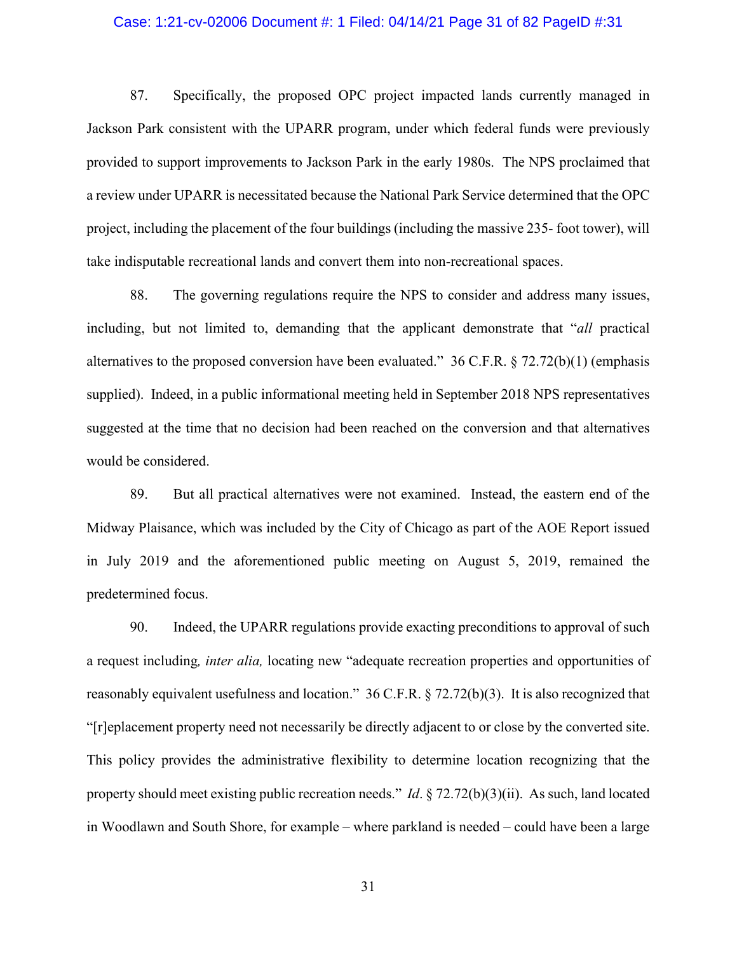#### Case: 1:21-cv-02006 Document #: 1 Filed: 04/14/21 Page 31 of 82 PageID #:31

87. Specifically, the proposed OPC project impacted lands currently managed in Jackson Park consistent with the UPARR program, under which federal funds were previously provided to support improvements to Jackson Park in the early 1980s. The NPS proclaimed that a review under UPARR is necessitated because the National Park Service determined that the OPC project, including the placement of the four buildings (including the massive 235- foot tower), will take indisputable recreational lands and convert them into non-recreational spaces.

88. The governing regulations require the NPS to consider and address many issues, including, but not limited to, demanding that the applicant demonstrate that "*all* practical alternatives to the proposed conversion have been evaluated." 36 C.F.R. § 72.72(b)(1) (emphasis supplied). Indeed, in a public informational meeting held in September 2018 NPS representatives suggested at the time that no decision had been reached on the conversion and that alternatives would be considered.

89. But all practical alternatives were not examined. Instead, the eastern end of the Midway Plaisance, which was included by the City of Chicago as part of the AOE Report issued in July 2019 and the aforementioned public meeting on August 5, 2019, remained the predetermined focus.

90. Indeed, the UPARR regulations provide exacting preconditions to approval of such a request including*, inter alia,* locating new "adequate recreation properties and opportunities of reasonably equivalent usefulness and location." 36 C.F.R. § 72.72(b)(3). It is also recognized that "[r]eplacement property need not necessarily be directly adjacent to or close by the converted site. This policy provides the administrative flexibility to determine location recognizing that the property should meet existing public recreation needs." *Id*. § 72.72(b)(3)(ii). As such, land located in Woodlawn and South Shore, for example – where parkland is needed – could have been a large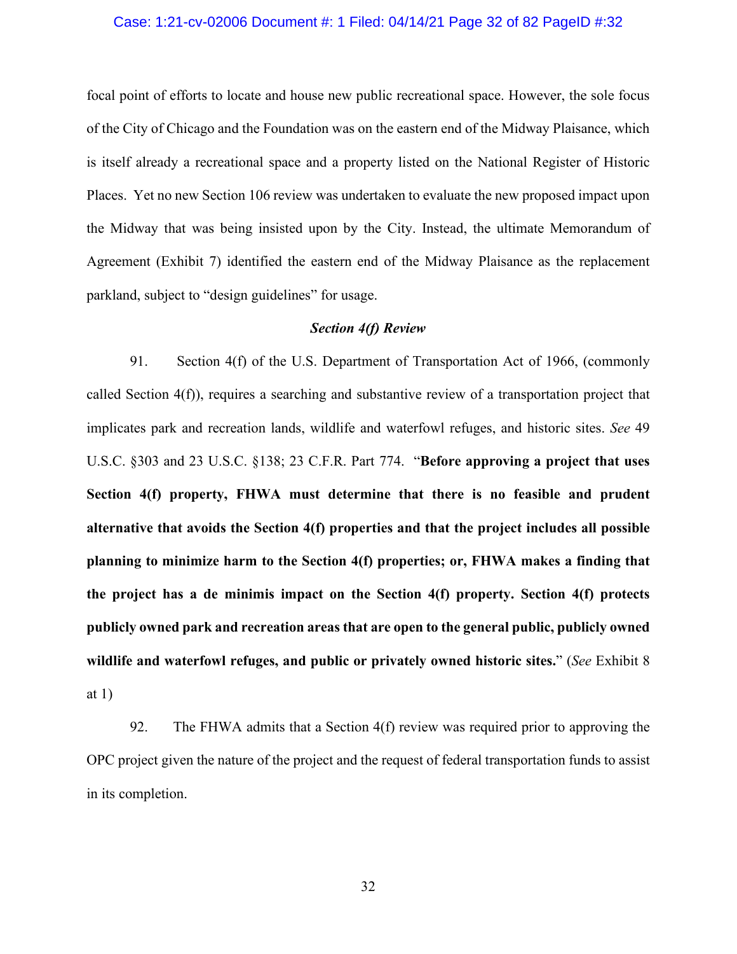#### Case: 1:21-cv-02006 Document #: 1 Filed: 04/14/21 Page 32 of 82 PageID #:32

focal point of efforts to locate and house new public recreational space. However, the sole focus of the City of Chicago and the Foundation was on the eastern end of the Midway Plaisance, which is itself already a recreational space and a property listed on the National Register of Historic Places. Yet no new Section 106 review was undertaken to evaluate the new proposed impact upon the Midway that was being insisted upon by the City. Instead, the ultimate Memorandum of Agreement (Exhibit 7) identified the eastern end of the Midway Plaisance as the replacement parkland, subject to "design guidelines" for usage.

#### *Section 4(f) Review*

91. Section 4(f) of the U.S. Department of Transportation Act of 1966, (commonly called Section 4(f)), requires a searching and substantive review of a transportation project that implicates park and recreation lands, wildlife and waterfowl refuges, and historic sites. *See* 49 U.S.C. §303 and 23 U.S.C. §138; 23 C.F.R. Part 774. "**Before approving a project that uses Section 4(f) property, FHWA must determine that there is no feasible and prudent alternative that avoids the Section 4(f) properties and that the project includes all possible planning to minimize harm to the Section 4(f) properties; or, FHWA makes a finding that the project has a de minimis impact on the Section 4(f) property. Section 4(f) protects publicly owned park and recreation areas that are open to the general public, publicly owned wildlife and waterfowl refuges, and public or privately owned historic sites.**" (*See* Exhibit 8 at 1)

92. The FHWA admits that a Section 4(f) review was required prior to approving the OPC project given the nature of the project and the request of federal transportation funds to assist in its completion.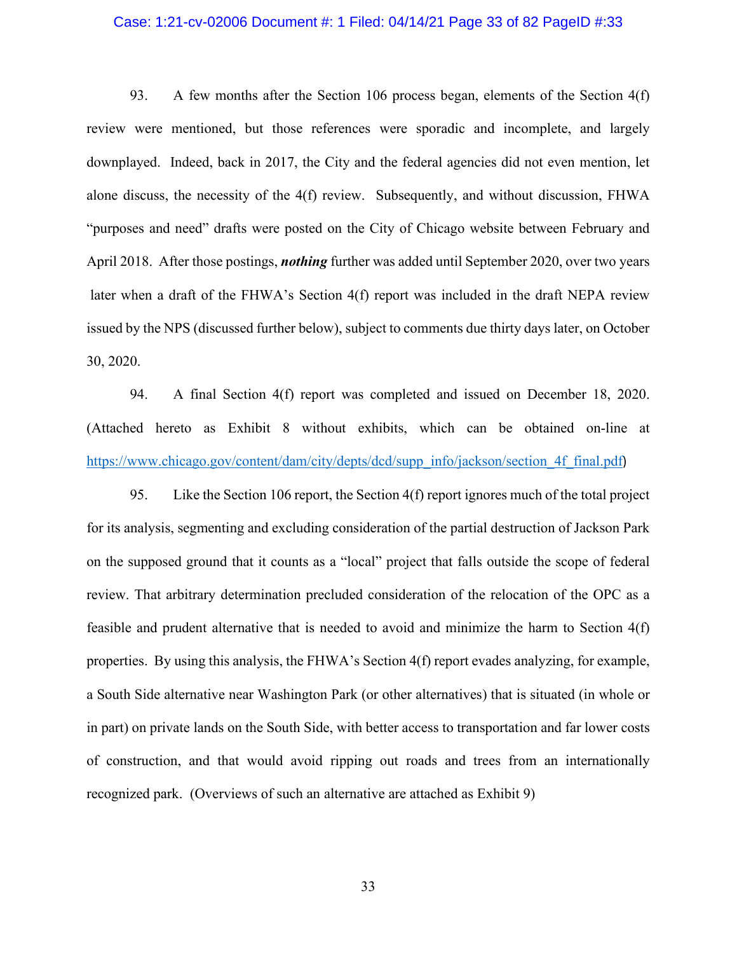#### Case: 1:21-cv-02006 Document #: 1 Filed: 04/14/21 Page 33 of 82 PageID #:33

93. A few months after the Section 106 process began, elements of the Section 4(f) review were mentioned, but those references were sporadic and incomplete, and largely downplayed. Indeed, back in 2017, the City and the federal agencies did not even mention, let alone discuss, the necessity of the 4(f) review. Subsequently, and without discussion, FHWA "purposes and need" drafts were posted on the City of Chicago website between February and April 2018. After those postings, *nothing* further was added until September 2020, over two years later when a draft of the FHWA's Section 4(f) report was included in the draft NEPA review issued by the NPS (discussed further below), subject to comments due thirty days later, on October 30, 2020.

94. A final Section 4(f) report was completed and issued on December 18, 2020. (Attached hereto as Exhibit 8 without exhibits, which can be obtained on-line at [https://www.chicago.gov/content/dam/city/depts/dcd/supp\\_info/jackson/section\\_4f\\_final.pdf](https://www.chicago.gov/content/dam/city/depts/dcd/supp_info/jackson/section_4f_final.pdf))

95. Like the Section 106 report, the Section 4(f) report ignores much of the total project for its analysis, segmenting and excluding consideration of the partial destruction of Jackson Park on the supposed ground that it counts as a "local" project that falls outside the scope of federal review. That arbitrary determination precluded consideration of the relocation of the OPC as a feasible and prudent alternative that is needed to avoid and minimize the harm to Section 4(f) properties. By using this analysis, the FHWA's Section 4(f) report evades analyzing, for example, a South Side alternative near Washington Park (or other alternatives) that is situated (in whole or in part) on private lands on the South Side, with better access to transportation and far lower costs of construction, and that would avoid ripping out roads and trees from an internationally recognized park. (Overviews of such an alternative are attached as Exhibit 9)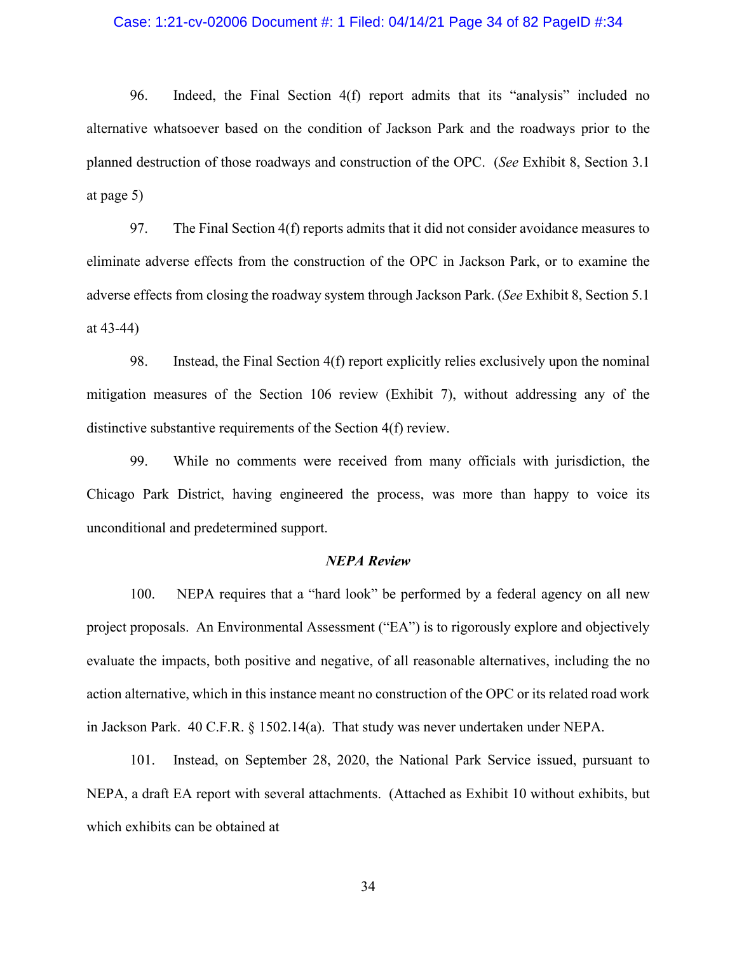#### Case: 1:21-cv-02006 Document #: 1 Filed: 04/14/21 Page 34 of 82 PageID #:34

96. Indeed, the Final Section 4(f) report admits that its "analysis" included no alternative whatsoever based on the condition of Jackson Park and the roadways prior to the planned destruction of those roadways and construction of the OPC. (*See* Exhibit 8, Section 3.1 at page 5)

97. The Final Section 4(f) reports admits that it did not consider avoidance measures to eliminate adverse effects from the construction of the OPC in Jackson Park, or to examine the adverse effects from closing the roadway system through Jackson Park. (*See* Exhibit 8, Section 5.1 at 43-44)

98. Instead, the Final Section 4(f) report explicitly relies exclusively upon the nominal mitigation measures of the Section 106 review (Exhibit 7), without addressing any of the distinctive substantive requirements of the Section 4(f) review.

99. While no comments were received from many officials with jurisdiction, the Chicago Park District, having engineered the process, was more than happy to voice its unconditional and predetermined support.

#### *NEPA Review*

100. NEPA requires that a "hard look" be performed by a federal agency on all new project proposals. An Environmental Assessment ("EA") is to rigorously explore and objectively evaluate the impacts, both positive and negative, of all reasonable alternatives, including the no action alternative, which in this instance meant no construction of the OPC or its related road work in Jackson Park. 40 C.F.R. § 1502.14(a). That study was never undertaken under NEPA.

101. Instead, on September 28, 2020, the National Park Service issued, pursuant to NEPA, a draft EA report with several attachments. (Attached as Exhibit 10 without exhibits, but which exhibits can be obtained at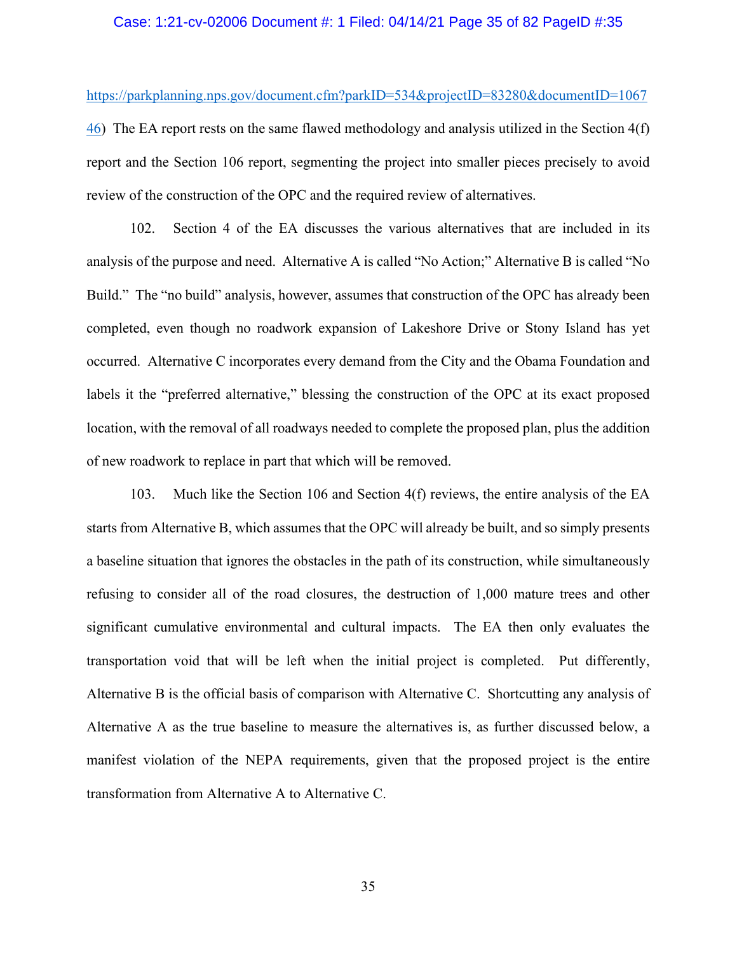#### Case: 1:21-cv-02006 Document #: 1 Filed: 04/14/21 Page 35 of 82 PageID #:35

[https://parkplanning.nps.gov/document.cfm?parkID=534&projectID=83280&documentID=1067](https://parkplanning.nps.gov/document.cfm?parkID=534&projectID=83280&documentID=106746) [46\)](https://parkplanning.nps.gov/document.cfm?parkID=534&projectID=83280&documentID=106746) The EA report rests on the same flawed methodology and analysis utilized in the Section 4(f) report and the Section 106 report, segmenting the project into smaller pieces precisely to avoid review of the construction of the OPC and the required review of alternatives.

102. Section 4 of the EA discusses the various alternatives that are included in its analysis of the purpose and need. Alternative A is called "No Action;" Alternative B is called "No Build." The "no build" analysis, however, assumes that construction of the OPC has already been completed, even though no roadwork expansion of Lakeshore Drive or Stony Island has yet occurred. Alternative C incorporates every demand from the City and the Obama Foundation and labels it the "preferred alternative," blessing the construction of the OPC at its exact proposed location, with the removal of all roadways needed to complete the proposed plan, plus the addition of new roadwork to replace in part that which will be removed.

103. Much like the Section 106 and Section 4(f) reviews, the entire analysis of the EA starts from Alternative B, which assumes that the OPC will already be built, and so simply presents a baseline situation that ignores the obstacles in the path of its construction, while simultaneously refusing to consider all of the road closures, the destruction of 1,000 mature trees and other significant cumulative environmental and cultural impacts. The EA then only evaluates the transportation void that will be left when the initial project is completed. Put differently, Alternative B is the official basis of comparison with Alternative C. Shortcutting any analysis of Alternative A as the true baseline to measure the alternatives is, as further discussed below, a manifest violation of the NEPA requirements, given that the proposed project is the entire transformation from Alternative A to Alternative C.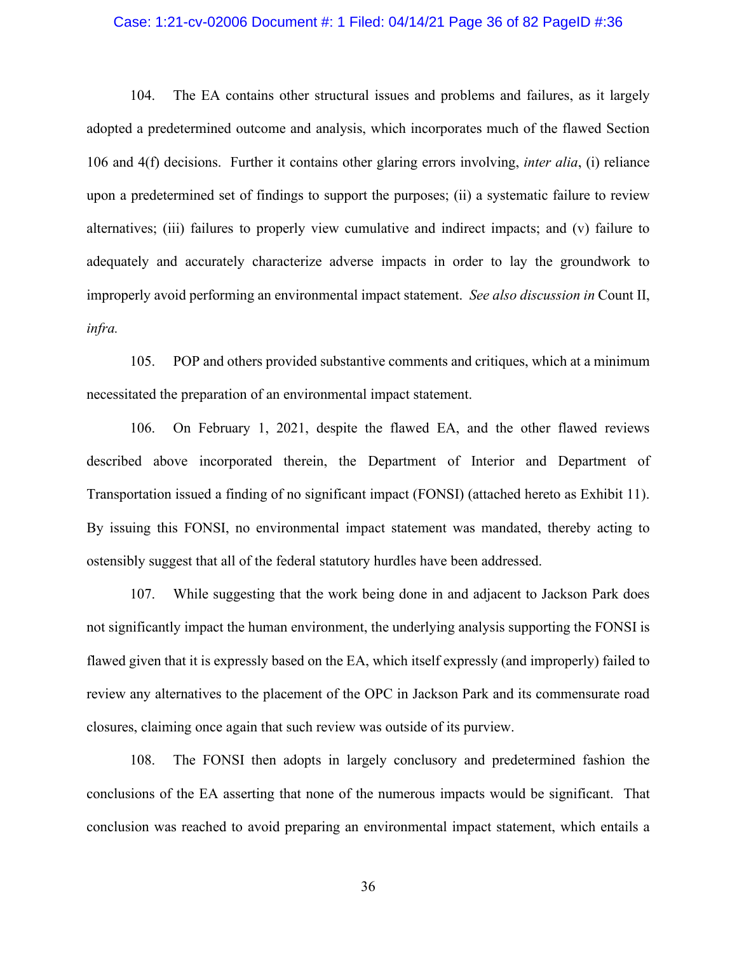#### Case: 1:21-cv-02006 Document #: 1 Filed: 04/14/21 Page 36 of 82 PageID #:36

104. The EA contains other structural issues and problems and failures, as it largely adopted a predetermined outcome and analysis, which incorporates much of the flawed Section 106 and 4(f) decisions. Further it contains other glaring errors involving, *inter alia*, (i) reliance upon a predetermined set of findings to support the purposes; (ii) a systematic failure to review alternatives; (iii) failures to properly view cumulative and indirect impacts; and (v) failure to adequately and accurately characterize adverse impacts in order to lay the groundwork to improperly avoid performing an environmental impact statement. *See also discussion in* Count II, *infra.* 

105. POP and others provided substantive comments and critiques, which at a minimum necessitated the preparation of an environmental impact statement.

106. On February 1, 2021, despite the flawed EA, and the other flawed reviews described above incorporated therein, the Department of Interior and Department of Transportation issued a finding of no significant impact (FONSI) (attached hereto as Exhibit 11). By issuing this FONSI, no environmental impact statement was mandated, thereby acting to ostensibly suggest that all of the federal statutory hurdles have been addressed.

107. While suggesting that the work being done in and adjacent to Jackson Park does not significantly impact the human environment, the underlying analysis supporting the FONSI is flawed given that it is expressly based on the EA, which itself expressly (and improperly) failed to review any alternatives to the placement of the OPC in Jackson Park and its commensurate road closures, claiming once again that such review was outside of its purview.

108. The FONSI then adopts in largely conclusory and predetermined fashion the conclusions of the EA asserting that none of the numerous impacts would be significant. That conclusion was reached to avoid preparing an environmental impact statement, which entails a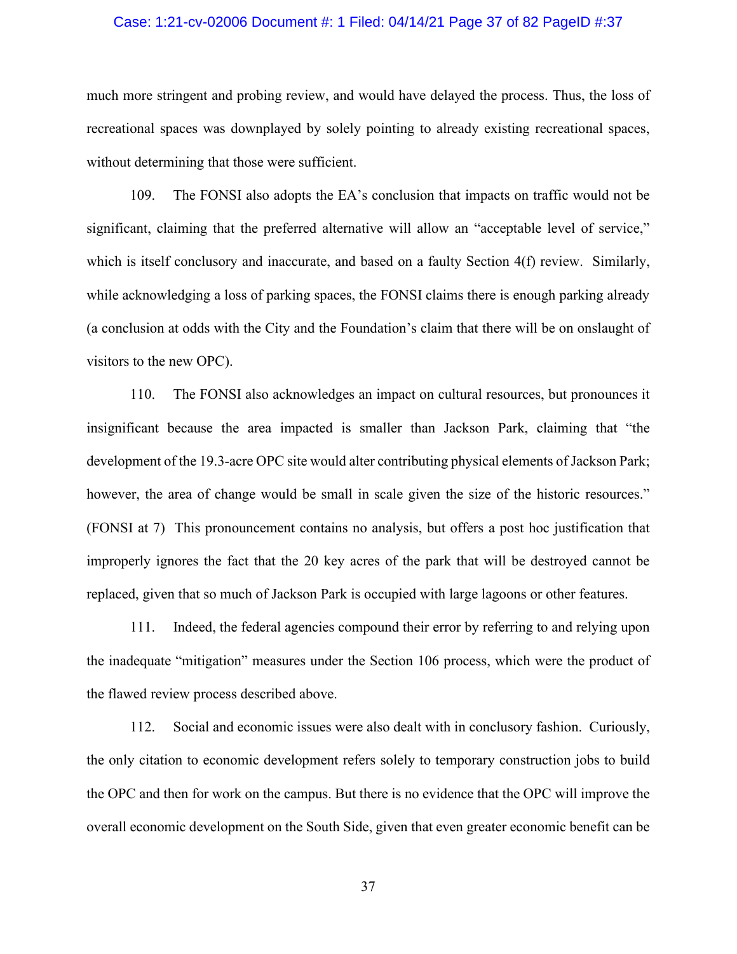#### Case: 1:21-cv-02006 Document #: 1 Filed: 04/14/21 Page 37 of 82 PageID #:37

much more stringent and probing review, and would have delayed the process. Thus, the loss of recreational spaces was downplayed by solely pointing to already existing recreational spaces, without determining that those were sufficient.

109. The FONSI also adopts the EA's conclusion that impacts on traffic would not be significant, claiming that the preferred alternative will allow an "acceptable level of service," which is itself conclusory and inaccurate, and based on a faulty Section 4(f) review. Similarly, while acknowledging a loss of parking spaces, the FONSI claims there is enough parking already (a conclusion at odds with the City and the Foundation's claim that there will be on onslaught of visitors to the new OPC).

110. The FONSI also acknowledges an impact on cultural resources, but pronounces it insignificant because the area impacted is smaller than Jackson Park, claiming that "the development of the 19.3-acre OPC site would alter contributing physical elements of Jackson Park; however, the area of change would be small in scale given the size of the historic resources." (FONSI at 7) This pronouncement contains no analysis, but offers a post hoc justification that improperly ignores the fact that the 20 key acres of the park that will be destroyed cannot be replaced, given that so much of Jackson Park is occupied with large lagoons or other features.

111. Indeed, the federal agencies compound their error by referring to and relying upon the inadequate "mitigation" measures under the Section 106 process, which were the product of the flawed review process described above.

112. Social and economic issues were also dealt with in conclusory fashion. Curiously, the only citation to economic development refers solely to temporary construction jobs to build the OPC and then for work on the campus. But there is no evidence that the OPC will improve the overall economic development on the South Side, given that even greater economic benefit can be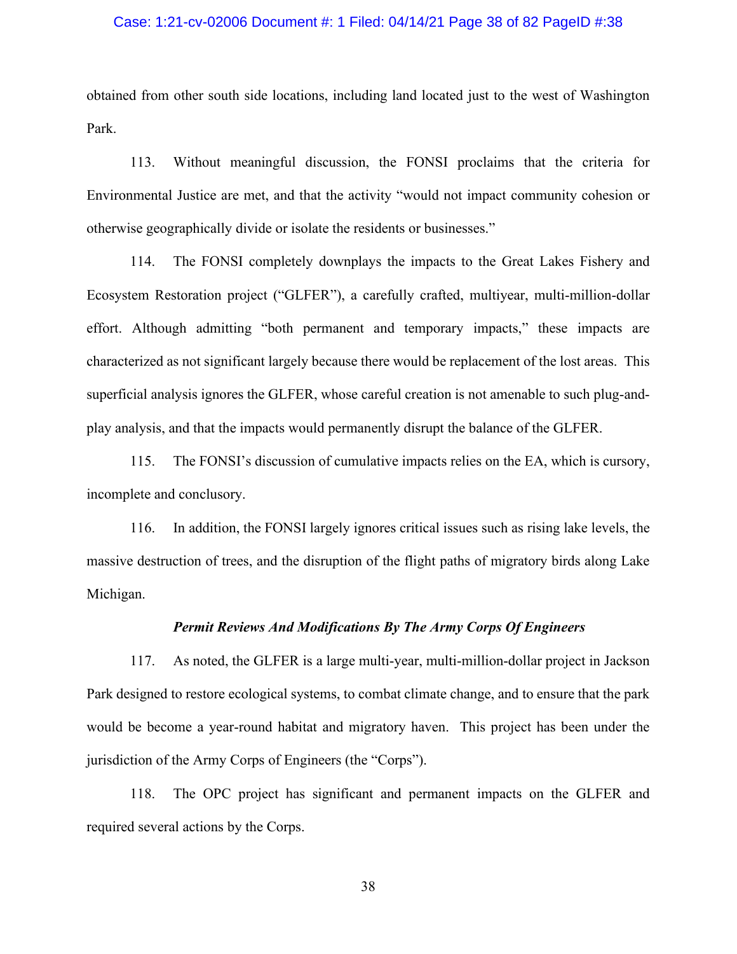### Case: 1:21-cv-02006 Document #: 1 Filed: 04/14/21 Page 38 of 82 PageID #:38

obtained from other south side locations, including land located just to the west of Washington Park.

113. Without meaningful discussion, the FONSI proclaims that the criteria for Environmental Justice are met, and that the activity "would not impact community cohesion or otherwise geographically divide or isolate the residents or businesses."

114. The FONSI completely downplays the impacts to the Great Lakes Fishery and Ecosystem Restoration project ("GLFER"), a carefully crafted, multiyear, multi-million-dollar effort. Although admitting "both permanent and temporary impacts," these impacts are characterized as not significant largely because there would be replacement of the lost areas. This superficial analysis ignores the GLFER, whose careful creation is not amenable to such plug-andplay analysis, and that the impacts would permanently disrupt the balance of the GLFER.

115. The FONSI's discussion of cumulative impacts relies on the EA, which is cursory, incomplete and conclusory.

116. In addition, the FONSI largely ignores critical issues such as rising lake levels, the massive destruction of trees, and the disruption of the flight paths of migratory birds along Lake Michigan.

### *Permit Reviews And Modifications By The Army Corps Of Engineers*

117. As noted, the GLFER is a large multi-year, multi-million-dollar project in Jackson Park designed to restore ecological systems, to combat climate change, and to ensure that the park would be become a year-round habitat and migratory haven. This project has been under the jurisdiction of the Army Corps of Engineers (the "Corps").

118. The OPC project has significant and permanent impacts on the GLFER and required several actions by the Corps.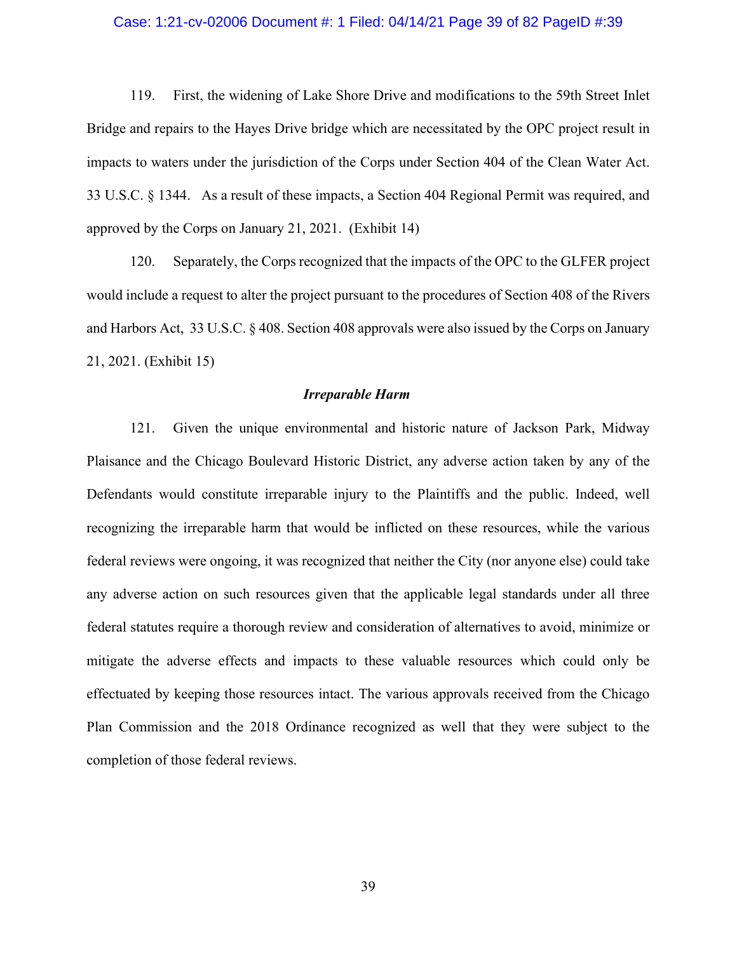#### Case: 1:21-cv-02006 Document #: 1 Filed: 04/14/21 Page 39 of 82 PageID #:39

119. First, the widening of Lake Shore Drive and modifications to the 59th Street Inlet Bridge and repairs to the Hayes Drive bridge which are necessitated by the OPC project result in impacts to waters under the jurisdiction of the Corps under Section 404 of the Clean Water Act. 33 U.S.C. § 1344. As a result of these impacts, a Section 404 Regional Permit was required, and approved by the Corps on January 21, 2021. (Exhibit 14)

120. Separately, the Corps recognized that the impacts of the OPC to the GLFER project would include a request to alter the project pursuant to the procedures of Section 408 of the Rivers and Harbors Act, 33 U.S.C. § 408. Section 408 approvals were also issued by the Corps on January 21, 2021. (Exhibit 15)

#### *Irreparable Harm*

121. Given the unique environmental and historic nature of Jackson Park, Midway Plaisance and the Chicago Boulevard Historic District, any adverse action taken by any of the Defendants would constitute irreparable injury to the Plaintiffs and the public. Indeed, well recognizing the irreparable harm that would be inflicted on these resources, while the various federal reviews were ongoing, it was recognized that neither the City (nor anyone else) could take any adverse action on such resources given that the applicable legal standards under all three federal statutes require a thorough review and consideration of alternatives to avoid, minimize or mitigate the adverse effects and impacts to these valuable resources which could only be effectuated by keeping those resources intact. The various approvals received from the Chicago Plan Commission and the 2018 Ordinance recognized as well that they were subject to the completion of those federal reviews.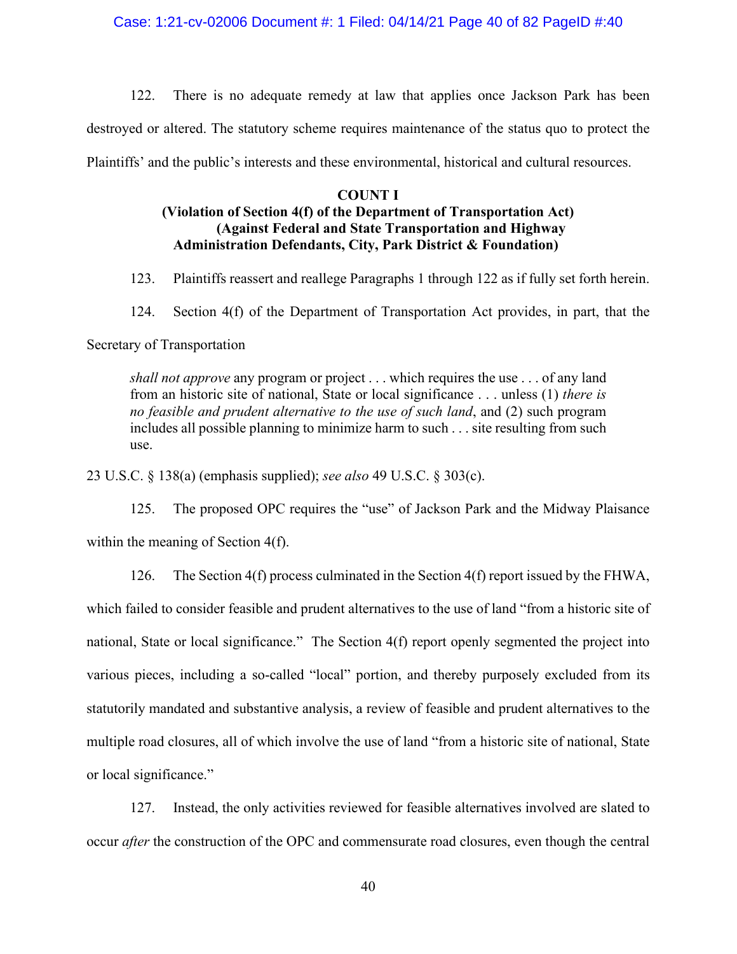Case: 1:21-cv-02006 Document #: 1 Filed: 04/14/21 Page 40 of 82 PageID #:40

122. There is no adequate remedy at law that applies once Jackson Park has been

destroyed or altered. The statutory scheme requires maintenance of the status quo to protect the

Plaintiffs' and the public's interests and these environmental, historical and cultural resources.

#### **COUNT I**

# **(Violation of Section 4(f) of the Department of Transportation Act) (Against Federal and State Transportation and Highway Administration Defendants, City, Park District & Foundation)**

- 123. Plaintiffs reassert and reallege Paragraphs 1 through 122 as if fully set forth herein.
- 124. Section 4(f) of the Department of Transportation Act provides, in part, that the

### Secretary of Transportation

*shall not approve* any program or project . . . which requires the use . . . of any land from an historic site of national, State or local significance . . . unless (1) *there is no feasible and prudent alternative to the use of such land*, and (2) such program includes all possible planning to minimize harm to such . . . site resulting from such use.

23 U.S.C. § 138(a) (emphasis supplied); *see also* 49 U.S.C. § 303(c).

125. The proposed OPC requires the "use" of Jackson Park and the Midway Plaisance within the meaning of Section 4(f).

126. The Section 4(f) process culminated in the Section 4(f) report issued by the FHWA,

which failed to consider feasible and prudent alternatives to the use of land "from a historic site of national, State or local significance." The Section 4(f) report openly segmented the project into various pieces, including a so-called "local" portion, and thereby purposely excluded from its statutorily mandated and substantive analysis, a review of feasible and prudent alternatives to the multiple road closures, all of which involve the use of land "from a historic site of national, State or local significance."

127. Instead, the only activities reviewed for feasible alternatives involved are slated to occur *after* the construction of the OPC and commensurate road closures, even though the central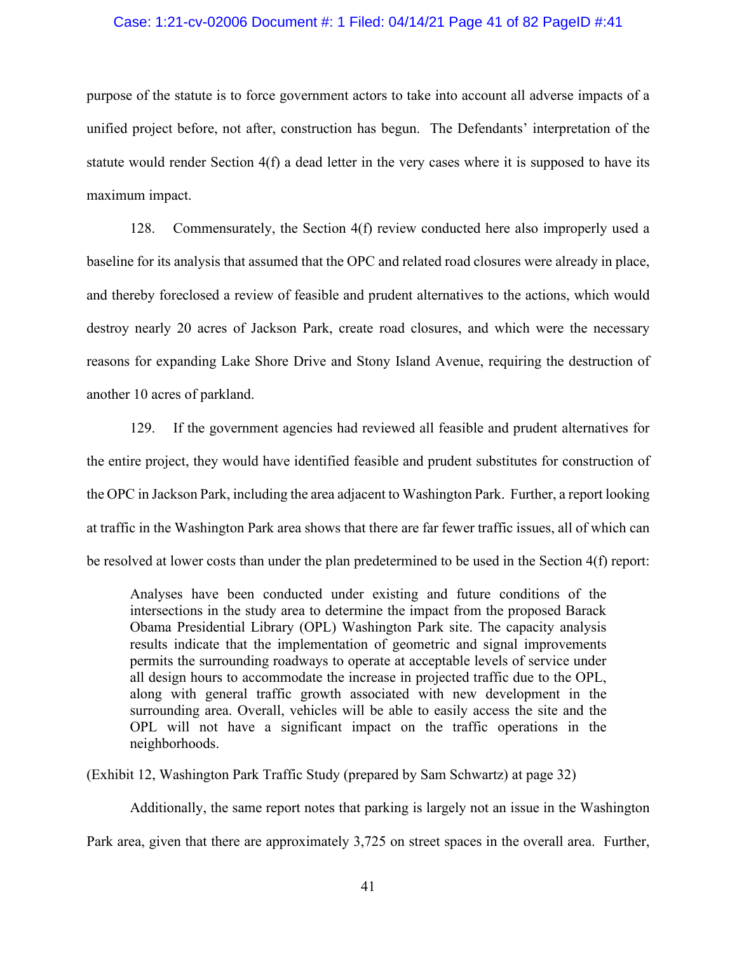#### Case: 1:21-cv-02006 Document #: 1 Filed: 04/14/21 Page 41 of 82 PageID #:41

purpose of the statute is to force government actors to take into account all adverse impacts of a unified project before, not after, construction has begun. The Defendants' interpretation of the statute would render Section 4(f) a dead letter in the very cases where it is supposed to have its maximum impact.

128. Commensurately, the Section 4(f) review conducted here also improperly used a baseline for its analysis that assumed that the OPC and related road closures were already in place, and thereby foreclosed a review of feasible and prudent alternatives to the actions, which would destroy nearly 20 acres of Jackson Park, create road closures, and which were the necessary reasons for expanding Lake Shore Drive and Stony Island Avenue, requiring the destruction of another 10 acres of parkland.

129. If the government agencies had reviewed all feasible and prudent alternatives for the entire project, they would have identified feasible and prudent substitutes for construction of the OPC in Jackson Park, including the area adjacent to Washington Park. Further, a report looking at traffic in the Washington Park area shows that there are far fewer traffic issues, all of which can be resolved at lower costs than under the plan predetermined to be used in the Section 4(f) report:

Analyses have been conducted under existing and future conditions of the intersections in the study area to determine the impact from the proposed Barack Obama Presidential Library (OPL) Washington Park site. The capacity analysis results indicate that the implementation of geometric and signal improvements permits the surrounding roadways to operate at acceptable levels of service under all design hours to accommodate the increase in projected traffic due to the OPL, along with general traffic growth associated with new development in the surrounding area. Overall, vehicles will be able to easily access the site and the OPL will not have a significant impact on the traffic operations in the neighborhoods.

(Exhibit 12, Washington Park Traffic Study (prepared by Sam Schwartz) at page 32)

Additionally, the same report notes that parking is largely not an issue in the Washington Park area, given that there are approximately 3,725 on street spaces in the overall area. Further,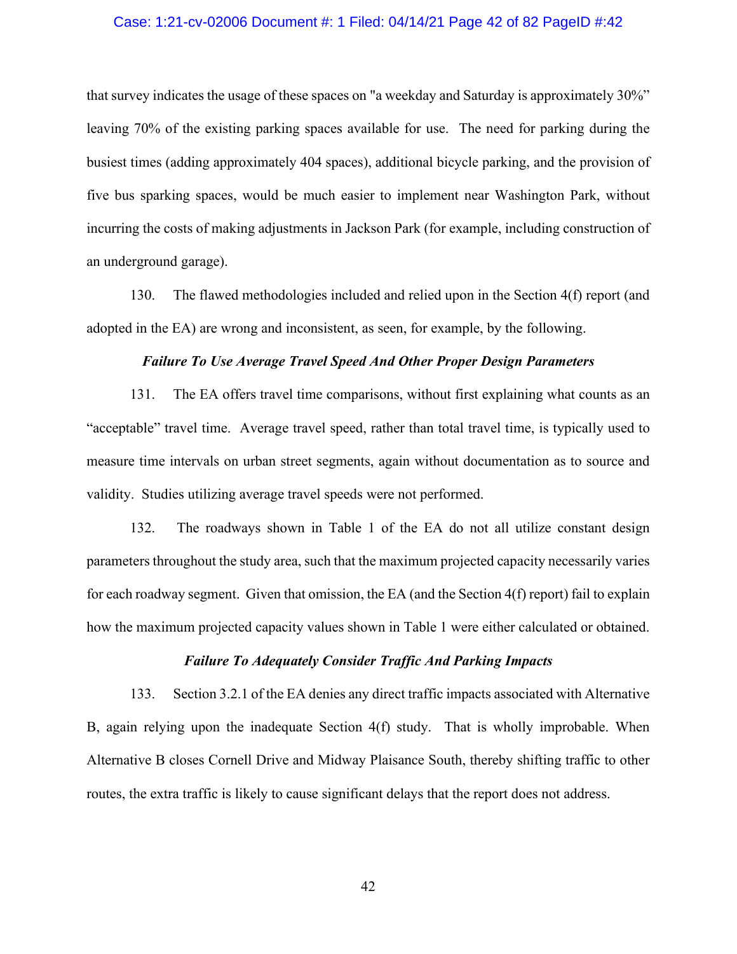### Case: 1:21-cv-02006 Document #: 1 Filed: 04/14/21 Page 42 of 82 PageID #:42

that survey indicates the usage of these spaces on "a weekday and Saturday is approximately 30%" leaving 70% of the existing parking spaces available for use. The need for parking during the busiest times (adding approximately 404 spaces), additional bicycle parking, and the provision of five bus sparking spaces, would be much easier to implement near Washington Park, without incurring the costs of making adjustments in Jackson Park (for example, including construction of an underground garage).

130. The flawed methodologies included and relied upon in the Section 4(f) report (and adopted in the EA) are wrong and inconsistent, as seen, for example, by the following.

### *Failure To Use Average Travel Speed And Other Proper Design Parameters*

131. The EA offers travel time comparisons, without first explaining what counts as an "acceptable" travel time. Average travel speed, rather than total travel time, is typically used to measure time intervals on urban street segments, again without documentation as to source and validity. Studies utilizing average travel speeds were not performed.

132. The roadways shown in Table 1 of the EA do not all utilize constant design parameters throughout the study area, such that the maximum projected capacity necessarily varies for each roadway segment. Given that omission, the EA (and the Section 4(f) report) fail to explain how the maximum projected capacity values shown in Table 1 were either calculated or obtained.

#### *Failure To Adequately Consider Traffic And Parking Impacts*

133. Section 3.2.1 of the EA denies any direct traffic impacts associated with Alternative B, again relying upon the inadequate Section 4(f) study. That is wholly improbable. When Alternative B closes Cornell Drive and Midway Plaisance South, thereby shifting traffic to other routes, the extra traffic is likely to cause significant delays that the report does not address.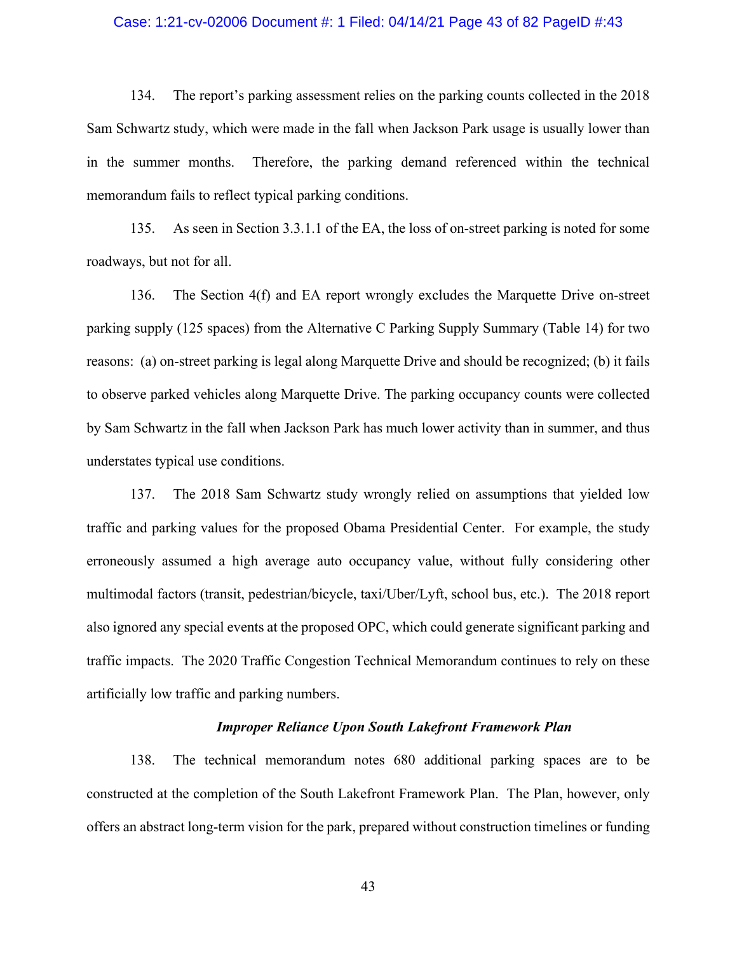#### Case: 1:21-cv-02006 Document #: 1 Filed: 04/14/21 Page 43 of 82 PageID #:43

134. The report's parking assessment relies on the parking counts collected in the 2018 Sam Schwartz study, which were made in the fall when Jackson Park usage is usually lower than in the summer months. Therefore, the parking demand referenced within the technical memorandum fails to reflect typical parking conditions.

135. As seen in Section 3.3.1.1 of the EA, the loss of on-street parking is noted for some roadways, but not for all.

136. The Section 4(f) and EA report wrongly excludes the Marquette Drive on-street parking supply (125 spaces) from the Alternative C Parking Supply Summary (Table 14) for two reasons: (a) on-street parking is legal along Marquette Drive and should be recognized; (b) it fails to observe parked vehicles along Marquette Drive. The parking occupancy counts were collected by Sam Schwartz in the fall when Jackson Park has much lower activity than in summer, and thus understates typical use conditions.

137. The 2018 Sam Schwartz study wrongly relied on assumptions that yielded low traffic and parking values for the proposed Obama Presidential Center. For example, the study erroneously assumed a high average auto occupancy value, without fully considering other multimodal factors (transit, pedestrian/bicycle, taxi/Uber/Lyft, school bus, etc.). The 2018 report also ignored any special events at the proposed OPC, which could generate significant parking and traffic impacts. The 2020 Traffic Congestion Technical Memorandum continues to rely on these artificially low traffic and parking numbers.

#### *Improper Reliance Upon South Lakefront Framework Plan*

138. The technical memorandum notes 680 additional parking spaces are to be constructed at the completion of the South Lakefront Framework Plan. The Plan, however, only offers an abstract long-term vision for the park, prepared without construction timelines or funding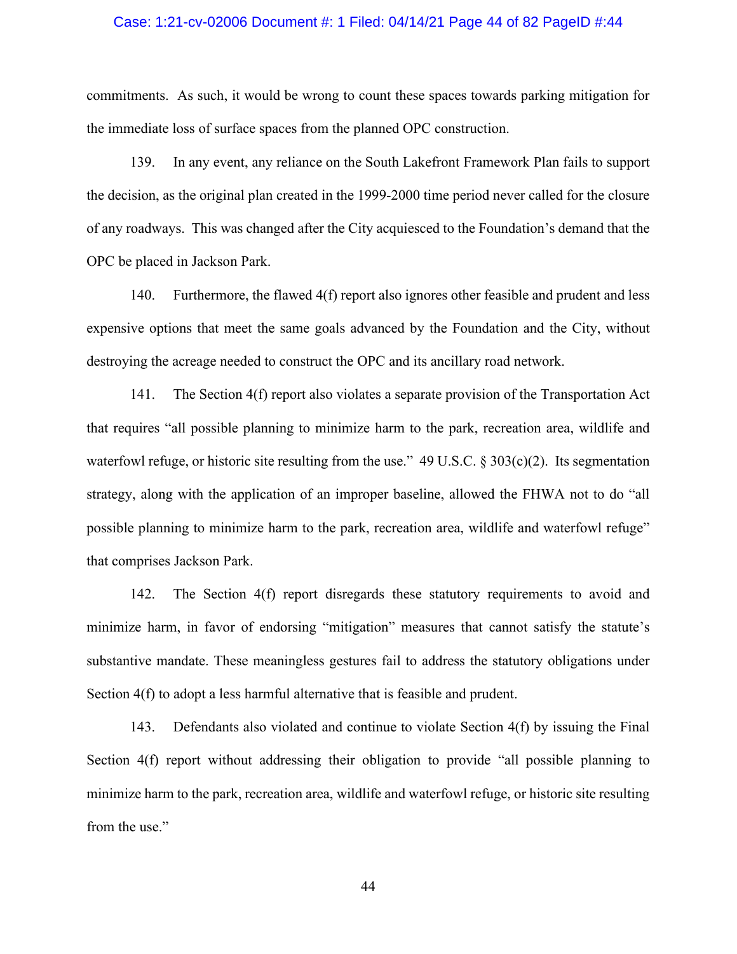#### Case: 1:21-cv-02006 Document #: 1 Filed: 04/14/21 Page 44 of 82 PageID #:44

commitments. As such, it would be wrong to count these spaces towards parking mitigation for the immediate loss of surface spaces from the planned OPC construction.

139. In any event, any reliance on the South Lakefront Framework Plan fails to support the decision, as the original plan created in the 1999-2000 time period never called for the closure of any roadways. This was changed after the City acquiesced to the Foundation's demand that the OPC be placed in Jackson Park.

140. Furthermore, the flawed 4(f) report also ignores other feasible and prudent and less expensive options that meet the same goals advanced by the Foundation and the City, without destroying the acreage needed to construct the OPC and its ancillary road network.

141. The Section 4(f) report also violates a separate provision of the Transportation Act that requires "all possible planning to minimize harm to the park, recreation area, wildlife and waterfowl refuge, or historic site resulting from the use." 49 U.S.C. § 303(c)(2). Its segmentation strategy, along with the application of an improper baseline, allowed the FHWA not to do "all possible planning to minimize harm to the park, recreation area, wildlife and waterfowl refuge" that comprises Jackson Park.

142. The Section 4(f) report disregards these statutory requirements to avoid and minimize harm, in favor of endorsing "mitigation" measures that cannot satisfy the statute's substantive mandate. These meaningless gestures fail to address the statutory obligations under Section 4(f) to adopt a less harmful alternative that is feasible and prudent.

143. Defendants also violated and continue to violate Section 4(f) by issuing the Final Section 4(f) report without addressing their obligation to provide "all possible planning to minimize harm to the park, recreation area, wildlife and waterfowl refuge, or historic site resulting from the use."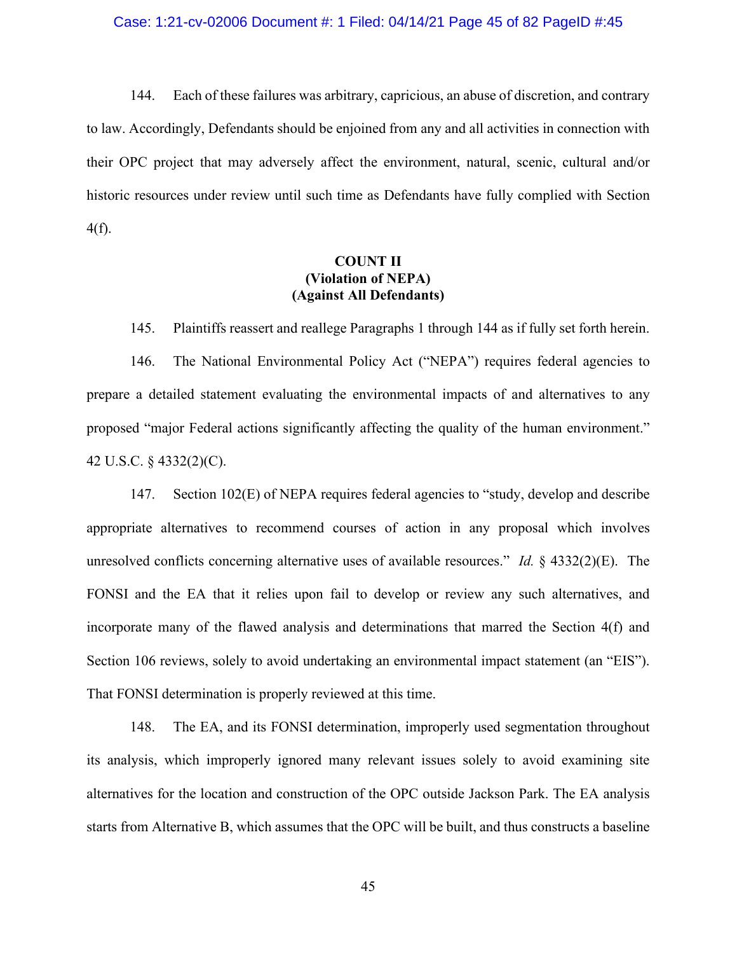#### Case: 1:21-cv-02006 Document #: 1 Filed: 04/14/21 Page 45 of 82 PageID #:45

144. Each of these failures was arbitrary, capricious, an abuse of discretion, and contrary to law. Accordingly, Defendants should be enjoined from any and all activities in connection with their OPC project that may adversely affect the environment, natural, scenic, cultural and/or historic resources under review until such time as Defendants have fully complied with Section 4(f).

# **COUNT II (Violation of NEPA) (Against All Defendants)**

145. Plaintiffs reassert and reallege Paragraphs 1 through 144 as if fully set forth herein.

146. The National Environmental Policy Act ("NEPA") requires federal agencies to prepare a detailed statement evaluating the environmental impacts of and alternatives to any proposed "major Federal actions significantly affecting the quality of the human environment." 42 U.S.C. § 4332(2)(C).

147. Section 102(E) of NEPA requires federal agencies to "study, develop and describe appropriate alternatives to recommend courses of action in any proposal which involves unresolved conflicts concerning alternative uses of available resources." *Id.* § 4332(2)(E). The FONSI and the EA that it relies upon fail to develop or review any such alternatives, and incorporate many of the flawed analysis and determinations that marred the Section 4(f) and Section 106 reviews, solely to avoid undertaking an environmental impact statement (an "EIS"). That FONSI determination is properly reviewed at this time.

148. The EA, and its FONSI determination, improperly used segmentation throughout its analysis, which improperly ignored many relevant issues solely to avoid examining site alternatives for the location and construction of the OPC outside Jackson Park. The EA analysis starts from Alternative B, which assumes that the OPC will be built, and thus constructs a baseline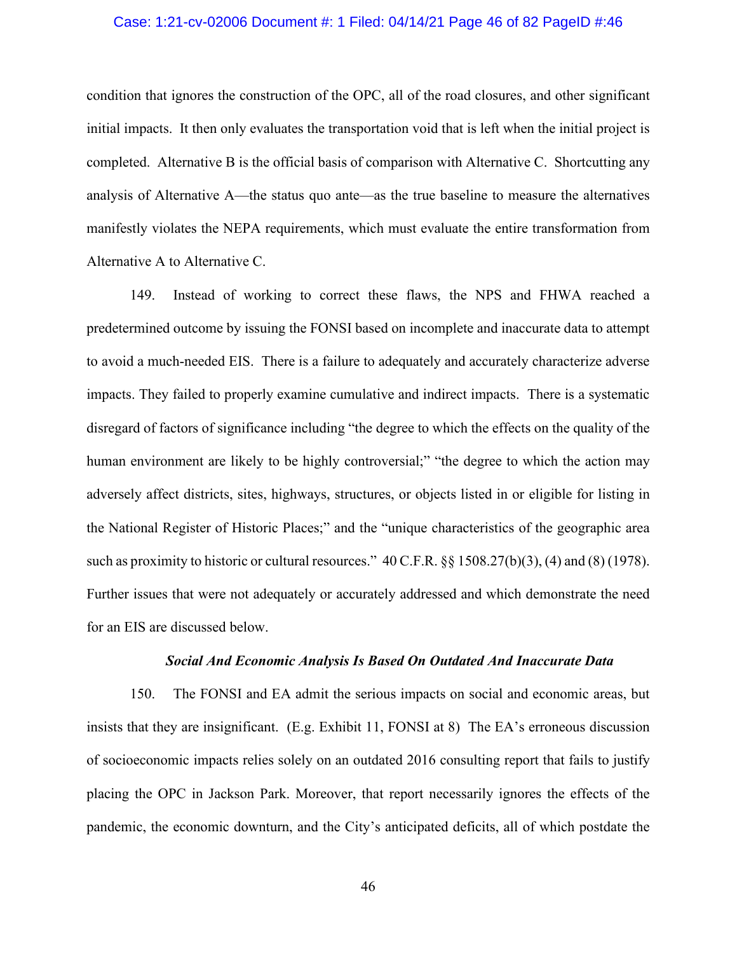#### Case: 1:21-cv-02006 Document #: 1 Filed: 04/14/21 Page 46 of 82 PageID #:46

condition that ignores the construction of the OPC, all of the road closures, and other significant initial impacts. It then only evaluates the transportation void that is left when the initial project is completed. Alternative B is the official basis of comparison with Alternative C. Shortcutting any analysis of Alternative A—the status quo ante—as the true baseline to measure the alternatives manifestly violates the NEPA requirements, which must evaluate the entire transformation from Alternative A to Alternative C.

149. Instead of working to correct these flaws, the NPS and FHWA reached a predetermined outcome by issuing the FONSI based on incomplete and inaccurate data to attempt to avoid a much-needed EIS. There is a failure to adequately and accurately characterize adverse impacts. They failed to properly examine cumulative and indirect impacts. There is a systematic disregard of factors of significance including "the degree to which the effects on the quality of the human environment are likely to be highly controversial;" "the degree to which the action may adversely affect districts, sites, highways, structures, or objects listed in or eligible for listing in the National Register of Historic Places;" and the "unique characteristics of the geographic area such as proximity to historic or cultural resources." 40 C.F.R. §§ 1508.27(b)(3), (4) and (8) (1978). Further issues that were not adequately or accurately addressed and which demonstrate the need for an EIS are discussed below.

#### *Social And Economic Analysis Is Based On Outdated And Inaccurate Data*

150. The FONSI and EA admit the serious impacts on social and economic areas, but insists that they are insignificant. (E.g. Exhibit 11, FONSI at 8) The EA's erroneous discussion of socioeconomic impacts relies solely on an outdated 2016 consulting report that fails to justify placing the OPC in Jackson Park. Moreover, that report necessarily ignores the effects of the pandemic, the economic downturn, and the City's anticipated deficits, all of which postdate the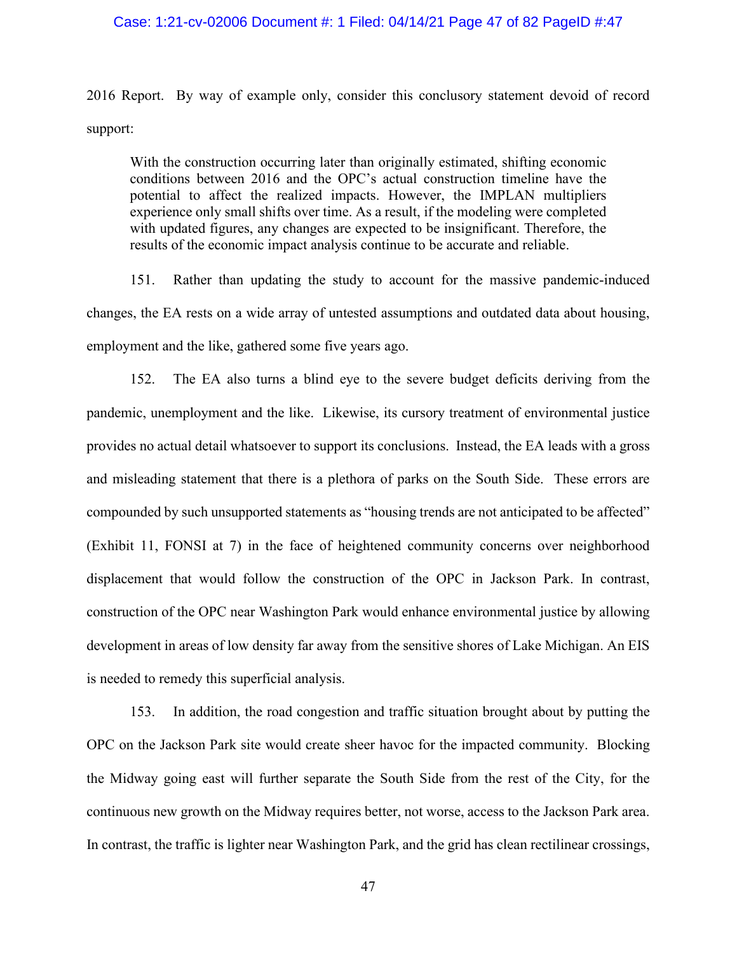### Case: 1:21-cv-02006 Document #: 1 Filed: 04/14/21 Page 47 of 82 PageID #:47

2016 Report. By way of example only, consider this conclusory statement devoid of record support:

With the construction occurring later than originally estimated, shifting economic conditions between 2016 and the OPC's actual construction timeline have the potential to affect the realized impacts. However, the IMPLAN multipliers experience only small shifts over time. As a result, if the modeling were completed with updated figures, any changes are expected to be insignificant. Therefore, the results of the economic impact analysis continue to be accurate and reliable.

151. Rather than updating the study to account for the massive pandemic-induced changes, the EA rests on a wide array of untested assumptions and outdated data about housing, employment and the like, gathered some five years ago.

152. The EA also turns a blind eye to the severe budget deficits deriving from the pandemic, unemployment and the like. Likewise, its cursory treatment of environmental justice provides no actual detail whatsoever to support its conclusions. Instead, the EA leads with a gross and misleading statement that there is a plethora of parks on the South Side. These errors are compounded by such unsupported statements as "housing trends are not anticipated to be affected" (Exhibit 11, FONSI at 7) in the face of heightened community concerns over neighborhood displacement that would follow the construction of the OPC in Jackson Park. In contrast, construction of the OPC near Washington Park would enhance environmental justice by allowing development in areas of low density far away from the sensitive shores of Lake Michigan. An EIS is needed to remedy this superficial analysis.

153. In addition, the road congestion and traffic situation brought about by putting the OPC on the Jackson Park site would create sheer havoc for the impacted community. Blocking the Midway going east will further separate the South Side from the rest of the City, for the continuous new growth on the Midway requires better, not worse, access to the Jackson Park area. In contrast, the traffic is lighter near Washington Park, and the grid has clean rectilinear crossings,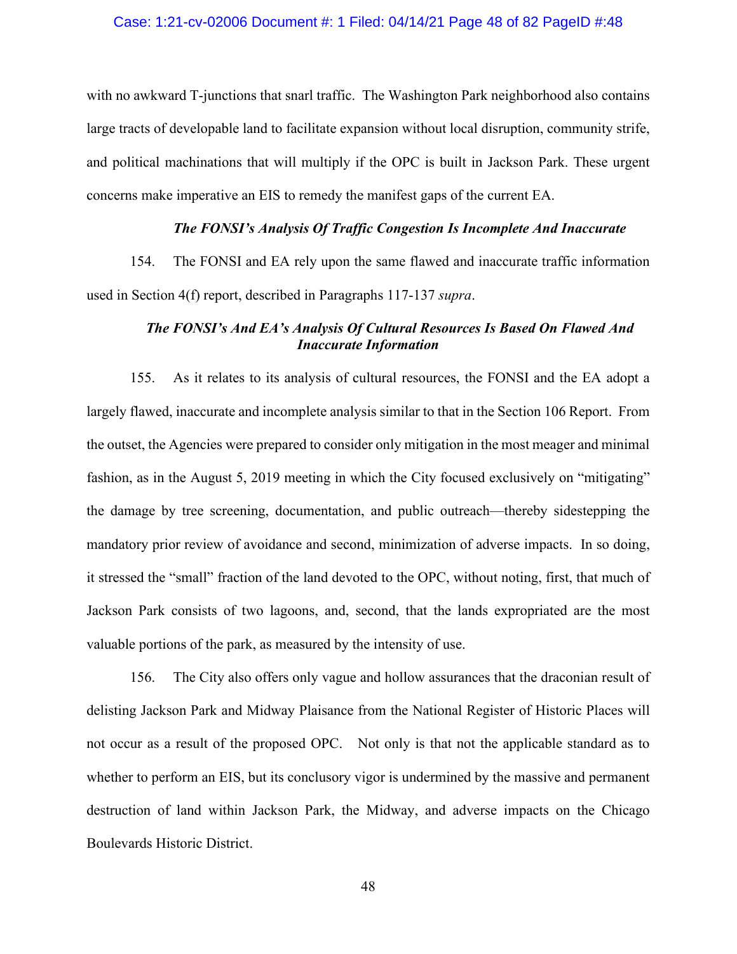#### Case: 1:21-cv-02006 Document #: 1 Filed: 04/14/21 Page 48 of 82 PageID #:48

with no awkward T-junctions that snarl traffic. The Washington Park neighborhood also contains large tracts of developable land to facilitate expansion without local disruption, community strife, and political machinations that will multiply if the OPC is built in Jackson Park. These urgent concerns make imperative an EIS to remedy the manifest gaps of the current EA.

### *The FONSI's Analysis Of Traffic Congestion Is Incomplete And Inaccurate*

154. The FONSI and EA rely upon the same flawed and inaccurate traffic information used in Section 4(f) report, described in Paragraphs 117-137 *supra*.

# *The FONSI's And EA's Analysis Of Cultural Resources Is Based On Flawed And Inaccurate Information*

155. As it relates to its analysis of cultural resources, the FONSI and the EA adopt a largely flawed, inaccurate and incomplete analysis similar to that in the Section 106 Report. From the outset, the Agencies were prepared to consider only mitigation in the most meager and minimal fashion, as in the August 5, 2019 meeting in which the City focused exclusively on "mitigating" the damage by tree screening, documentation, and public outreach—thereby sidestepping the mandatory prior review of avoidance and second, minimization of adverse impacts. In so doing, it stressed the "small" fraction of the land devoted to the OPC, without noting, first, that much of Jackson Park consists of two lagoons, and, second, that the lands expropriated are the most valuable portions of the park, as measured by the intensity of use.

156. The City also offers only vague and hollow assurances that the draconian result of delisting Jackson Park and Midway Plaisance from the National Register of Historic Places will not occur as a result of the proposed OPC. Not only is that not the applicable standard as to whether to perform an EIS, but its conclusory vigor is undermined by the massive and permanent destruction of land within Jackson Park, the Midway, and adverse impacts on the Chicago Boulevards Historic District.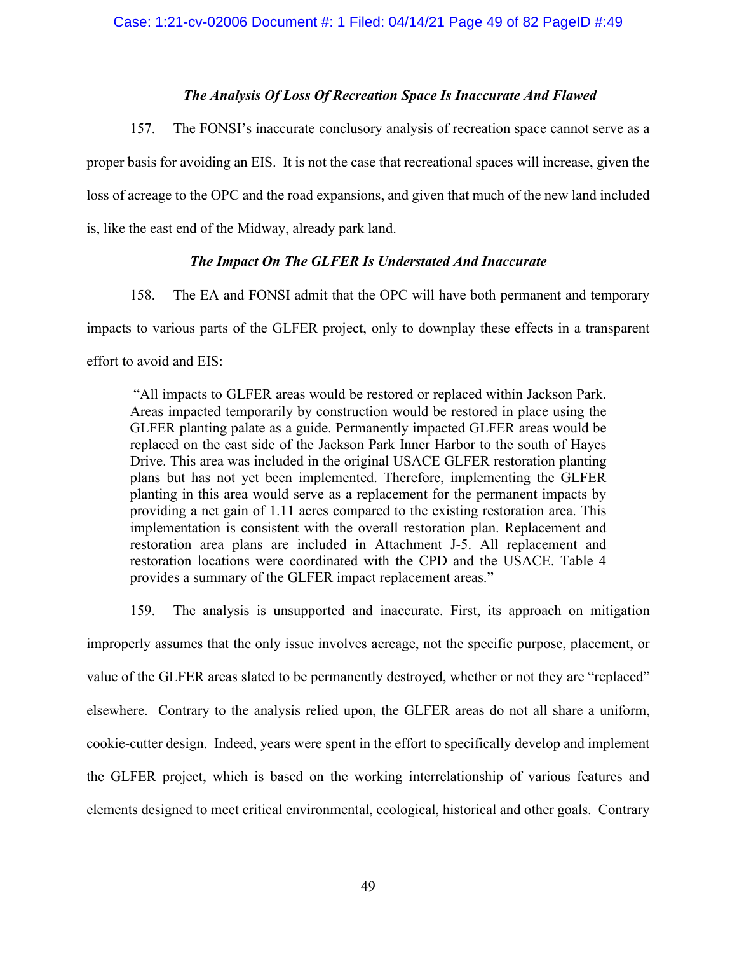### *The Analysis Of Loss Of Recreation Space Is Inaccurate And Flawed*

157. The FONSI's inaccurate conclusory analysis of recreation space cannot serve as a proper basis for avoiding an EIS. It is not the case that recreational spaces will increase, given the loss of acreage to the OPC and the road expansions, and given that much of the new land included is, like the east end of the Midway, already park land.

### *The Impact On The GLFER Is Understated And Inaccurate*

158. The EA and FONSI admit that the OPC will have both permanent and temporary impacts to various parts of the GLFER project, only to downplay these effects in a transparent effort to avoid and EIS:

"All impacts to GLFER areas would be restored or replaced within Jackson Park. Areas impacted temporarily by construction would be restored in place using the GLFER planting palate as a guide. Permanently impacted GLFER areas would be replaced on the east side of the Jackson Park Inner Harbor to the south of Hayes Drive. This area was included in the original USACE GLFER restoration planting plans but has not yet been implemented. Therefore, implementing the GLFER planting in this area would serve as a replacement for the permanent impacts by providing a net gain of 1.11 acres compared to the existing restoration area. This implementation is consistent with the overall restoration plan. Replacement and restoration area plans are included in Attachment J-5. All replacement and restoration locations were coordinated with the CPD and the USACE. Table 4 provides a summary of the GLFER impact replacement areas."

159. The analysis is unsupported and inaccurate. First, its approach on mitigation improperly assumes that the only issue involves acreage, not the specific purpose, placement, or value of the GLFER areas slated to be permanently destroyed, whether or not they are "replaced" elsewhere. Contrary to the analysis relied upon, the GLFER areas do not all share a uniform, cookie-cutter design. Indeed, years were spent in the effort to specifically develop and implement the GLFER project, which is based on the working interrelationship of various features and elements designed to meet critical environmental, ecological, historical and other goals. Contrary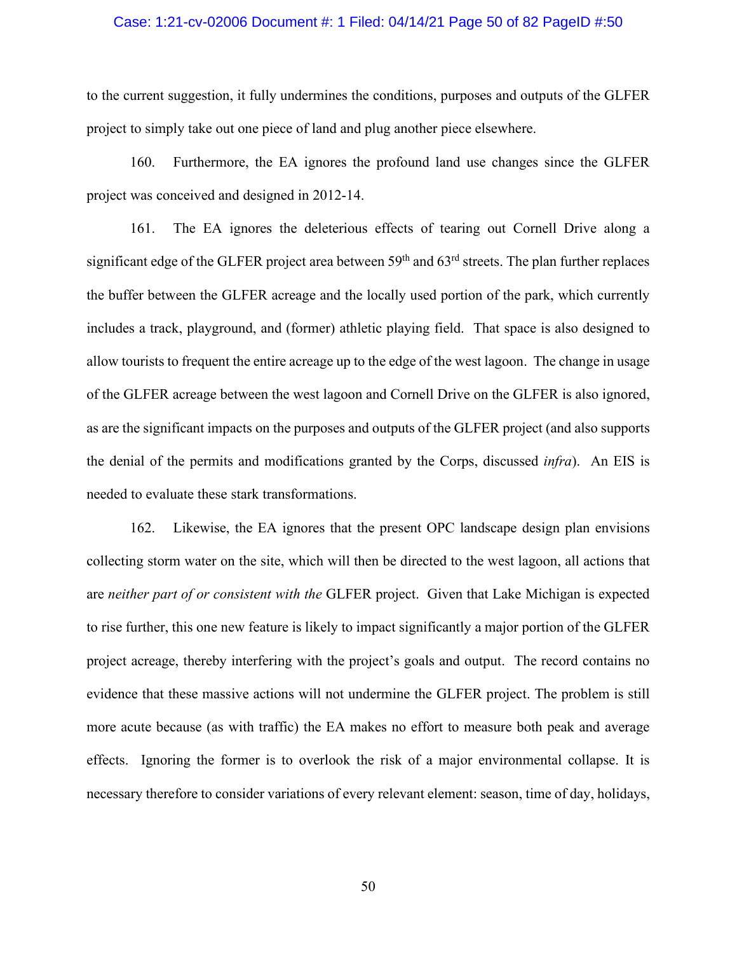#### Case: 1:21-cv-02006 Document #: 1 Filed: 04/14/21 Page 50 of 82 PageID #:50

to the current suggestion, it fully undermines the conditions, purposes and outputs of the GLFER project to simply take out one piece of land and plug another piece elsewhere.

160. Furthermore, the EA ignores the profound land use changes since the GLFER project was conceived and designed in 2012-14.

161. The EA ignores the deleterious effects of tearing out Cornell Drive along a significant edge of the GLFER project area between  $59<sup>th</sup>$  and  $63<sup>rd</sup>$  streets. The plan further replaces the buffer between the GLFER acreage and the locally used portion of the park, which currently includes a track, playground, and (former) athletic playing field. That space is also designed to allow tourists to frequent the entire acreage up to the edge of the west lagoon. The change in usage of the GLFER acreage between the west lagoon and Cornell Drive on the GLFER is also ignored, as are the significant impacts on the purposes and outputs of the GLFER project (and also supports the denial of the permits and modifications granted by the Corps, discussed *infra*). An EIS is needed to evaluate these stark transformations.

162. Likewise, the EA ignores that the present OPC landscape design plan envisions collecting storm water on the site, which will then be directed to the west lagoon, all actions that are *neither part of or consistent with the* GLFER project. Given that Lake Michigan is expected to rise further, this one new feature is likely to impact significantly a major portion of the GLFER project acreage, thereby interfering with the project's goals and output. The record contains no evidence that these massive actions will not undermine the GLFER project. The problem is still more acute because (as with traffic) the EA makes no effort to measure both peak and average effects. Ignoring the former is to overlook the risk of a major environmental collapse. It is necessary therefore to consider variations of every relevant element: season, time of day, holidays,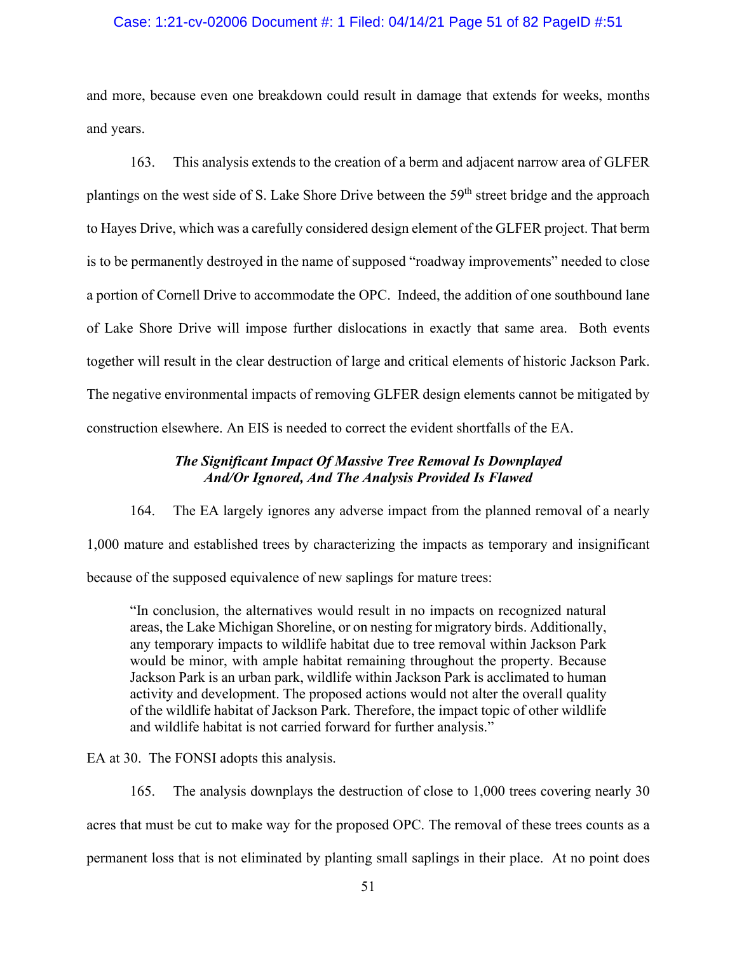### Case: 1:21-cv-02006 Document #: 1 Filed: 04/14/21 Page 51 of 82 PageID #:51

and more, because even one breakdown could result in damage that extends for weeks, months and years.

163. This analysis extends to the creation of a berm and adjacent narrow area of GLFER plantings on the west side of S. Lake Shore Drive between the 59<sup>th</sup> street bridge and the approach to Hayes Drive, which was a carefully considered design element of the GLFER project. That berm is to be permanently destroyed in the name of supposed "roadway improvements" needed to close a portion of Cornell Drive to accommodate the OPC. Indeed, the addition of one southbound lane of Lake Shore Drive will impose further dislocations in exactly that same area. Both events together will result in the clear destruction of large and critical elements of historic Jackson Park. The negative environmental impacts of removing GLFER design elements cannot be mitigated by construction elsewhere. An EIS is needed to correct the evident shortfalls of the EA.

# *The Significant Impact Of Massive Tree Removal Is Downplayed And/Or Ignored, And The Analysis Provided Is Flawed*

164. The EA largely ignores any adverse impact from the planned removal of a nearly 1,000 mature and established trees by characterizing the impacts as temporary and insignificant because of the supposed equivalence of new saplings for mature trees:

"In conclusion, the alternatives would result in no impacts on recognized natural areas, the Lake Michigan Shoreline, or on nesting for migratory birds. Additionally, any temporary impacts to wildlife habitat due to tree removal within Jackson Park would be minor, with ample habitat remaining throughout the property. Because Jackson Park is an urban park, wildlife within Jackson Park is acclimated to human activity and development. The proposed actions would not alter the overall quality of the wildlife habitat of Jackson Park. Therefore, the impact topic of other wildlife and wildlife habitat is not carried forward for further analysis."

EA at 30. The FONSI adopts this analysis.

165. The analysis downplays the destruction of close to 1,000 trees covering nearly 30 acres that must be cut to make way for the proposed OPC. The removal of these trees counts as a permanent loss that is not eliminated by planting small saplings in their place. At no point does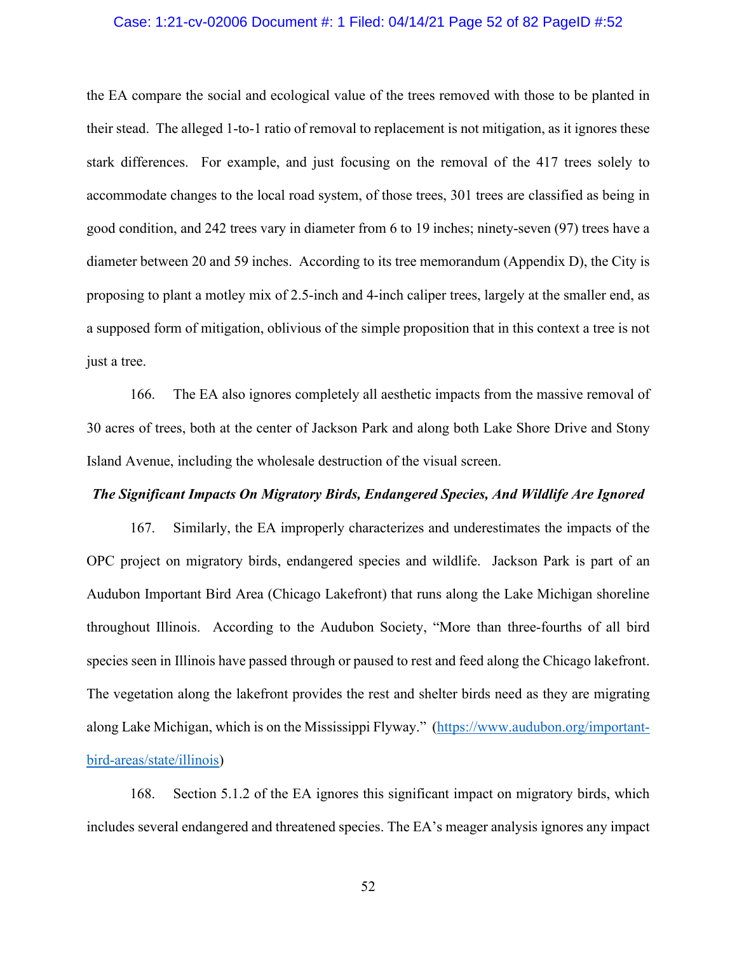#### Case: 1:21-cv-02006 Document #: 1 Filed: 04/14/21 Page 52 of 82 PageID #:52

the EA compare the social and ecological value of the trees removed with those to be planted in their stead. The alleged 1-to-1 ratio of removal to replacement is not mitigation, as it ignores these stark differences. For example, and just focusing on the removal of the 417 trees solely to accommodate changes to the local road system, of those trees, 301 trees are classified as being in good condition, and 242 trees vary in diameter from 6 to 19 inches; ninety-seven (97) trees have a diameter between 20 and 59 inches. According to its tree memorandum (Appendix D), the City is proposing to plant a motley mix of 2.5-inch and 4-inch caliper trees, largely at the smaller end, as a supposed form of mitigation, oblivious of the simple proposition that in this context a tree is not just a tree.

166. The EA also ignores completely all aesthetic impacts from the massive removal of 30 acres of trees, both at the center of Jackson Park and along both Lake Shore Drive and Stony Island Avenue, including the wholesale destruction of the visual screen.

### *The Significant Impacts On Migratory Birds, Endangered Species, And Wildlife Are Ignored*

167. Similarly, the EA improperly characterizes and underestimates the impacts of the OPC project on migratory birds, endangered species and wildlife. Jackson Park is part of an Audubon Important Bird Area (Chicago Lakefront) that runs along the Lake Michigan shoreline throughout Illinois. According to the Audubon Society, "More than three-fourths of all bird species seen in Illinois have passed through or paused to rest and feed along the Chicago lakefront. The vegetation along the lakefront provides the rest and shelter birds need as they are migrating along Lake Michigan, which is on the Mississippi Flyway." [\(https://www.audubon.org/important](https://www.audubon.org/important-bird-areas/state/illinois)[bird-areas/state/illinois\)](https://www.audubon.org/important-bird-areas/state/illinois)

168. Section 5.1.2 of the EA ignores this significant impact on migratory birds, which includes several endangered and threatened species. The EA's meager analysis ignores any impact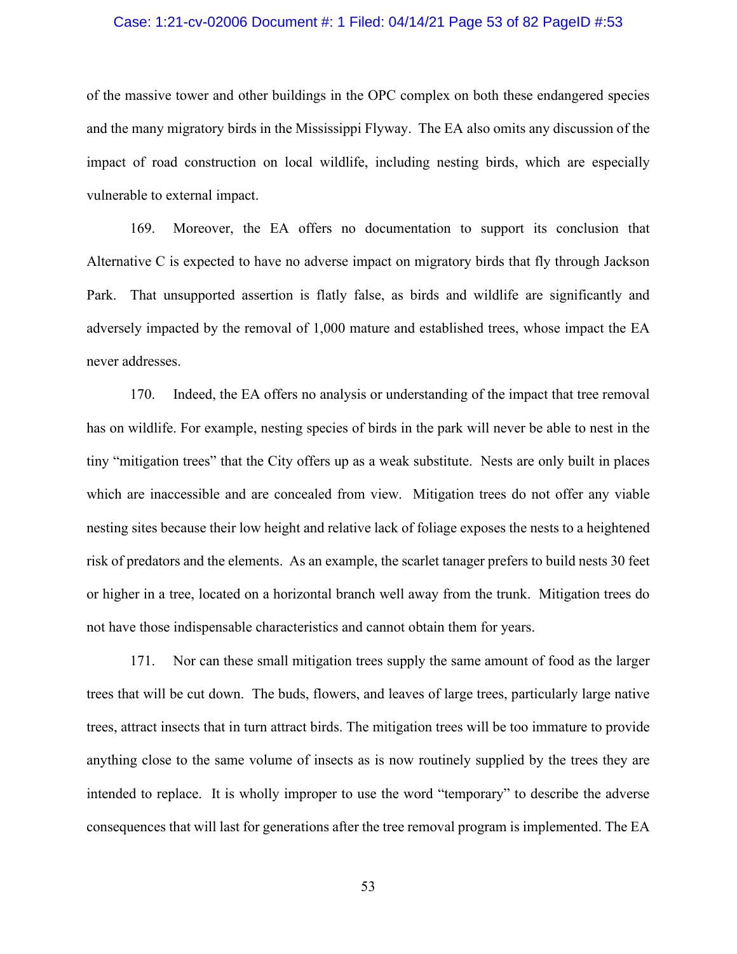#### Case: 1:21-cv-02006 Document #: 1 Filed: 04/14/21 Page 53 of 82 PageID #:53

of the massive tower and other buildings in the OPC complex on both these endangered species and the many migratory birds in the Mississippi Flyway. The EA also omits any discussion of the impact of road construction on local wildlife, including nesting birds, which are especially vulnerable to external impact.

169. Moreover, the EA offers no documentation to support its conclusion that Alternative C is expected to have no adverse impact on migratory birds that fly through Jackson Park. That unsupported assertion is flatly false, as birds and wildlife are significantly and adversely impacted by the removal of 1,000 mature and established trees, whose impact the EA never addresses.

170. Indeed, the EA offers no analysis or understanding of the impact that tree removal has on wildlife. For example, nesting species of birds in the park will never be able to nest in the tiny "mitigation trees" that the City offers up as a weak substitute. Nests are only built in places which are inaccessible and are concealed from view. Mitigation trees do not offer any viable nesting sites because their low height and relative lack of foliage exposes the nests to a heightened risk of predators and the elements. As an example, the scarlet tanager prefers to build nests 30 feet or higher in a tree, located on a horizontal branch well away from the trunk. Mitigation trees do not have those indispensable characteristics and cannot obtain them for years.

171. Nor can these small mitigation trees supply the same amount of food as the larger trees that will be cut down. The buds, flowers, and leaves of large trees, particularly large native trees, attract insects that in turn attract birds. The mitigation trees will be too immature to provide anything close to the same volume of insects as is now routinely supplied by the trees they are intended to replace. It is wholly improper to use the word "temporary" to describe the adverse consequences that will last for generations after the tree removal program is implemented. The EA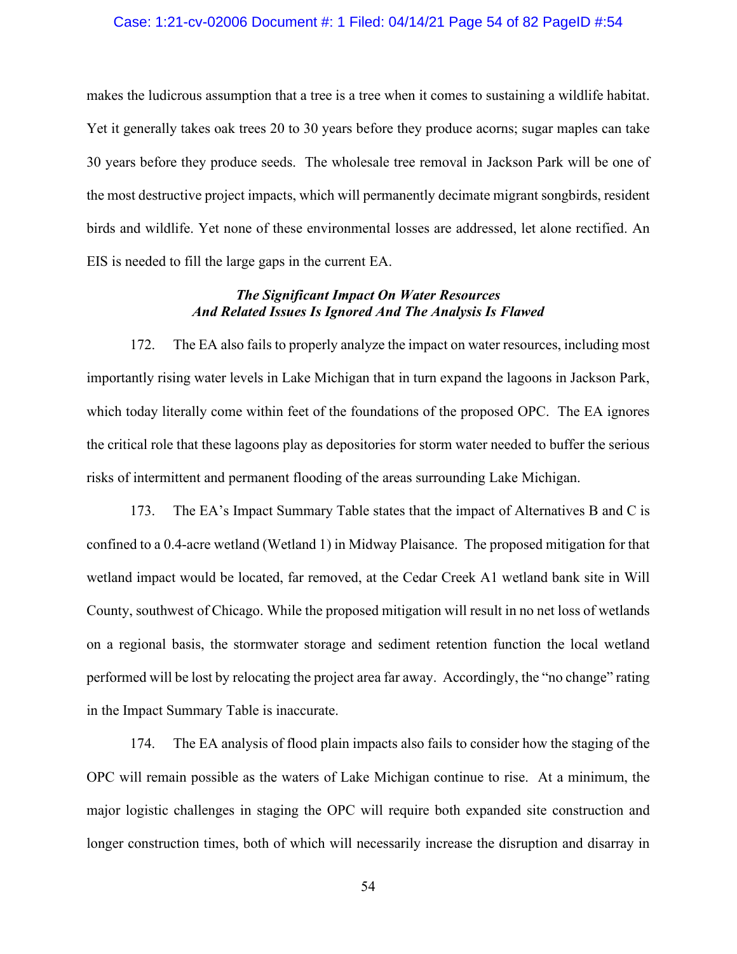#### Case: 1:21-cv-02006 Document #: 1 Filed: 04/14/21 Page 54 of 82 PageID #:54

makes the ludicrous assumption that a tree is a tree when it comes to sustaining a wildlife habitat. Yet it generally takes oak trees 20 to 30 years before they produce acorns; sugar maples can take 30 years before they produce seeds. The wholesale tree removal in Jackson Park will be one of the most destructive project impacts, which will permanently decimate migrant songbirds, resident birds and wildlife. Yet none of these environmental losses are addressed, let alone rectified. An EIS is needed to fill the large gaps in the current EA.

### *The Significant Impact On Water Resources And Related Issues Is Ignored And The Analysis Is Flawed*

172. The EA also fails to properly analyze the impact on water resources, including most importantly rising water levels in Lake Michigan that in turn expand the lagoons in Jackson Park, which today literally come within feet of the foundations of the proposed OPC. The EA ignores the critical role that these lagoons play as depositories for storm water needed to buffer the serious risks of intermittent and permanent flooding of the areas surrounding Lake Michigan.

173. The EA's Impact Summary Table states that the impact of Alternatives B and C is confined to a 0.4-acre wetland (Wetland 1) in Midway Plaisance. The proposed mitigation for that wetland impact would be located, far removed, at the Cedar Creek A1 wetland bank site in Will County, southwest of Chicago. While the proposed mitigation will result in no net loss of wetlands on a regional basis, the stormwater storage and sediment retention function the local wetland performed will be lost by relocating the project area far away. Accordingly, the "no change" rating in the Impact Summary Table is inaccurate.

174. The EA analysis of flood plain impacts also fails to consider how the staging of the OPC will remain possible as the waters of Lake Michigan continue to rise. At a minimum, the major logistic challenges in staging the OPC will require both expanded site construction and longer construction times, both of which will necessarily increase the disruption and disarray in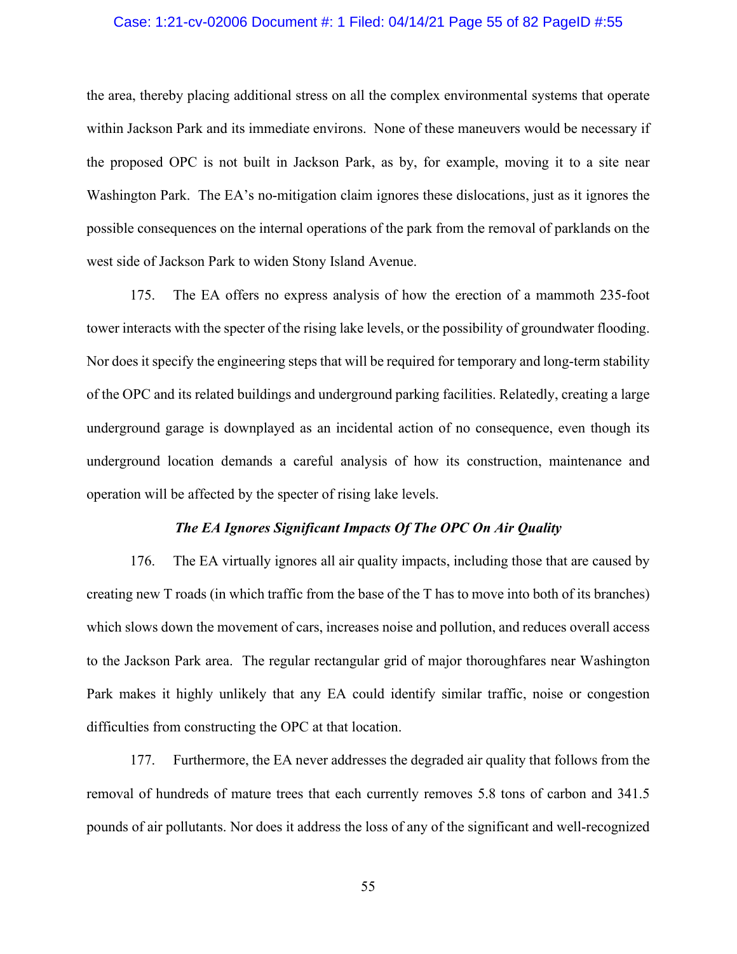#### Case: 1:21-cv-02006 Document #: 1 Filed: 04/14/21 Page 55 of 82 PageID #:55

the area, thereby placing additional stress on all the complex environmental systems that operate within Jackson Park and its immediate environs. None of these maneuvers would be necessary if the proposed OPC is not built in Jackson Park, as by, for example, moving it to a site near Washington Park. The EA's no-mitigation claim ignores these dislocations, just as it ignores the possible consequences on the internal operations of the park from the removal of parklands on the west side of Jackson Park to widen Stony Island Avenue.

175. The EA offers no express analysis of how the erection of a mammoth 235-foot tower interacts with the specter of the rising lake levels, or the possibility of groundwater flooding. Nor does it specify the engineering steps that will be required for temporary and long-term stability of the OPC and its related buildings and underground parking facilities. Relatedly, creating a large underground garage is downplayed as an incidental action of no consequence, even though its underground location demands a careful analysis of how its construction, maintenance and operation will be affected by the specter of rising lake levels.

#### *The EA Ignores Significant Impacts Of The OPC On Air Quality*

176. The EA virtually ignores all air quality impacts, including those that are caused by creating new T roads (in which traffic from the base of the T has to move into both of its branches) which slows down the movement of cars, increases noise and pollution, and reduces overall access to the Jackson Park area. The regular rectangular grid of major thoroughfares near Washington Park makes it highly unlikely that any EA could identify similar traffic, noise or congestion difficulties from constructing the OPC at that location.

177. Furthermore, the EA never addresses the degraded air quality that follows from the removal of hundreds of mature trees that each currently removes 5.8 tons of carbon and 341.5 pounds of air pollutants. Nor does it address the loss of any of the significant and well-recognized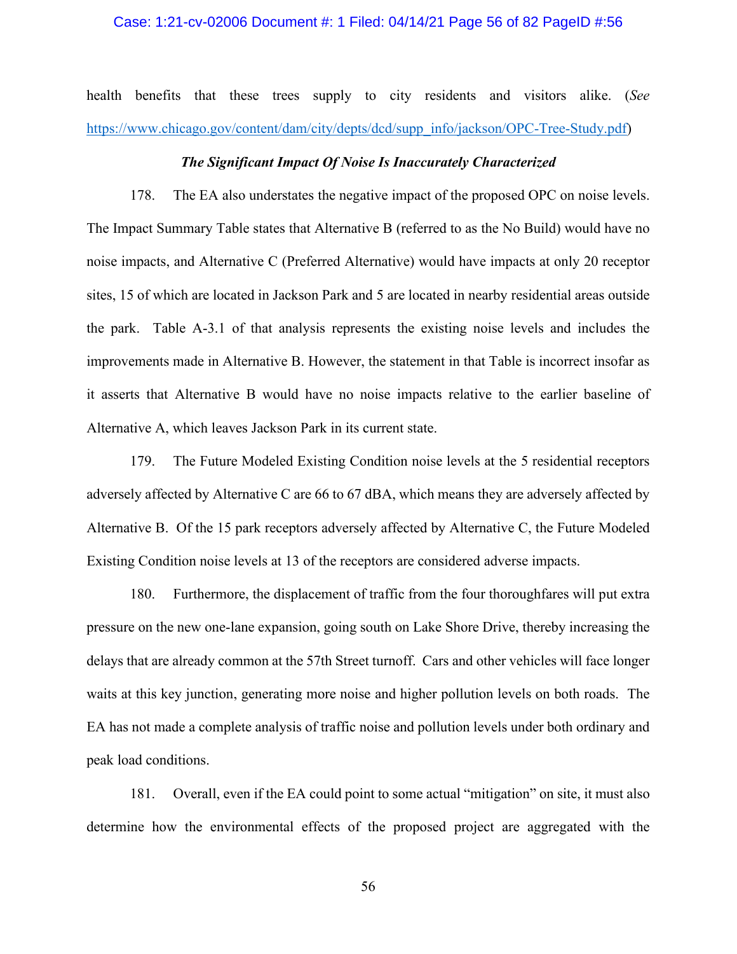#### Case: 1:21-cv-02006 Document #: 1 Filed: 04/14/21 Page 56 of 82 PageID #:56

health benefits that these trees supply to city residents and visitors alike. (*See* [https://www.chicago.gov/content/dam/city/depts/dcd/supp\\_info/jackson/OPC-Tree-Study.pdf\)](https://www.chicago.gov/content/dam/city/depts/dcd/supp_info/jackson/OPC-Tree-Study.pdf)

#### *The Significant Impact Of Noise Is Inaccurately Characterized*

178. The EA also understates the negative impact of the proposed OPC on noise levels. The Impact Summary Table states that Alternative B (referred to as the No Build) would have no noise impacts, and Alternative C (Preferred Alternative) would have impacts at only 20 receptor sites, 15 of which are located in Jackson Park and 5 are located in nearby residential areas outside the park. Table A-3.1 of that analysis represents the existing noise levels and includes the improvements made in Alternative B. However, the statement in that Table is incorrect insofar as it asserts that Alternative B would have no noise impacts relative to the earlier baseline of Alternative A, which leaves Jackson Park in its current state.

179. The Future Modeled Existing Condition noise levels at the 5 residential receptors adversely affected by Alternative C are 66 to 67 dBA, which means they are adversely affected by Alternative B. Of the 15 park receptors adversely affected by Alternative C, the Future Modeled Existing Condition noise levels at 13 of the receptors are considered adverse impacts.

180. Furthermore, the displacement of traffic from the four thoroughfares will put extra pressure on the new one-lane expansion, going south on Lake Shore Drive, thereby increasing the delays that are already common at the 57th Street turnoff. Cars and other vehicles will face longer waits at this key junction, generating more noise and higher pollution levels on both roads. The EA has not made a complete analysis of traffic noise and pollution levels under both ordinary and peak load conditions.

181. Overall, even if the EA could point to some actual "mitigation" on site, it must also determine how the environmental effects of the proposed project are aggregated with the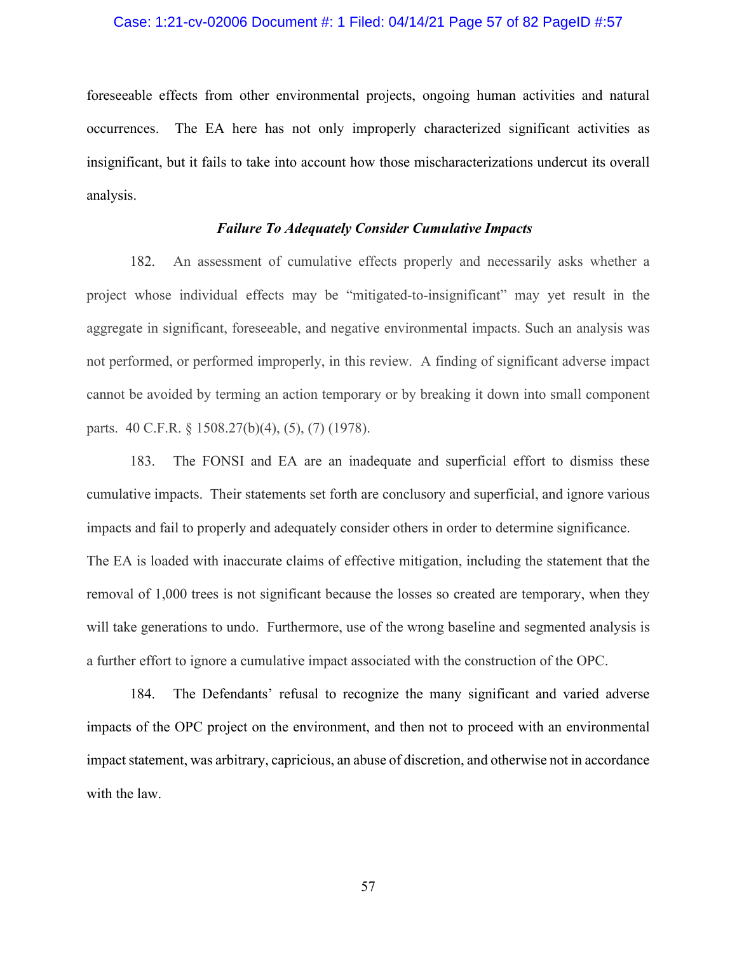#### Case: 1:21-cv-02006 Document #: 1 Filed: 04/14/21 Page 57 of 82 PageID #:57

foreseeable effects from other environmental projects, ongoing human activities and natural occurrences. The EA here has not only improperly characterized significant activities as insignificant, but it fails to take into account how those mischaracterizations undercut its overall analysis.

### *Failure To Adequately Consider Cumulative Impacts*

182. An assessment of cumulative effects properly and necessarily asks whether a project whose individual effects may be "mitigated-to-insignificant" may yet result in the aggregate in significant, foreseeable, and negative environmental impacts. Such an analysis was not performed, or performed improperly, in this review. A finding of significant adverse impact cannot be avoided by terming an action temporary or by breaking it down into small component parts. 40 C.F.R. § 1508.27(b)(4), (5), (7) (1978).

183. The FONSI and EA are an inadequate and superficial effort to dismiss these cumulative impacts. Their statements set forth are conclusory and superficial, and ignore various impacts and fail to properly and adequately consider others in order to determine significance. The EA is loaded with inaccurate claims of effective mitigation, including the statement that the removal of 1,000 trees is not significant because the losses so created are temporary, when they will take generations to undo. Furthermore, use of the wrong baseline and segmented analysis is a further effort to ignore a cumulative impact associated with the construction of the OPC.

184. The Defendants' refusal to recognize the many significant and varied adverse impacts of the OPC project on the environment, and then not to proceed with an environmental impact statement, was arbitrary, capricious, an abuse of discretion, and otherwise not in accordance with the law.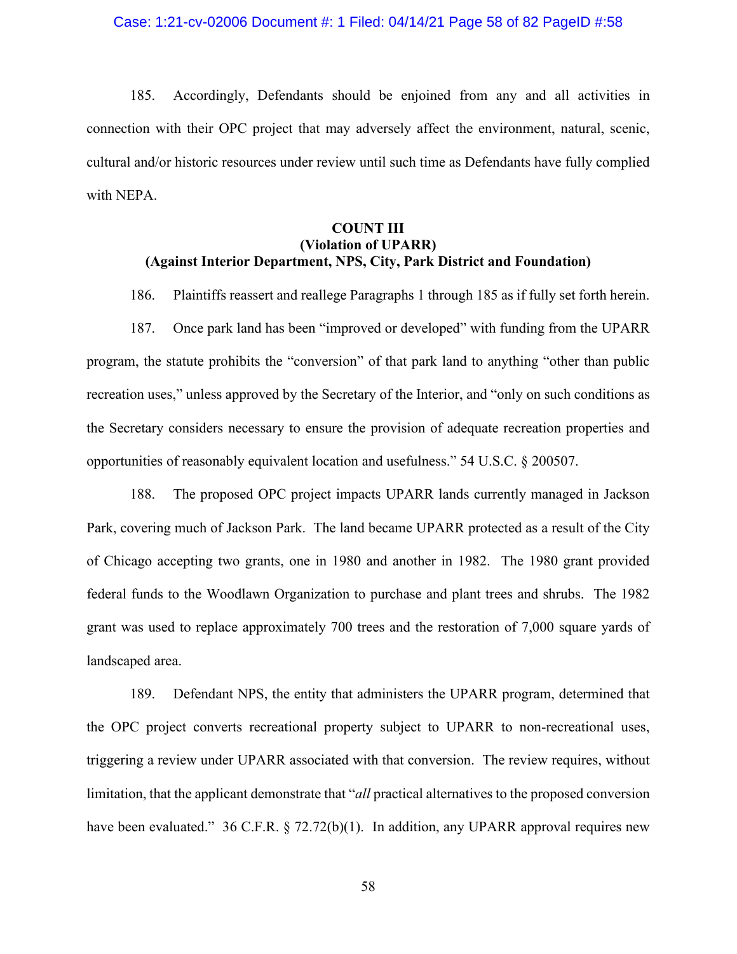185. Accordingly, Defendants should be enjoined from any and all activities in connection with their OPC project that may adversely affect the environment, natural, scenic, cultural and/or historic resources under review until such time as Defendants have fully complied with NEPA.

# **COUNT III (Violation of UPARR) (Against Interior Department, NPS, City, Park District and Foundation)**

186. Plaintiffs reassert and reallege Paragraphs 1 through 185 as if fully set forth herein.

187. Once park land has been "improved or developed" with funding from the UPARR program, the statute prohibits the "conversion" of that park land to anything "other than public recreation uses," unless approved by the Secretary of the Interior, and "only on such conditions as the Secretary considers necessary to ensure the provision of adequate recreation properties and opportunities of reasonably equivalent location and usefulness." 54 U.S.C. § 200507.

188. The proposed OPC project impacts UPARR lands currently managed in Jackson Park, covering much of Jackson Park. The land became UPARR protected as a result of the City of Chicago accepting two grants, one in 1980 and another in 1982. The 1980 grant provided federal funds to the Woodlawn Organization to purchase and plant trees and shrubs. The 1982 grant was used to replace approximately 700 trees and the restoration of 7,000 square yards of landscaped area.

189. Defendant NPS, the entity that administers the UPARR program, determined that the OPC project converts recreational property subject to UPARR to non-recreational uses, triggering a review under UPARR associated with that conversion. The review requires, without limitation, that the applicant demonstrate that "*all* practical alternatives to the proposed conversion have been evaluated." 36 C.F.R. § 72.72(b)(1). In addition, any UPARR approval requires new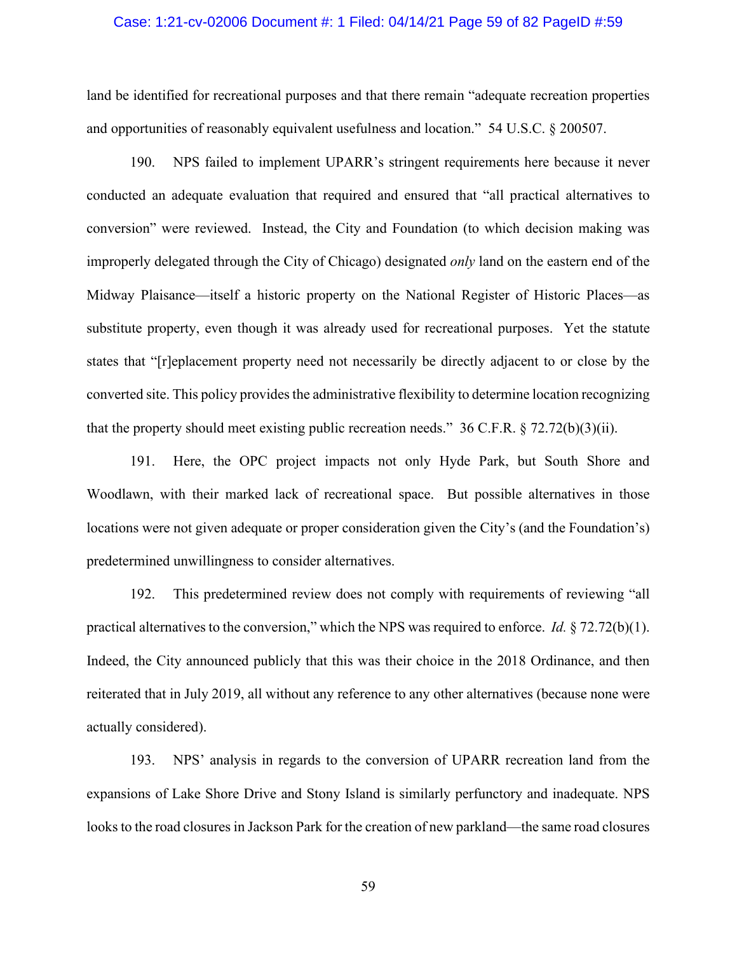#### Case: 1:21-cv-02006 Document #: 1 Filed: 04/14/21 Page 59 of 82 PageID #:59

land be identified for recreational purposes and that there remain "adequate recreation properties and opportunities of reasonably equivalent usefulness and location." 54 U.S.C. § 200507.

190. NPS failed to implement UPARR's stringent requirements here because it never conducted an adequate evaluation that required and ensured that "all practical alternatives to conversion" were reviewed. Instead, the City and Foundation (to which decision making was improperly delegated through the City of Chicago) designated *only* land on the eastern end of the Midway Plaisance—itself a historic property on the National Register of Historic Places—as substitute property, even though it was already used for recreational purposes. Yet the statute states that "[r]eplacement property need not necessarily be directly adjacent to or close by the converted site. This policy provides the administrative flexibility to determine location recognizing that the property should meet existing public recreation needs." 36 C.F.R.  $\S 72.72(b)(3)(ii)$ .

191. Here, the OPC project impacts not only Hyde Park, but South Shore and Woodlawn, with their marked lack of recreational space. But possible alternatives in those locations were not given adequate or proper consideration given the City's (and the Foundation's) predetermined unwillingness to consider alternatives.

192. This predetermined review does not comply with requirements of reviewing "all practical alternatives to the conversion," which the NPS was required to enforce. *Id.* § 72.72(b)(1). Indeed, the City announced publicly that this was their choice in the 2018 Ordinance, and then reiterated that in July 2019, all without any reference to any other alternatives (because none were actually considered).

193. NPS' analysis in regards to the conversion of UPARR recreation land from the expansions of Lake Shore Drive and Stony Island is similarly perfunctory and inadequate. NPS looks to the road closures in Jackson Park for the creation of new parkland—the same road closures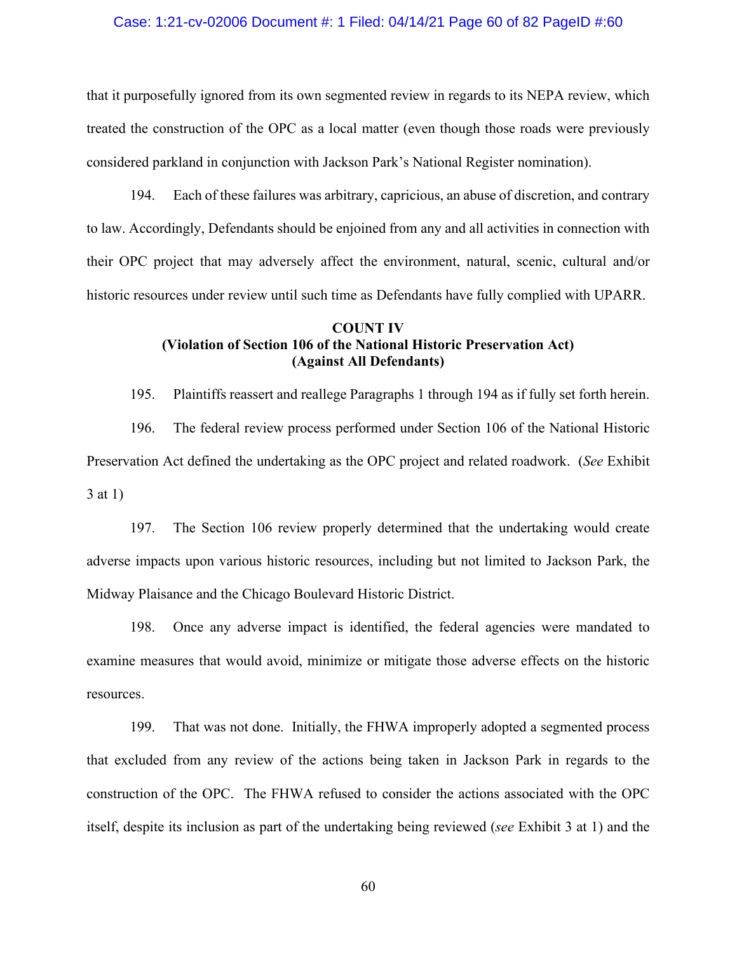#### Case: 1:21-cv-02006 Document #: 1 Filed: 04/14/21 Page 60 of 82 PageID #:60

that it purposefully ignored from its own segmented review in regards to its NEPA review, which treated the construction of the OPC as a local matter (even though those roads were previously considered parkland in conjunction with Jackson Park's National Register nomination).

194. Each of these failures was arbitrary, capricious, an abuse of discretion, and contrary to law. Accordingly, Defendants should be enjoined from any and all activities in connection with their OPC project that may adversely affect the environment, natural, scenic, cultural and/or historic resources under review until such time as Defendants have fully complied with UPARR.

# **COUNT IV (Violation of Section 106 of the National Historic Preservation Act) (Against All Defendants)**

195. Plaintiffs reassert and reallege Paragraphs 1 through 194 as if fully set forth herein. 196. The federal review process performed under Section 106 of the National Historic Preservation Act defined the undertaking as the OPC project and related roadwork. (*See* Exhibit 3 at 1)

197. The Section 106 review properly determined that the undertaking would create adverse impacts upon various historic resources, including but not limited to Jackson Park, the Midway Plaisance and the Chicago Boulevard Historic District.

198. Once any adverse impact is identified, the federal agencies were mandated to examine measures that would avoid, minimize or mitigate those adverse effects on the historic resources.

199. That was not done. Initially, the FHWA improperly adopted a segmented process that excluded from any review of the actions being taken in Jackson Park in regards to the construction of the OPC. The FHWA refused to consider the actions associated with the OPC itself, despite its inclusion as part of the undertaking being reviewed (*see* Exhibit 3 at 1) and the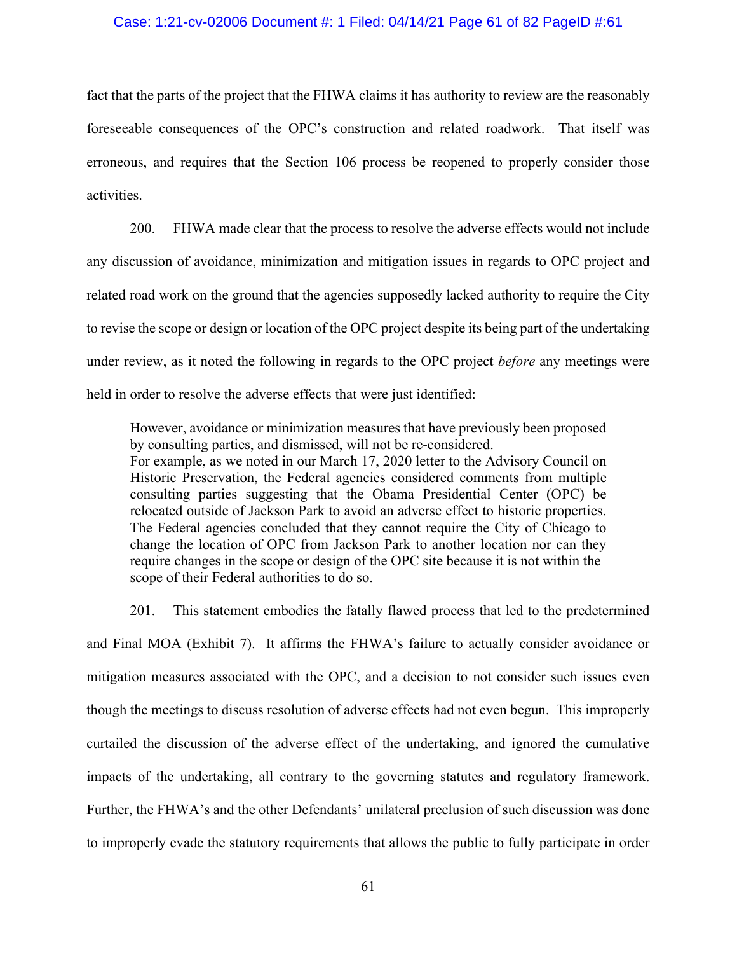### Case: 1:21-cv-02006 Document #: 1 Filed: 04/14/21 Page 61 of 82 PageID #:61

fact that the parts of the project that the FHWA claims it has authority to review are the reasonably foreseeable consequences of the OPC's construction and related roadwork. That itself was erroneous, and requires that the Section 106 process be reopened to properly consider those activities.

200. FHWA made clear that the process to resolve the adverse effects would not include any discussion of avoidance, minimization and mitigation issues in regards to OPC project and related road work on the ground that the agencies supposedly lacked authority to require the City to revise the scope or design or location of the OPC project despite its being part of the undertaking under review, as it noted the following in regards to the OPC project *before* any meetings were held in order to resolve the adverse effects that were just identified:

However, avoidance or minimization measures that have previously been proposed by consulting parties, and dismissed, will not be re-considered. For example, as we noted in our March 17, 2020 letter to the Advisory Council on Historic Preservation, the Federal agencies considered comments from multiple consulting parties suggesting that the Obama Presidential Center (OPC) be relocated outside of Jackson Park to avoid an adverse effect to historic properties. The Federal agencies concluded that they cannot require the City of Chicago to change the location of OPC from Jackson Park to another location nor can they require changes in the scope or design of the OPC site because it is not within the scope of their Federal authorities to do so.

201. This statement embodies the fatally flawed process that led to the predetermined and Final MOA (Exhibit 7). It affirms the FHWA's failure to actually consider avoidance or mitigation measures associated with the OPC, and a decision to not consider such issues even though the meetings to discuss resolution of adverse effects had not even begun. This improperly curtailed the discussion of the adverse effect of the undertaking, and ignored the cumulative impacts of the undertaking, all contrary to the governing statutes and regulatory framework. Further, the FHWA's and the other Defendants' unilateral preclusion of such discussion was done to improperly evade the statutory requirements that allows the public to fully participate in order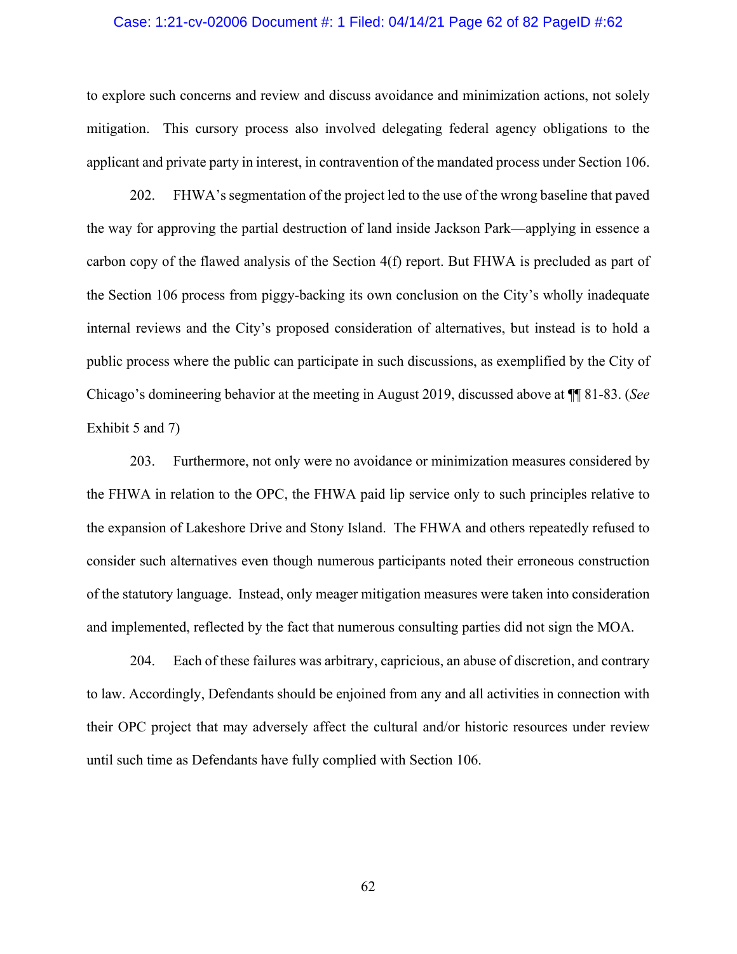#### Case: 1:21-cv-02006 Document #: 1 Filed: 04/14/21 Page 62 of 82 PageID #:62

to explore such concerns and review and discuss avoidance and minimization actions, not solely mitigation. This cursory process also involved delegating federal agency obligations to the applicant and private party in interest, in contravention of the mandated process under Section 106.

202. FHWA's segmentation of the project led to the use of the wrong baseline that paved the way for approving the partial destruction of land inside Jackson Park—applying in essence a carbon copy of the flawed analysis of the Section 4(f) report. But FHWA is precluded as part of the Section 106 process from piggy-backing its own conclusion on the City's wholly inadequate internal reviews and the City's proposed consideration of alternatives, but instead is to hold a public process where the public can participate in such discussions, as exemplified by the City of Chicago's domineering behavior at the meeting in August 2019, discussed above at ¶¶ 81-83. (*See* Exhibit 5 and 7)

203. Furthermore, not only were no avoidance or minimization measures considered by the FHWA in relation to the OPC, the FHWA paid lip service only to such principles relative to the expansion of Lakeshore Drive and Stony Island. The FHWA and others repeatedly refused to consider such alternatives even though numerous participants noted their erroneous construction of the statutory language. Instead, only meager mitigation measures were taken into consideration and implemented, reflected by the fact that numerous consulting parties did not sign the MOA.

204. Each of these failures was arbitrary, capricious, an abuse of discretion, and contrary to law. Accordingly, Defendants should be enjoined from any and all activities in connection with their OPC project that may adversely affect the cultural and/or historic resources under review until such time as Defendants have fully complied with Section 106.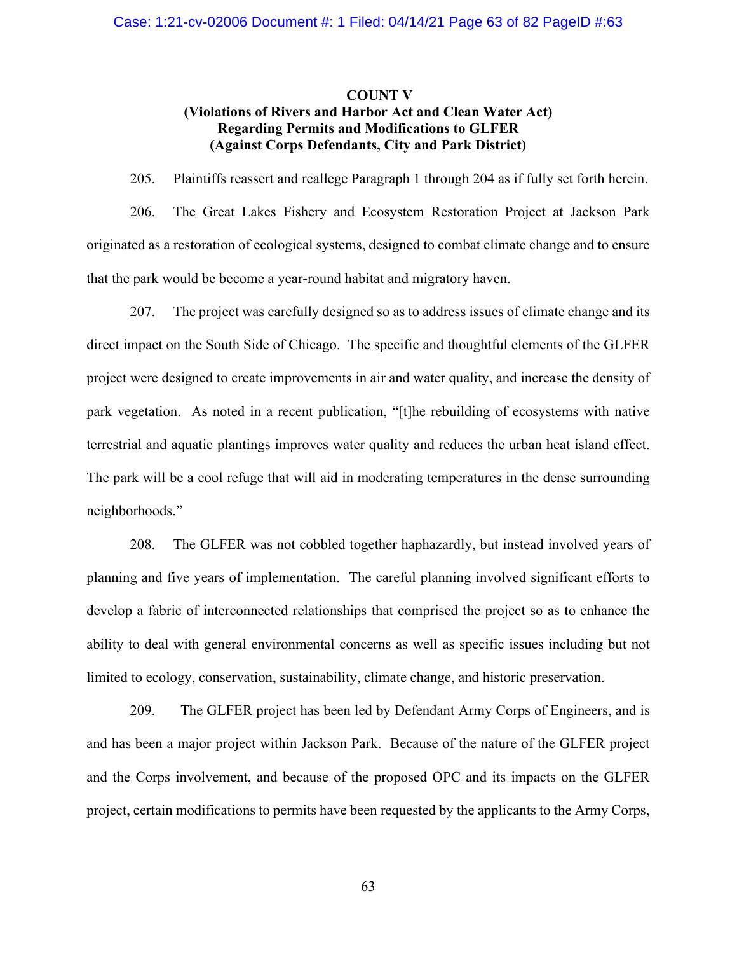# **COUNT V (Violations of Rivers and Harbor Act and Clean Water Act) Regarding Permits and Modifications to GLFER (Against Corps Defendants, City and Park District)**

205. Plaintiffs reassert and reallege Paragraph 1 through 204 as if fully set forth herein.

206. The Great Lakes Fishery and Ecosystem Restoration Project at Jackson Park originated as a restoration of ecological systems, designed to combat climate change and to ensure that the park would be become a year-round habitat and migratory haven.

207. The project was carefully designed so as to address issues of climate change and its direct impact on the South Side of Chicago. The specific and thoughtful elements of the GLFER project were designed to create improvements in air and water quality, and increase the density of park vegetation. As noted in a recent publication, "[t]he rebuilding of ecosystems with native terrestrial and aquatic plantings improves water quality and reduces the urban heat island effect. The park will be a cool refuge that will aid in moderating temperatures in the dense surrounding neighborhoods."

208. The GLFER was not cobbled together haphazardly, but instead involved years of planning and five years of implementation. The careful planning involved significant efforts to develop a fabric of interconnected relationships that comprised the project so as to enhance the ability to deal with general environmental concerns as well as specific issues including but not limited to ecology, conservation, sustainability, climate change, and historic preservation.

209. The GLFER project has been led by Defendant Army Corps of Engineers, and is and has been a major project within Jackson Park. Because of the nature of the GLFER project and the Corps involvement, and because of the proposed OPC and its impacts on the GLFER project, certain modifications to permits have been requested by the applicants to the Army Corps,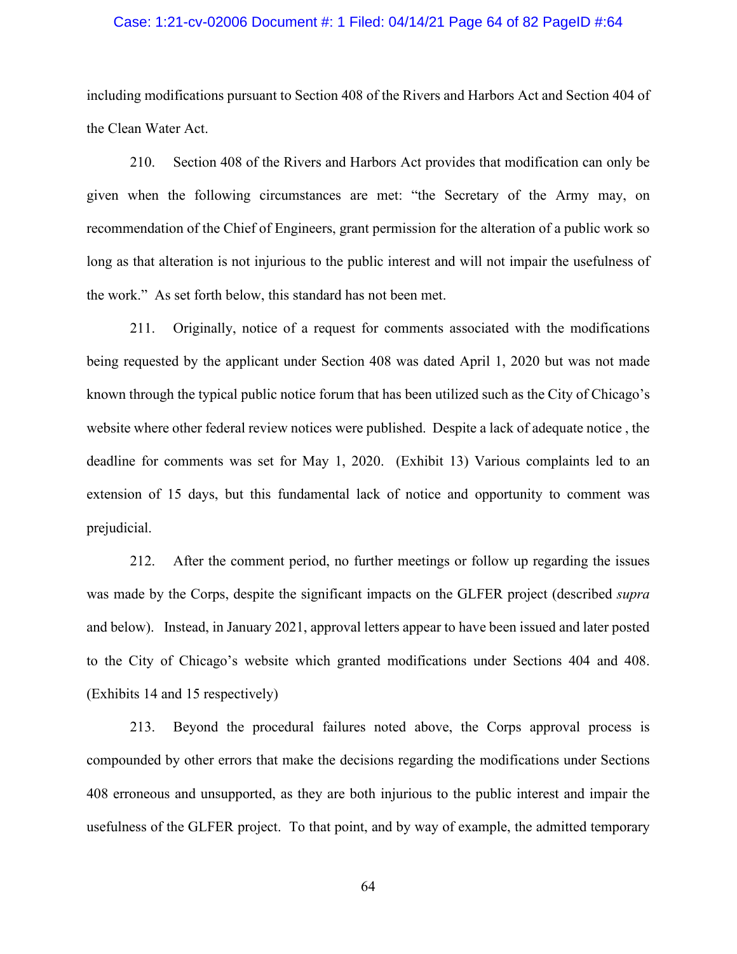#### Case: 1:21-cv-02006 Document #: 1 Filed: 04/14/21 Page 64 of 82 PageID #:64

including modifications pursuant to Section 408 of the Rivers and Harbors Act and Section 404 of the Clean Water Act.

210. Section 408 of the Rivers and Harbors Act provides that modification can only be given when the following circumstances are met: "the Secretary of the Army may, on recommendation of the Chief of Engineers, grant permission for the alteration of a public work so long as that alteration is not injurious to the public interest and will not impair the usefulness of the work." As set forth below, this standard has not been met.

211. Originally, notice of a request for comments associated with the modifications being requested by the applicant under Section 408 was dated April 1, 2020 but was not made known through the typical public notice forum that has been utilized such as the City of Chicago's website where other federal review notices were published. Despite a lack of adequate notice , the deadline for comments was set for May 1, 2020. (Exhibit 13) Various complaints led to an extension of 15 days, but this fundamental lack of notice and opportunity to comment was prejudicial.

212. After the comment period, no further meetings or follow up regarding the issues was made by the Corps, despite the significant impacts on the GLFER project (described *supra* and below). Instead, in January 2021, approval letters appear to have been issued and later posted to the City of Chicago's website which granted modifications under Sections 404 and 408. (Exhibits 14 and 15 respectively)

213. Beyond the procedural failures noted above, the Corps approval process is compounded by other errors that make the decisions regarding the modifications under Sections 408 erroneous and unsupported, as they are both injurious to the public interest and impair the usefulness of the GLFER project. To that point, and by way of example, the admitted temporary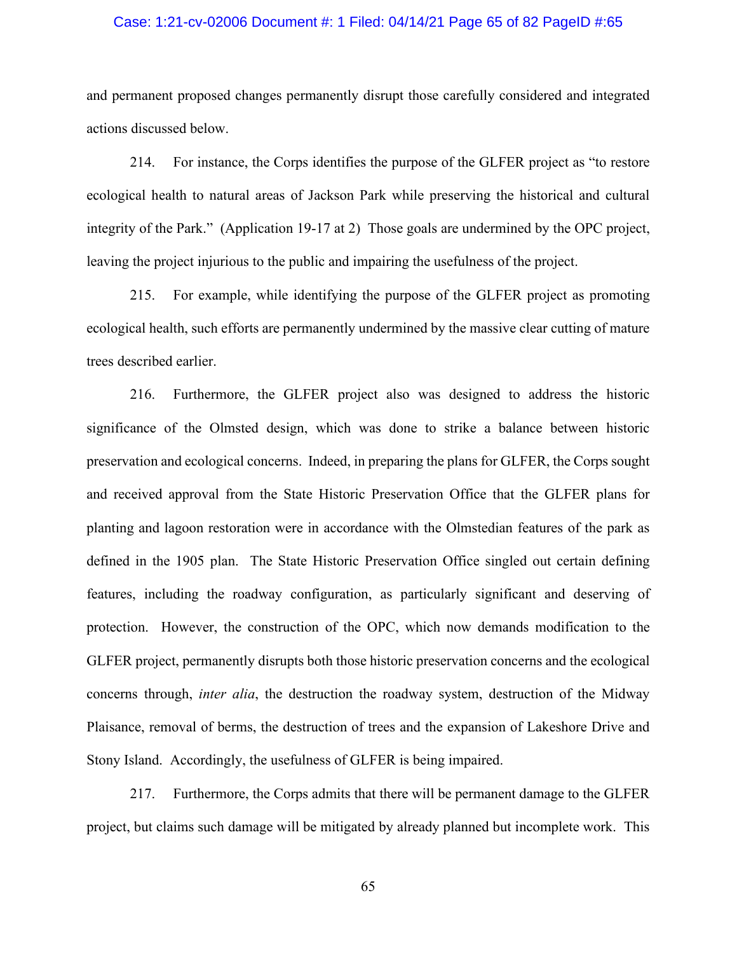#### Case: 1:21-cv-02006 Document #: 1 Filed: 04/14/21 Page 65 of 82 PageID #:65

and permanent proposed changes permanently disrupt those carefully considered and integrated actions discussed below.

214. For instance, the Corps identifies the purpose of the GLFER project as "to restore ecological health to natural areas of Jackson Park while preserving the historical and cultural integrity of the Park." (Application 19-17 at 2) Those goals are undermined by the OPC project, leaving the project injurious to the public and impairing the usefulness of the project.

215. For example, while identifying the purpose of the GLFER project as promoting ecological health, such efforts are permanently undermined by the massive clear cutting of mature trees described earlier.

216. Furthermore, the GLFER project also was designed to address the historic significance of the Olmsted design, which was done to strike a balance between historic preservation and ecological concerns. Indeed, in preparing the plans for GLFER, the Corps sought and received approval from the State Historic Preservation Office that the GLFER plans for planting and lagoon restoration were in accordance with the Olmstedian features of the park as defined in the 1905 plan. The State Historic Preservation Office singled out certain defining features, including the roadway configuration, as particularly significant and deserving of protection. However, the construction of the OPC, which now demands modification to the GLFER project, permanently disrupts both those historic preservation concerns and the ecological concerns through, *inter alia*, the destruction the roadway system, destruction of the Midway Plaisance, removal of berms, the destruction of trees and the expansion of Lakeshore Drive and Stony Island. Accordingly, the usefulness of GLFER is being impaired.

217. Furthermore, the Corps admits that there will be permanent damage to the GLFER project, but claims such damage will be mitigated by already planned but incomplete work. This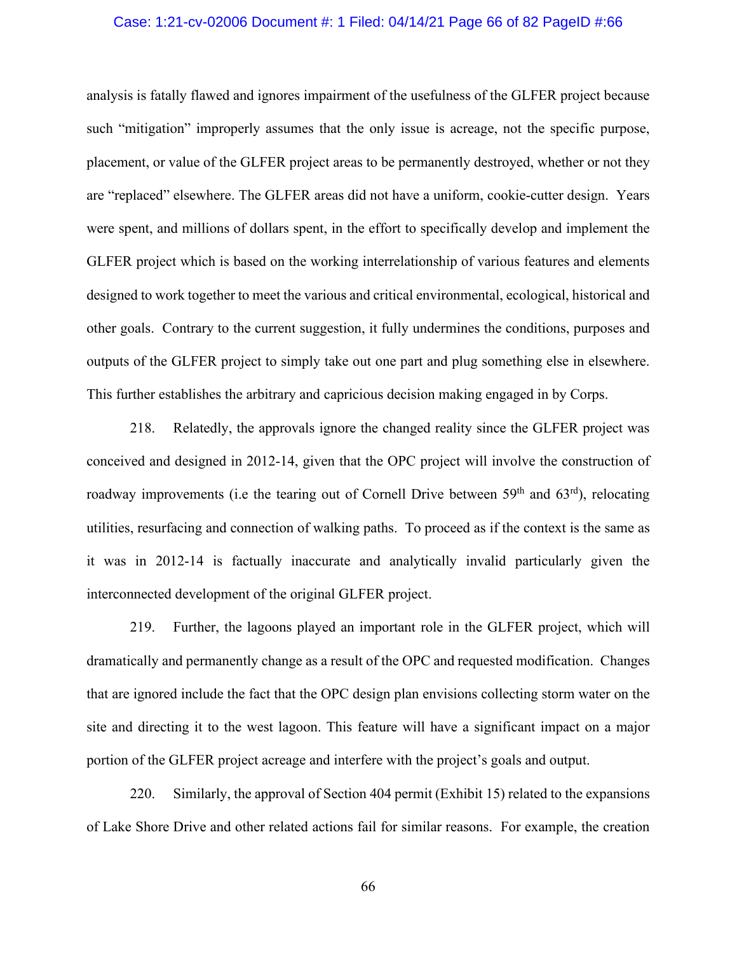#### Case: 1:21-cv-02006 Document #: 1 Filed: 04/14/21 Page 66 of 82 PageID #:66

analysis is fatally flawed and ignores impairment of the usefulness of the GLFER project because such "mitigation" improperly assumes that the only issue is acreage, not the specific purpose, placement, or value of the GLFER project areas to be permanently destroyed, whether or not they are "replaced" elsewhere. The GLFER areas did not have a uniform, cookie-cutter design. Years were spent, and millions of dollars spent, in the effort to specifically develop and implement the GLFER project which is based on the working interrelationship of various features and elements designed to work together to meet the various and critical environmental, ecological, historical and other goals. Contrary to the current suggestion, it fully undermines the conditions, purposes and outputs of the GLFER project to simply take out one part and plug something else in elsewhere. This further establishes the arbitrary and capricious decision making engaged in by Corps.

218. Relatedly, the approvals ignore the changed reality since the GLFER project was conceived and designed in 2012-14, given that the OPC project will involve the construction of roadway improvements (i.e the tearing out of Cornell Drive between  $59<sup>th</sup>$  and  $63<sup>rd</sup>$ ), relocating utilities, resurfacing and connection of walking paths. To proceed as if the context is the same as it was in 2012-14 is factually inaccurate and analytically invalid particularly given the interconnected development of the original GLFER project.

219. Further, the lagoons played an important role in the GLFER project, which will dramatically and permanently change as a result of the OPC and requested modification. Changes that are ignored include the fact that the OPC design plan envisions collecting storm water on the site and directing it to the west lagoon. This feature will have a significant impact on a major portion of the GLFER project acreage and interfere with the project's goals and output.

220. Similarly, the approval of Section 404 permit (Exhibit 15) related to the expansions of Lake Shore Drive and other related actions fail for similar reasons. For example, the creation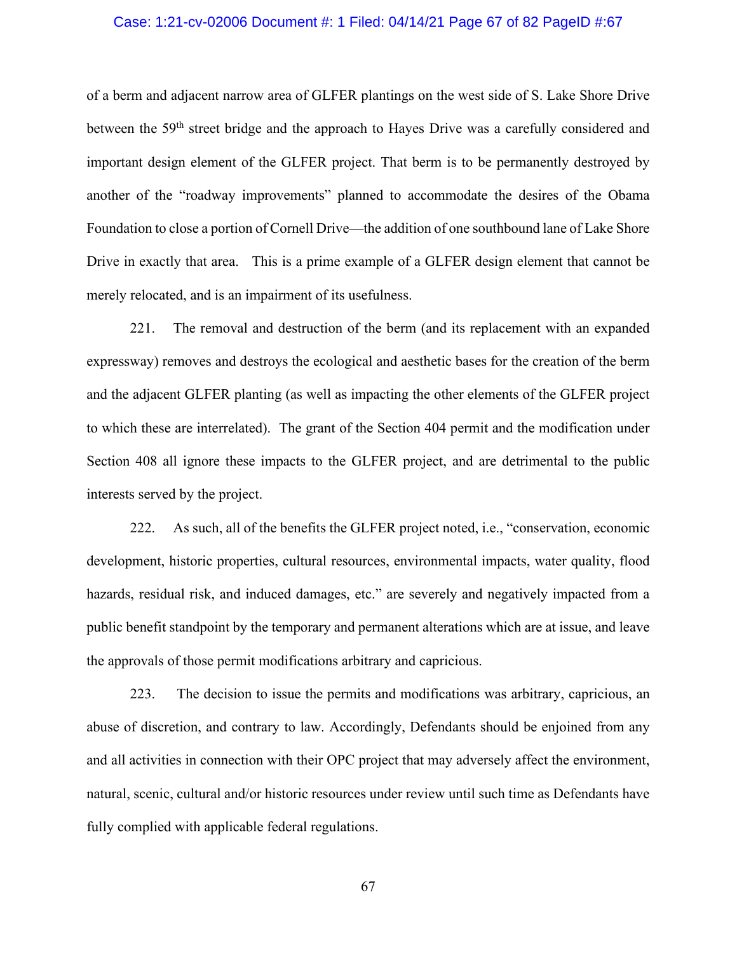### Case: 1:21-cv-02006 Document #: 1 Filed: 04/14/21 Page 67 of 82 PageID #:67

of a berm and adjacent narrow area of GLFER plantings on the west side of S. Lake Shore Drive between the 59<sup>th</sup> street bridge and the approach to Hayes Drive was a carefully considered and important design element of the GLFER project. That berm is to be permanently destroyed by another of the "roadway improvements" planned to accommodate the desires of the Obama Foundation to close a portion of Cornell Drive—the addition of one southbound lane of Lake Shore Drive in exactly that area. This is a prime example of a GLFER design element that cannot be merely relocated, and is an impairment of its usefulness.

221. The removal and destruction of the berm (and its replacement with an expanded expressway) removes and destroys the ecological and aesthetic bases for the creation of the berm and the adjacent GLFER planting (as well as impacting the other elements of the GLFER project to which these are interrelated). The grant of the Section 404 permit and the modification under Section 408 all ignore these impacts to the GLFER project, and are detrimental to the public interests served by the project.

222. As such, all of the benefits the GLFER project noted, i.e., "conservation, economic development, historic properties, cultural resources, environmental impacts, water quality, flood hazards, residual risk, and induced damages, etc." are severely and negatively impacted from a public benefit standpoint by the temporary and permanent alterations which are at issue, and leave the approvals of those permit modifications arbitrary and capricious.

223. The decision to issue the permits and modifications was arbitrary, capricious, an abuse of discretion, and contrary to law. Accordingly, Defendants should be enjoined from any and all activities in connection with their OPC project that may adversely affect the environment, natural, scenic, cultural and/or historic resources under review until such time as Defendants have fully complied with applicable federal regulations.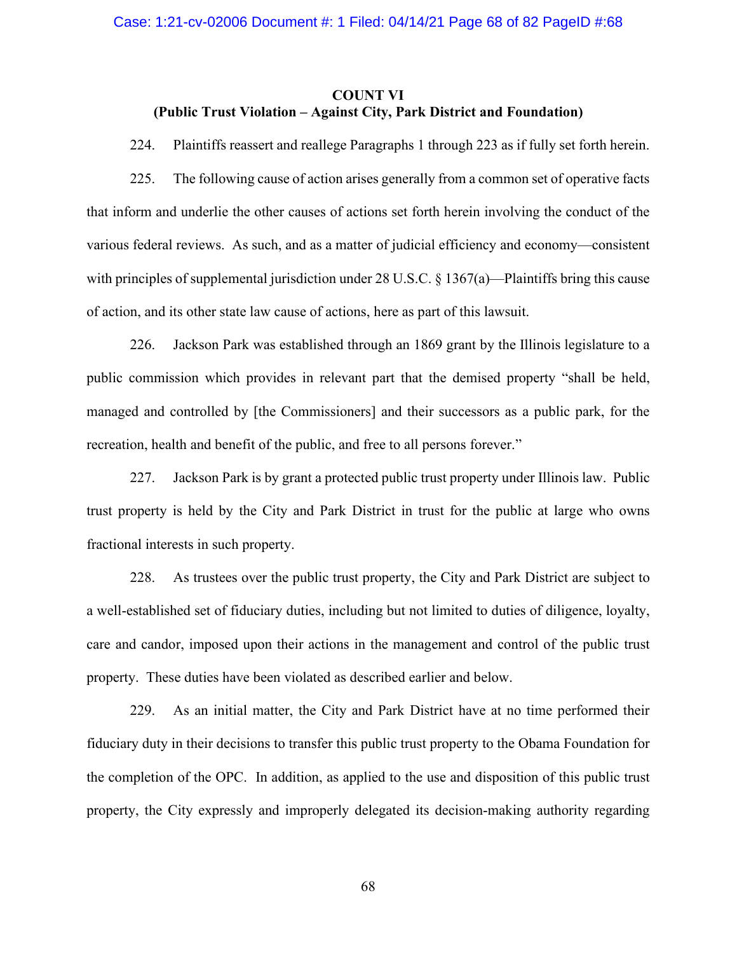# **COUNT VI (Public Trust Violation – Against City, Park District and Foundation)**

224. Plaintiffs reassert and reallege Paragraphs 1 through 223 as if fully set forth herein.

225. The following cause of action arises generally from a common set of operative facts that inform and underlie the other causes of actions set forth herein involving the conduct of the various federal reviews. As such, and as a matter of judicial efficiency and economy—consistent with principles of supplemental jurisdiction under 28 U.S.C. § 1367(a)—Plaintiffs bring this cause of action, and its other state law cause of actions, here as part of this lawsuit.

226. Jackson Park was established through an 1869 grant by the Illinois legislature to a public commission which provides in relevant part that the demised property "shall be held, managed and controlled by [the Commissioners] and their successors as a public park, for the recreation, health and benefit of the public, and free to all persons forever."

227. Jackson Park is by grant a protected public trust property under Illinois law. Public trust property is held by the City and Park District in trust for the public at large who owns fractional interests in such property.

228. As trustees over the public trust property, the City and Park District are subject to a well-established set of fiduciary duties, including but not limited to duties of diligence, loyalty, care and candor, imposed upon their actions in the management and control of the public trust property. These duties have been violated as described earlier and below.

229. As an initial matter, the City and Park District have at no time performed their fiduciary duty in their decisions to transfer this public trust property to the Obama Foundation for the completion of the OPC. In addition, as applied to the use and disposition of this public trust property, the City expressly and improperly delegated its decision-making authority regarding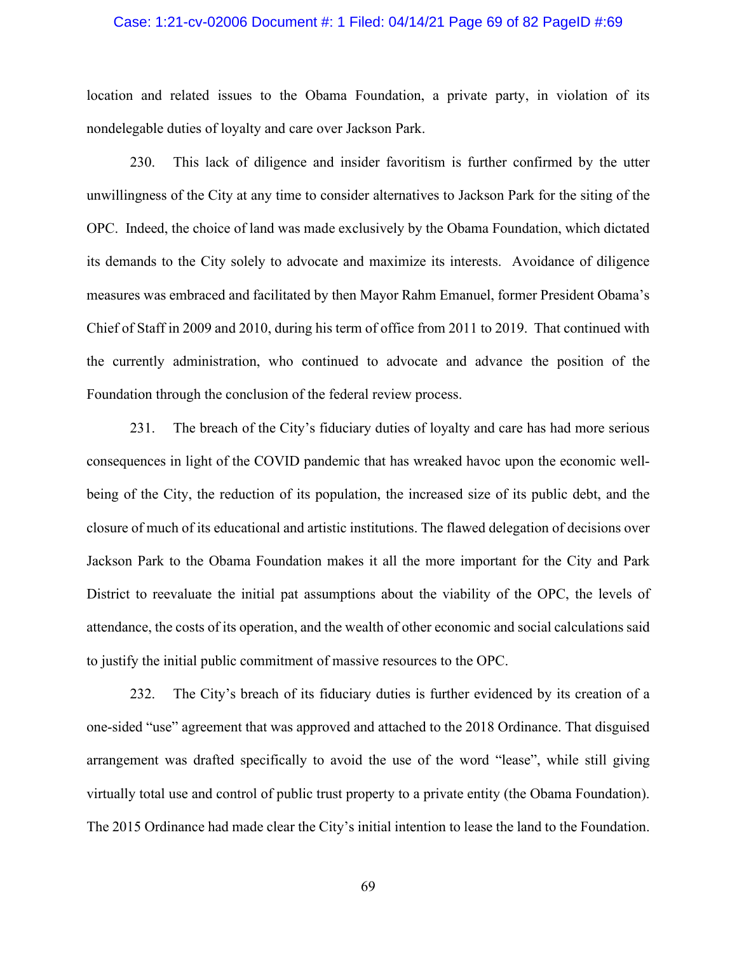#### Case: 1:21-cv-02006 Document #: 1 Filed: 04/14/21 Page 69 of 82 PageID #:69

location and related issues to the Obama Foundation, a private party, in violation of its nondelegable duties of loyalty and care over Jackson Park.

230. This lack of diligence and insider favoritism is further confirmed by the utter unwillingness of the City at any time to consider alternatives to Jackson Park for the siting of the OPC. Indeed, the choice of land was made exclusively by the Obama Foundation, which dictated its demands to the City solely to advocate and maximize its interests. Avoidance of diligence measures was embraced and facilitated by then Mayor Rahm Emanuel, former President Obama's Chief of Staff in 2009 and 2010, during his term of office from 2011 to 2019. That continued with the currently administration, who continued to advocate and advance the position of the Foundation through the conclusion of the federal review process.

231. The breach of the City's fiduciary duties of loyalty and care has had more serious consequences in light of the COVID pandemic that has wreaked havoc upon the economic wellbeing of the City, the reduction of its population, the increased size of its public debt, and the closure of much of its educational and artistic institutions. The flawed delegation of decisions over Jackson Park to the Obama Foundation makes it all the more important for the City and Park District to reevaluate the initial pat assumptions about the viability of the OPC, the levels of attendance, the costs of its operation, and the wealth of other economic and social calculations said to justify the initial public commitment of massive resources to the OPC.

232. The City's breach of its fiduciary duties is further evidenced by its creation of a one-sided "use" agreement that was approved and attached to the 2018 Ordinance. That disguised arrangement was drafted specifically to avoid the use of the word "lease", while still giving virtually total use and control of public trust property to a private entity (the Obama Foundation). The 2015 Ordinance had made clear the City's initial intention to lease the land to the Foundation.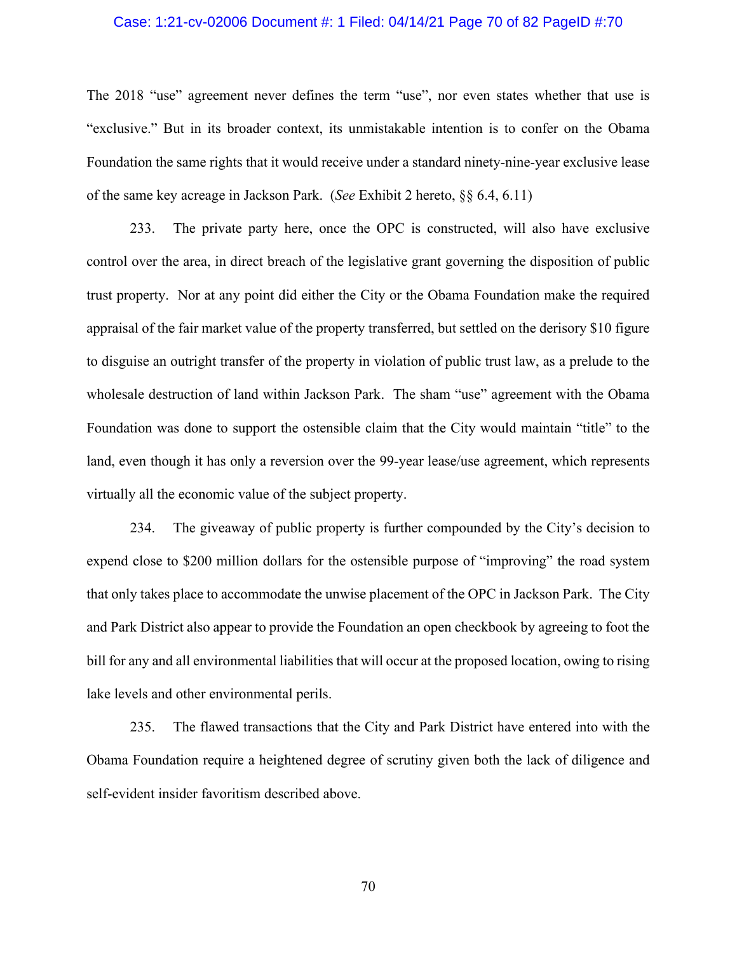#### Case: 1:21-cv-02006 Document #: 1 Filed: 04/14/21 Page 70 of 82 PageID #:70

The 2018 "use" agreement never defines the term "use", nor even states whether that use is "exclusive." But in its broader context, its unmistakable intention is to confer on the Obama Foundation the same rights that it would receive under a standard ninety-nine-year exclusive lease of the same key acreage in Jackson Park. (*See* Exhibit 2 hereto, §§ 6.4, 6.11)

233. The private party here, once the OPC is constructed, will also have exclusive control over the area, in direct breach of the legislative grant governing the disposition of public trust property. Nor at any point did either the City or the Obama Foundation make the required appraisal of the fair market value of the property transferred, but settled on the derisory \$10 figure to disguise an outright transfer of the property in violation of public trust law, as a prelude to the wholesale destruction of land within Jackson Park. The sham "use" agreement with the Obama Foundation was done to support the ostensible claim that the City would maintain "title" to the land, even though it has only a reversion over the 99-year lease/use agreement, which represents virtually all the economic value of the subject property.

234. The giveaway of public property is further compounded by the City's decision to expend close to \$200 million dollars for the ostensible purpose of "improving" the road system that only takes place to accommodate the unwise placement of the OPC in Jackson Park. The City and Park District also appear to provide the Foundation an open checkbook by agreeing to foot the bill for any and all environmental liabilities that will occur at the proposed location, owing to rising lake levels and other environmental perils.

235. The flawed transactions that the City and Park District have entered into with the Obama Foundation require a heightened degree of scrutiny given both the lack of diligence and self-evident insider favoritism described above.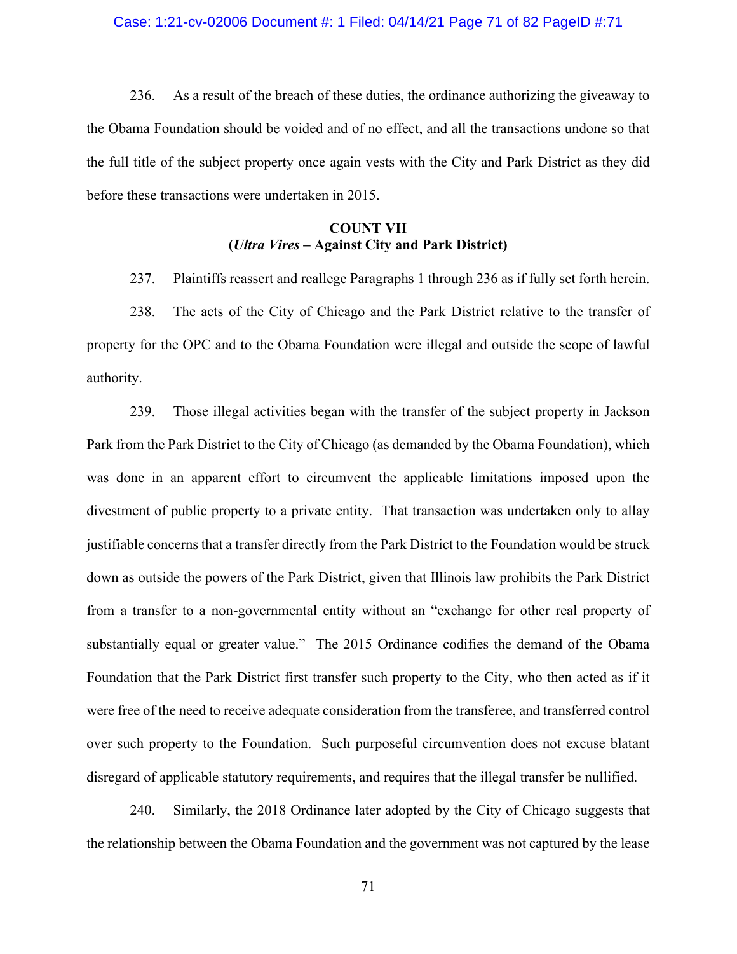#### Case: 1:21-cv-02006 Document #: 1 Filed: 04/14/21 Page 71 of 82 PageID #:71

236. As a result of the breach of these duties, the ordinance authorizing the giveaway to the Obama Foundation should be voided and of no effect, and all the transactions undone so that the full title of the subject property once again vests with the City and Park District as they did before these transactions were undertaken in 2015.

# **COUNT VII (***Ultra Vires* **– Against City and Park District)**

237. Plaintiffs reassert and reallege Paragraphs 1 through 236 as if fully set forth herein.

238. The acts of the City of Chicago and the Park District relative to the transfer of property for the OPC and to the Obama Foundation were illegal and outside the scope of lawful authority.

239. Those illegal activities began with the transfer of the subject property in Jackson Park from the Park District to the City of Chicago (as demanded by the Obama Foundation), which was done in an apparent effort to circumvent the applicable limitations imposed upon the divestment of public property to a private entity. That transaction was undertaken only to allay justifiable concerns that a transfer directly from the Park District to the Foundation would be struck down as outside the powers of the Park District, given that Illinois law prohibits the Park District from a transfer to a non-governmental entity without an "exchange for other real property of substantially equal or greater value." The 2015 Ordinance codifies the demand of the Obama Foundation that the Park District first transfer such property to the City, who then acted as if it were free of the need to receive adequate consideration from the transferee, and transferred control over such property to the Foundation. Such purposeful circumvention does not excuse blatant disregard of applicable statutory requirements, and requires that the illegal transfer be nullified.

240. Similarly, the 2018 Ordinance later adopted by the City of Chicago suggests that the relationship between the Obama Foundation and the government was not captured by the lease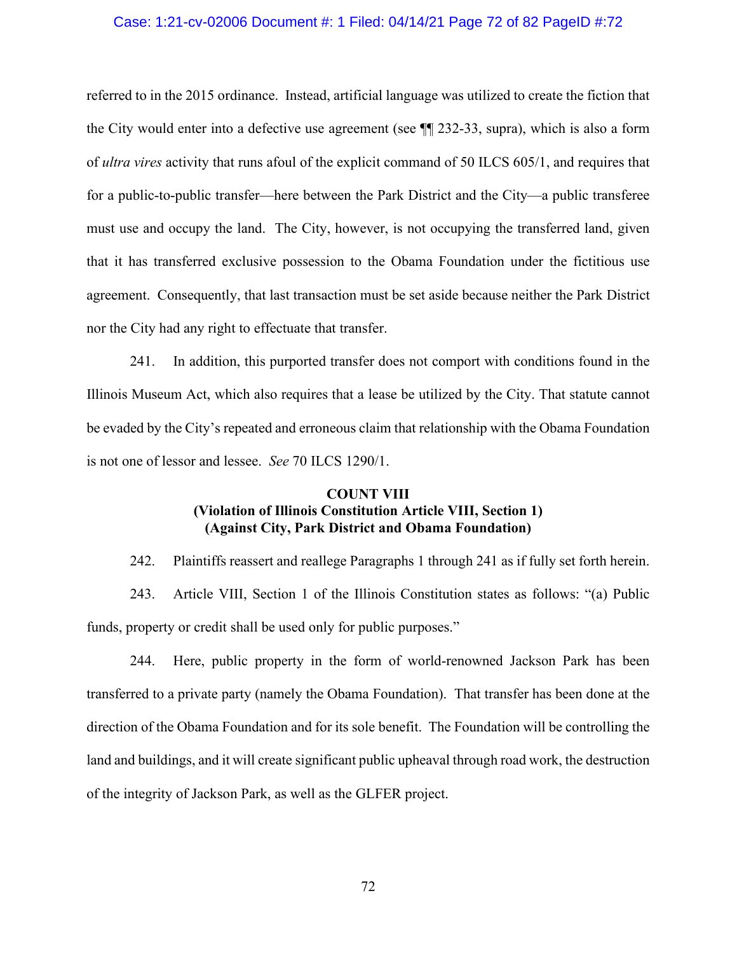### Case: 1:21-cv-02006 Document #: 1 Filed: 04/14/21 Page 72 of 82 PageID #:72

referred to in the 2015 ordinance. Instead, artificial language was utilized to create the fiction that the City would enter into a defective use agreement (see ¶¶ 232-33, supra), which is also a form of *ultra vires* activity that runs afoul of the explicit command of 50 ILCS 605/1, and requires that for a public-to-public transfer—here between the Park District and the City—a public transferee must use and occupy the land. The City, however, is not occupying the transferred land, given that it has transferred exclusive possession to the Obama Foundation under the fictitious use agreement. Consequently, that last transaction must be set aside because neither the Park District nor the City had any right to effectuate that transfer.

241. In addition, this purported transfer does not comport with conditions found in the Illinois Museum Act, which also requires that a lease be utilized by the City. That statute cannot be evaded by the City's repeated and erroneous claim that relationship with the Obama Foundation is not one of lessor and lessee. *See* 70 ILCS 1290/1.

# **COUNT VIII (Violation of Illinois Constitution Article VIII, Section 1) (Against City, Park District and Obama Foundation)**

242. Plaintiffs reassert and reallege Paragraphs 1 through 241 as if fully set forth herein.

243. Article VIII, Section 1 of the Illinois Constitution states as follows: "(a) Public funds, property or credit shall be used only for public purposes."

244. Here, public property in the form of world-renowned Jackson Park has been transferred to a private party (namely the Obama Foundation). That transfer has been done at the direction of the Obama Foundation and for its sole benefit. The Foundation will be controlling the land and buildings, and it will create significant public upheaval through road work, the destruction of the integrity of Jackson Park, as well as the GLFER project.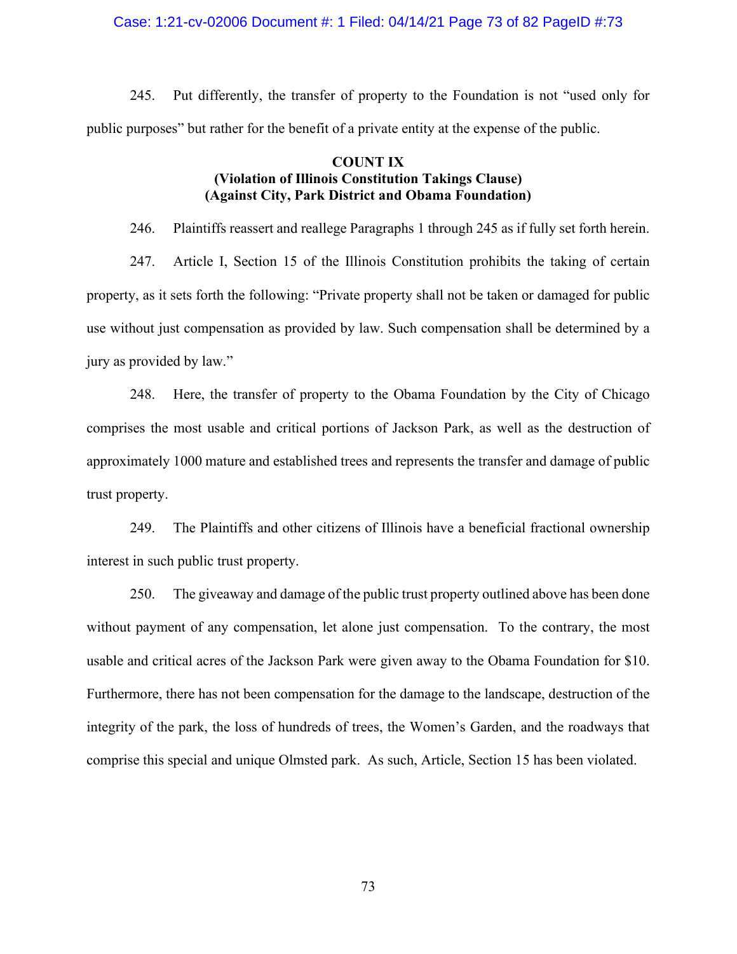#### Case: 1:21-cv-02006 Document #: 1 Filed: 04/14/21 Page 73 of 82 PageID #:73

245. Put differently, the transfer of property to the Foundation is not "used only for public purposes" but rather for the benefit of a private entity at the expense of the public.

### **COUNT IX (Violation of Illinois Constitution Takings Clause) (Against City, Park District and Obama Foundation)**

246. Plaintiffs reassert and reallege Paragraphs 1 through 245 as if fully set forth herein.

247. Article I, Section 15 of the Illinois Constitution prohibits the taking of certain property, as it sets forth the following: "Private property shall not be taken or damaged for public use without just compensation as provided by law. Such compensation shall be determined by a jury as provided by law."

248. Here, the transfer of property to the Obama Foundation by the City of Chicago comprises the most usable and critical portions of Jackson Park, as well as the destruction of approximately 1000 mature and established trees and represents the transfer and damage of public trust property.

249. The Plaintiffs and other citizens of Illinois have a beneficial fractional ownership interest in such public trust property.

250. The giveaway and damage of the public trust property outlined above has been done without payment of any compensation, let alone just compensation. To the contrary, the most usable and critical acres of the Jackson Park were given away to the Obama Foundation for \$10. Furthermore, there has not been compensation for the damage to the landscape, destruction of the integrity of the park, the loss of hundreds of trees, the Women's Garden, and the roadways that comprise this special and unique Olmsted park. As such, Article, Section 15 has been violated.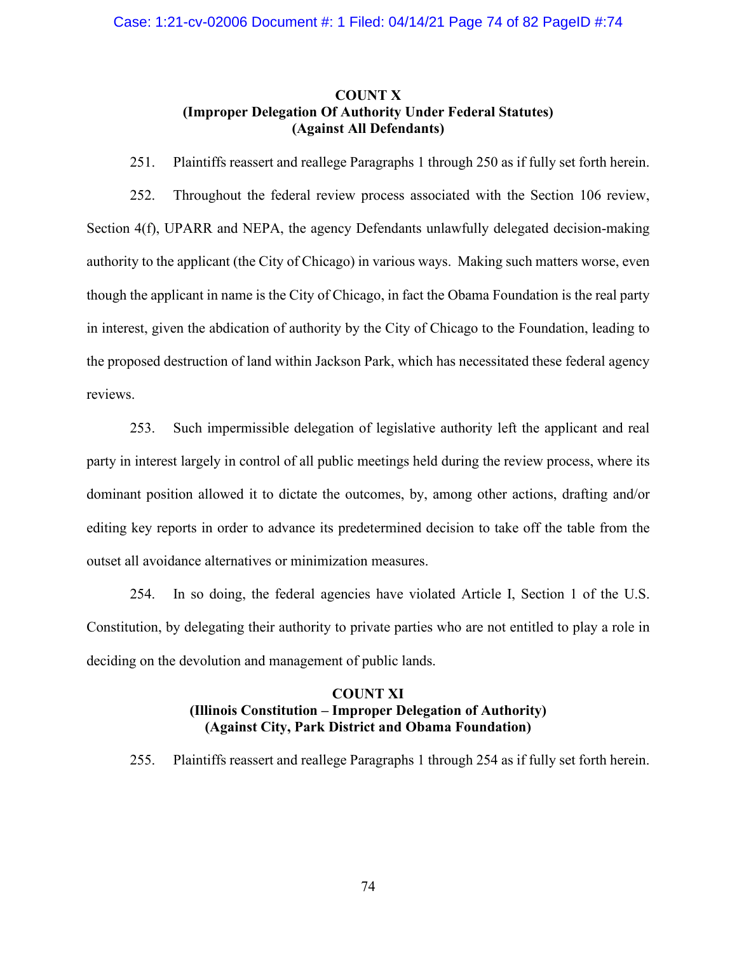# **COUNT X (Improper Delegation Of Authority Under Federal Statutes) (Against All Defendants)**

251. Plaintiffs reassert and reallege Paragraphs 1 through 250 as if fully set forth herein.

252. Throughout the federal review process associated with the Section 106 review, Section 4(f), UPARR and NEPA, the agency Defendants unlawfully delegated decision-making authority to the applicant (the City of Chicago) in various ways. Making such matters worse, even though the applicant in name is the City of Chicago, in fact the Obama Foundation is the real party in interest, given the abdication of authority by the City of Chicago to the Foundation, leading to the proposed destruction of land within Jackson Park, which has necessitated these federal agency reviews.

253. Such impermissible delegation of legislative authority left the applicant and real party in interest largely in control of all public meetings held during the review process, where its dominant position allowed it to dictate the outcomes, by, among other actions, drafting and/or editing key reports in order to advance its predetermined decision to take off the table from the outset all avoidance alternatives or minimization measures.

254. In so doing, the federal agencies have violated Article I, Section 1 of the U.S. Constitution, by delegating their authority to private parties who are not entitled to play a role in deciding on the devolution and management of public lands.

# **COUNT XI (Illinois Constitution – Improper Delegation of Authority) (Against City, Park District and Obama Foundation)**

255. Plaintiffs reassert and reallege Paragraphs 1 through 254 as if fully set forth herein.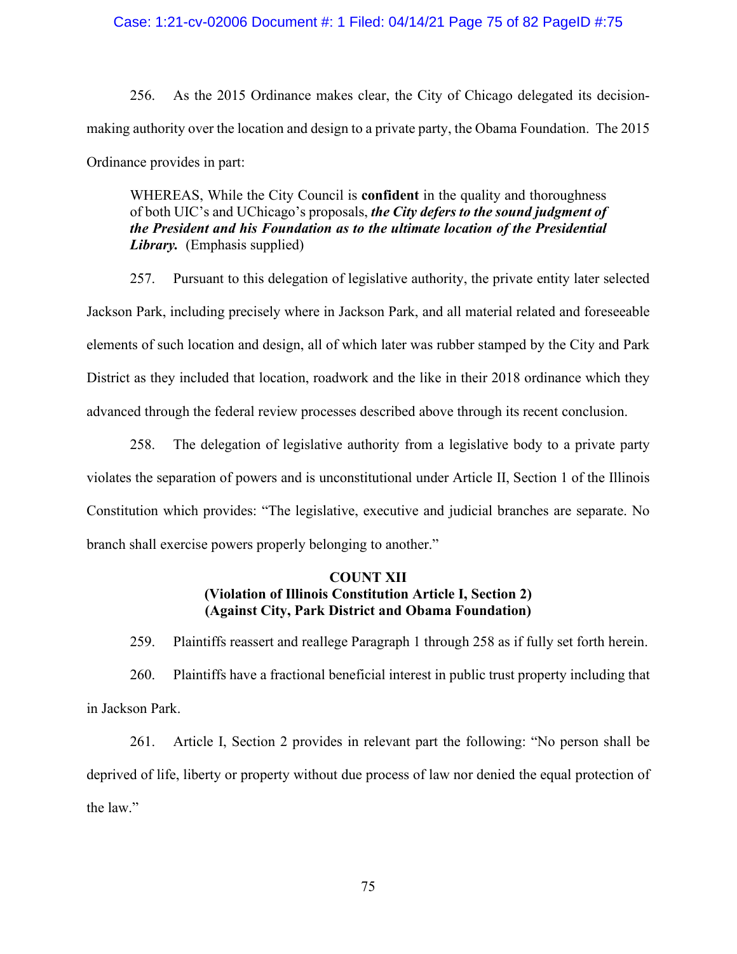#### Case: 1:21-cv-02006 Document #: 1 Filed: 04/14/21 Page 75 of 82 PageID #:75

256. As the 2015 Ordinance makes clear, the City of Chicago delegated its decisionmaking authority over the location and design to a private party, the Obama Foundation. The 2015 Ordinance provides in part:

WHEREAS, While the City Council is **confident** in the quality and thoroughness of both UIC's and UChicago's proposals, *the City defers to the sound judgment of the President and his Foundation as to the ultimate location of the Presidential Library.* (Emphasis supplied)

257. Pursuant to this delegation of legislative authority, the private entity later selected Jackson Park, including precisely where in Jackson Park, and all material related and foreseeable elements of such location and design, all of which later was rubber stamped by the City and Park District as they included that location, roadwork and the like in their 2018 ordinance which they advanced through the federal review processes described above through its recent conclusion.

258. The delegation of legislative authority from a legislative body to a private party violates the separation of powers and is unconstitutional under Article II, Section 1 of the Illinois Constitution which provides: "The legislative, executive and judicial branches are separate. No branch shall exercise powers properly belonging to another."

# **COUNT XII (Violation of Illinois Constitution Article I, Section 2) (Against City, Park District and Obama Foundation)**

259. Plaintiffs reassert and reallege Paragraph 1 through 258 as if fully set forth herein.

260. Plaintiffs have a fractional beneficial interest in public trust property including that in Jackson Park.

261. Article I, Section 2 provides in relevant part the following: "No person shall be deprived of life, liberty or property without due process of law nor denied the equal protection of the law."

75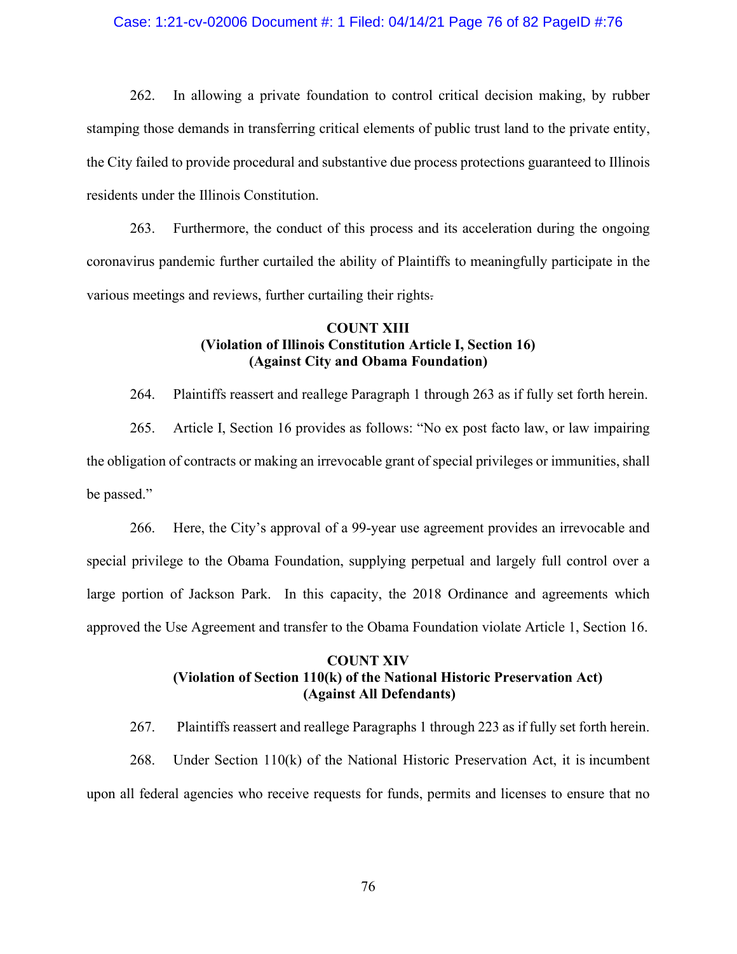### Case: 1:21-cv-02006 Document #: 1 Filed: 04/14/21 Page 76 of 82 PageID #:76

262. In allowing a private foundation to control critical decision making, by rubber stamping those demands in transferring critical elements of public trust land to the private entity, the City failed to provide procedural and substantive due process protections guaranteed to Illinois residents under the Illinois Constitution.

263. Furthermore, the conduct of this process and its acceleration during the ongoing coronavirus pandemic further curtailed the ability of Plaintiffs to meaningfully participate in the various meetings and reviews, further curtailing their rights.

## **COUNT XIII (Violation of Illinois Constitution Article I, Section 16) (Against City and Obama Foundation)**

264. Plaintiffs reassert and reallege Paragraph 1 through 263 as if fully set forth herein.

265. Article I, Section 16 provides as follows: "No ex post facto law, or law impairing the obligation of contracts or making an irrevocable grant of special privileges or immunities, shall be passed."

266. Here, the City's approval of a 99-year use agreement provides an irrevocable and special privilege to the Obama Foundation, supplying perpetual and largely full control over a large portion of Jackson Park. In this capacity, the 2018 Ordinance and agreements which approved the Use Agreement and transfer to the Obama Foundation violate Article 1, Section 16.

### **COUNT XIV (Violation of Section 110(k) of the National Historic Preservation Act) (Against All Defendants)**

267. Plaintiffs reassert and reallege Paragraphs 1 through 223 as if fully set forth herein.

268. Under Section 110(k) of the National Historic Preservation Act, it is incumbent upon all federal agencies who receive requests for funds, permits and licenses to ensure that no

76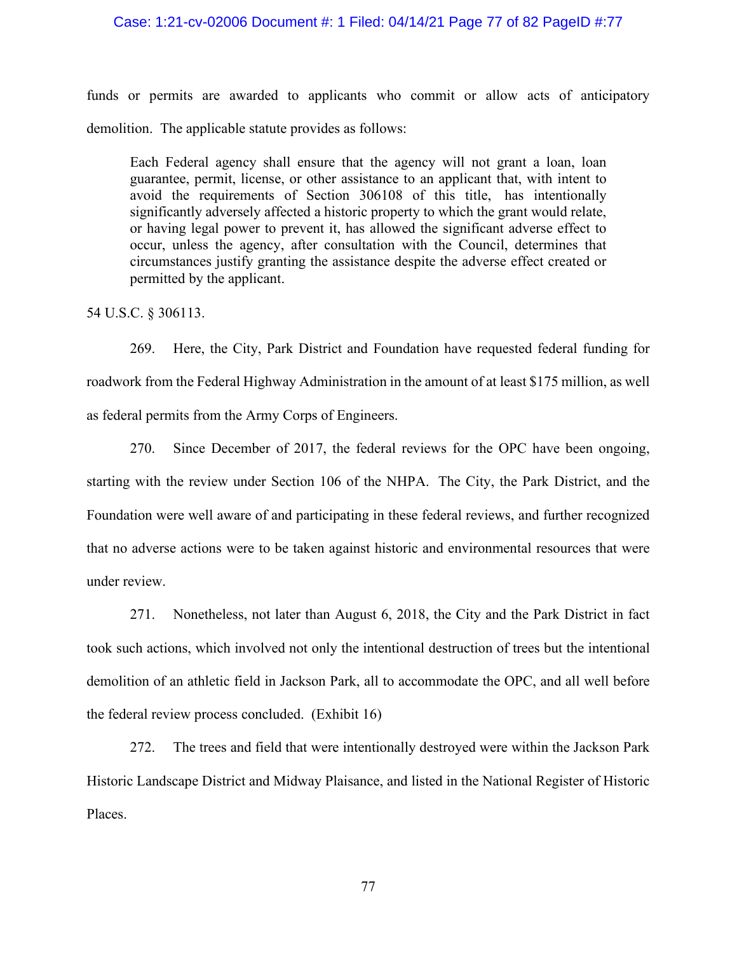#### Case: 1:21-cv-02006 Document #: 1 Filed: 04/14/21 Page 77 of 82 PageID #:77

funds or permits are awarded to applicants who commit or allow acts of anticipatory demolition. The applicable statute provides as follows:

Each Federal agency shall ensure that the agency will not grant a loan, loan guarantee, permit, license, or other assistance to an applicant that, with intent to avoid the requirements of Section 306108 of this title, has intentionally significantly adversely affected a historic property to which the grant would relate, or having legal power to prevent it, has allowed the significant adverse effect to occur, unless the agency, after consultation with the Council, determines that circumstances justify granting the assistance despite the adverse effect created or permitted by the applicant.

54 U.S.C. § 306113.

269. Here, the City, Park District and Foundation have requested federal funding for roadwork from the Federal Highway Administration in the amount of at least \$175 million, as well as federal permits from the Army Corps of Engineers.

270. Since December of 2017, the federal reviews for the OPC have been ongoing, starting with the review under Section 106 of the NHPA. The City, the Park District, and the Foundation were well aware of and participating in these federal reviews, and further recognized that no adverse actions were to be taken against historic and environmental resources that were under review.

271. Nonetheless, not later than August 6, 2018, the City and the Park District in fact took such actions, which involved not only the intentional destruction of trees but the intentional demolition of an athletic field in Jackson Park, all to accommodate the OPC, and all well before the federal review process concluded. (Exhibit 16)

272. The trees and field that were intentionally destroyed were within the Jackson Park Historic Landscape District and Midway Plaisance, and listed in the National Register of Historic Places.

77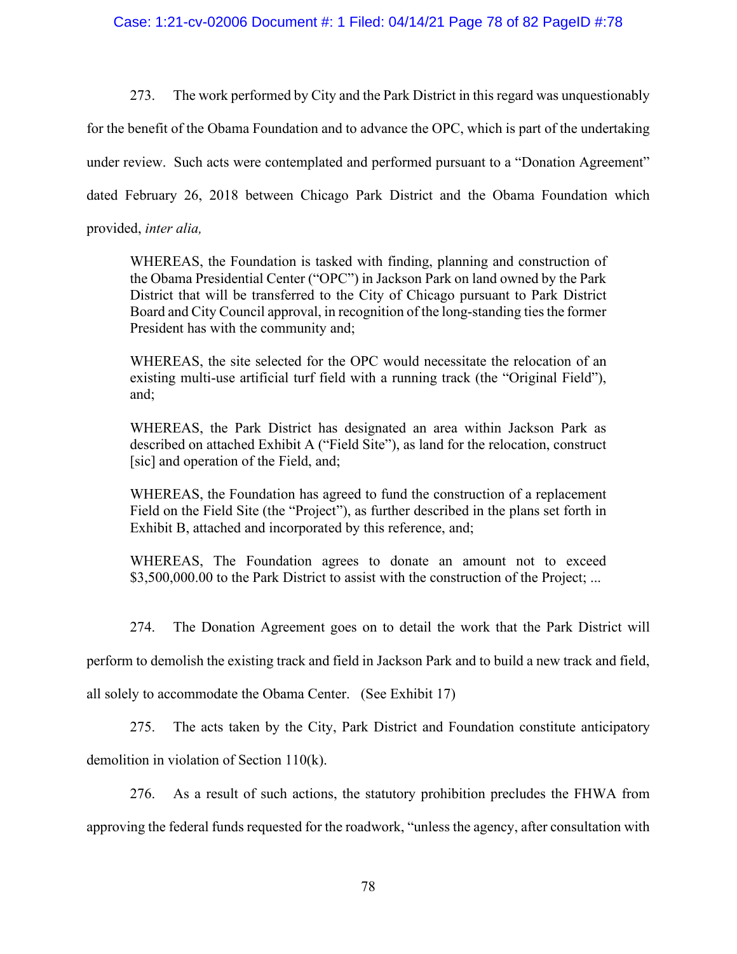273. The work performed by City and the Park District in this regard was unquestionably

for the benefit of the Obama Foundation and to advance the OPC, which is part of the undertaking

under review. Such acts were contemplated and performed pursuant to a "Donation Agreement"

dated February 26, 2018 between Chicago Park District and the Obama Foundation which

provided, *inter alia,*

WHEREAS, the Foundation is tasked with finding, planning and construction of the Obama Presidential Center ("OPC") in Jackson Park on land owned by the Park District that will be transferred to the City of Chicago pursuant to Park District Board and City Council approval, in recognition of the long-standing ties the former President has with the community and;

WHEREAS, the site selected for the OPC would necessitate the relocation of an existing multi-use artificial turf field with a running track (the "Original Field"), and;

WHEREAS, the Park District has designated an area within Jackson Park as described on attached Exhibit A ("Field Site"), as land for the relocation, construct [sic] and operation of the Field, and;

WHEREAS, the Foundation has agreed to fund the construction of a replacement Field on the Field Site (the "Project"), as further described in the plans set forth in Exhibit B, attached and incorporated by this reference, and;

WHEREAS, The Foundation agrees to donate an amount not to exceed \$3,500,000.00 to the Park District to assist with the construction of the Project; ...

274. The Donation Agreement goes on to detail the work that the Park District will

perform to demolish the existing track and field in Jackson Park and to build a new track and field,

all solely to accommodate the Obama Center. (See Exhibit 17)

275. The acts taken by the City, Park District and Foundation constitute anticipatory

demolition in violation of Section 110(k).

276. As a result of such actions, the statutory prohibition precludes the FHWA from approving the federal funds requested for the roadwork, "unless the agency, after consultation with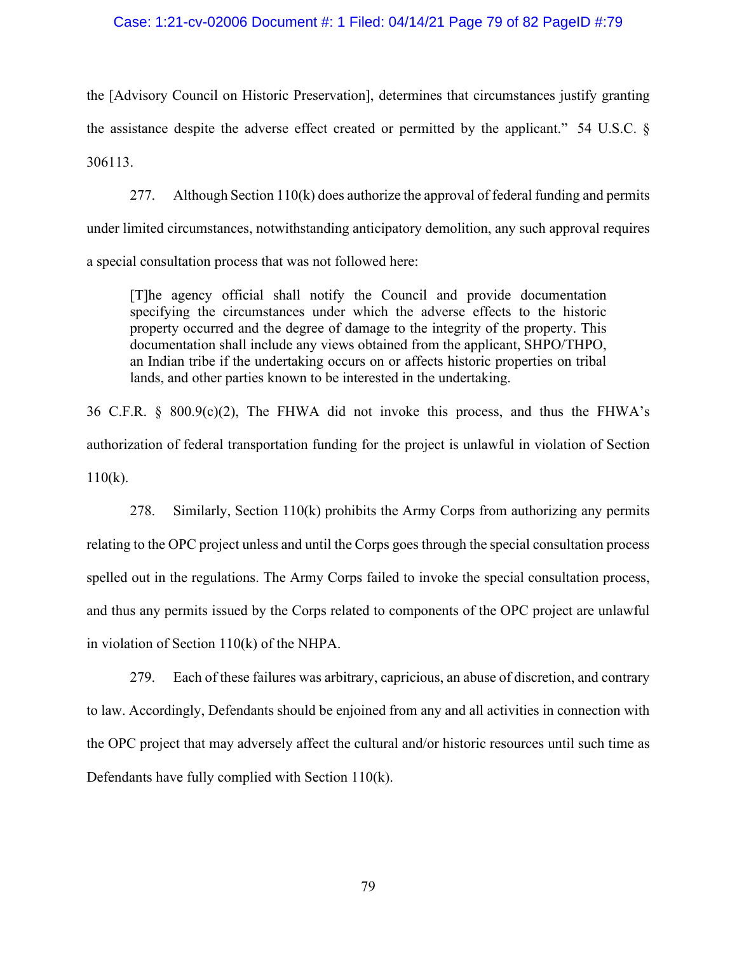#### Case: 1:21-cv-02006 Document #: 1 Filed: 04/14/21 Page 79 of 82 PageID #:79

the [Advisory Council on Historic Preservation], determines that circumstances justify granting the assistance despite the adverse effect created or permitted by the applicant." 54 U.S.C. § 306113.

277. Although Section 110(k) does authorize the approval of federal funding and permits under limited circumstances, notwithstanding anticipatory demolition, any such approval requires a special consultation process that was not followed here:

[T]he agency official shall notify the Council and provide documentation specifying the circumstances under which the adverse effects to the historic property occurred and the degree of damage to the integrity of the property. This documentation shall include any views obtained from the applicant, SHPO/THPO, an Indian tribe if the undertaking occurs on or affects historic properties on tribal lands, and other parties known to be interested in the undertaking.

36 C.F.R. § 800.9(c)(2), The FHWA did not invoke this process, and thus the FHWA's authorization of federal transportation funding for the project is unlawful in violation of Section  $110(k)$ .

278. Similarly, Section 110(k) prohibits the Army Corps from authorizing any permits relating to the OPC project unless and until the Corps goes through the special consultation process spelled out in the regulations. The Army Corps failed to invoke the special consultation process, and thus any permits issued by the Corps related to components of the OPC project are unlawful in violation of Section 110(k) of the NHPA.

279. Each of these failures was arbitrary, capricious, an abuse of discretion, and contrary to law. Accordingly, Defendants should be enjoined from any and all activities in connection with the OPC project that may adversely affect the cultural and/or historic resources until such time as Defendants have fully complied with Section 110(k).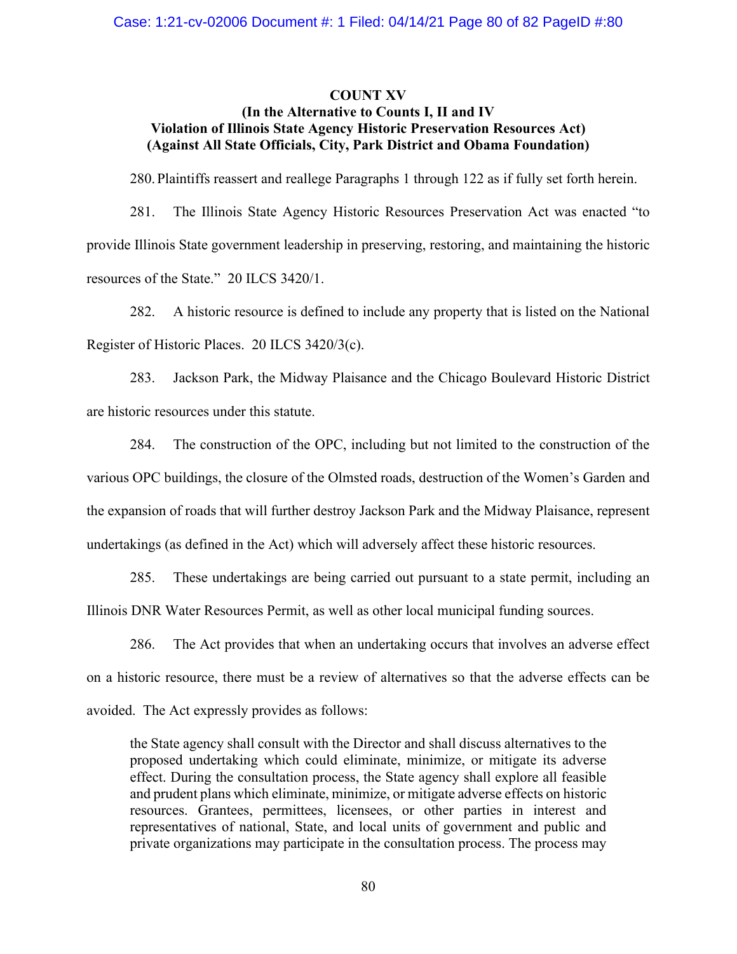### **COUNT XV (In the Alternative to Counts I, II and IV Violation of Illinois State Agency Historic Preservation Resources Act) (Against All State Officials, City, Park District and Obama Foundation)**

280.Plaintiffs reassert and reallege Paragraphs 1 through 122 as if fully set forth herein.

281. The Illinois State Agency Historic Resources Preservation Act was enacted "to provide Illinois State government leadership in preserving, restoring, and maintaining the historic resources of the State." 20 ILCS 3420/1.

282. A historic resource is defined to include any property that is listed on the National Register of Historic Places. 20 ILCS 3420/3(c).

283. Jackson Park, the Midway Plaisance and the Chicago Boulevard Historic District are historic resources under this statute.

284. The construction of the OPC, including but not limited to the construction of the various OPC buildings, the closure of the Olmsted roads, destruction of the Women's Garden and the expansion of roads that will further destroy Jackson Park and the Midway Plaisance, represent undertakings (as defined in the Act) which will adversely affect these historic resources.

285. These undertakings are being carried out pursuant to a state permit, including an Illinois DNR Water Resources Permit, as well as other local municipal funding sources.

286. The Act provides that when an undertaking occurs that involves an adverse effect on a historic resource, there must be a review of alternatives so that the adverse effects can be avoided. The Act expressly provides as follows:

the State agency shall consult with the Director and shall discuss alternatives to the proposed undertaking which could eliminate, minimize, or mitigate its adverse effect. During the consultation process, the State agency shall explore all feasible and prudent plans which eliminate, minimize, or mitigate adverse effects on historic resources. Grantees, permittees, licensees, or other parties in interest and representatives of national, State, and local units of government and public and private organizations may participate in the consultation process. The process may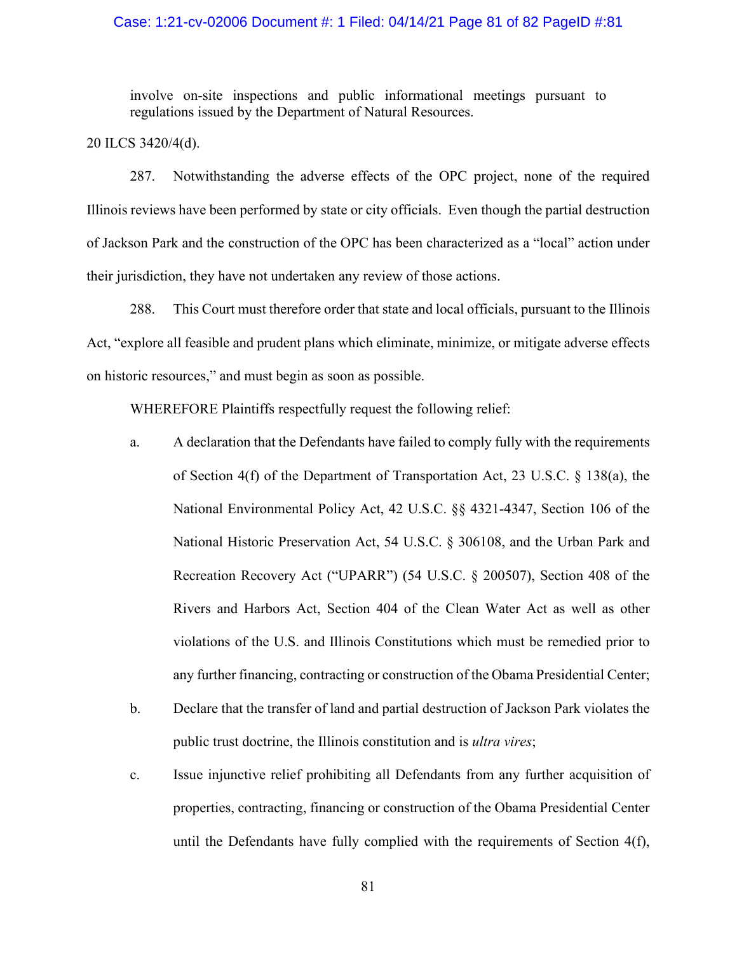#### Case: 1:21-cv-02006 Document #: 1 Filed: 04/14/21 Page 81 of 82 PageID #:81

involve on-site inspections and public informational meetings pursuant to regulations issued by the Department of Natural Resources.

20 ILCS 3420/4(d).

287. Notwithstanding the adverse effects of the OPC project, none of the required Illinois reviews have been performed by state or city officials. Even though the partial destruction of Jackson Park and the construction of the OPC has been characterized as a "local" action under their jurisdiction, they have not undertaken any review of those actions.

288. This Court must therefore order that state and local officials, pursuant to the Illinois Act, "explore all feasible and prudent plans which eliminate, minimize, or mitigate adverse effects on historic resources," and must begin as soon as possible.

WHEREFORE Plaintiffs respectfully request the following relief:

- a. A declaration that the Defendants have failed to comply fully with the requirements of Section 4(f) of the Department of Transportation Act, 23 U.S.C. § 138(a), the National Environmental Policy Act, 42 U.S.C. §§ 4321-4347, Section 106 of the National Historic Preservation Act, 54 U.S.C. § 306108, and the Urban Park and Recreation Recovery Act ("UPARR") (54 U.S.C. § 200507), Section 408 of the Rivers and Harbors Act, Section 404 of the Clean Water Act as well as other violations of the U.S. and Illinois Constitutions which must be remedied prior to any further financing, contracting or construction of the Obama Presidential Center;
- b. Declare that the transfer of land and partial destruction of Jackson Park violates the public trust doctrine, the Illinois constitution and is *ultra vires*;
- c. Issue injunctive relief prohibiting all Defendants from any further acquisition of properties, contracting, financing or construction of the Obama Presidential Center until the Defendants have fully complied with the requirements of Section 4(f),